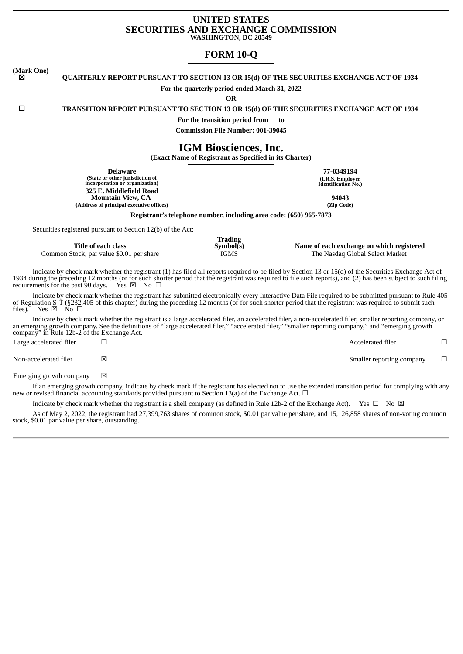# **UNITED STATES SECURITIES AND EXCHANGE COMMISSION WASHINGTON, DC 20549**

# **FORM 10-Q**

**(Mark One)** ☒ **QUARTERLY REPORT PURSUANT TO SECTION 13 OR 15(d) OF THE SECURITIES EXCHANGE ACT OF 1934**

**For the quarterly period ended March 31, 2022**

**OR**

☐ **TRANSITION REPORT PURSUANT TO SECTION 13 OR 15(d) OF THE SECURITIES EXCHANGE ACT OF 1934**

**For the transition period from to**

**Commission File Number: 001-39045**

**IGM Biosciences, Inc.**

**(Exact Name of Registrant as Specified in its Charter)**

**Delaware 77-0349194 (State or other jurisdiction of incorporation or organization) 325 E. Middlefield Road Mountain View, CA 94043 (Address of principal executive offices) (Zip Code)**

**(I.R.S. Employer Identification No.)**

**Registrant's telephone number, including area code: (650) 965-7873**

Securities registered pursuant to Section 12(b) of the Act:

| Title of each class                      | Trading<br>svmbolts | Name of each exchange on which registered |
|------------------------------------------|---------------------|-------------------------------------------|
| Common Stock, par value \$0.01 per share | IGMS                | The Nasdag Global Select Market           |

Indicate by check mark whether the registrant (1) has filed all reports required to be filed by Section 13 or 15(d) of the Securities Exchange Act of 1934 during the preceding 12 months (or for such shorter period that the registrant was required to file such reports), and (2) has been subject to such filing requirements for the past 90 days. Yes  $\boxtimes$  No  $\Box$ requirements for the past 90 days.

Indicate by check mark whether the registrant has submitted electronically every Interactive Data File required to be submitted pursuant to Rule 405 of Regulation S-T (§232.405 of this chapter) during the preceding 12 months (or for such shorter period that the registrant was required to submit such files). Yes  $\boxtimes$  No  $\Box$ Yes  $\boxtimes$  No  $\Box$ 

Indicate by check mark whether the registrant is a large accelerated filer, an accelerated filer, a non-accelerated filer, smaller reporting company, or an emerging growth company. See the definitions of "large accelerated filer," "accelerated filer," "smaller reporting company," and "emerging growth company" in Rule 12b-2 of the Exchange Act. Large accelerated filer ☐ Accelerated filer ☐

Non-accelerated filer  $□$  ⊠ smaller reporting company  $□$ 

Emerging growth company  $\boxtimes$ 

If an emerging growth company, indicate by check mark if the registrant has elected not to use the extended transition period for complying with any new or revised financial accounting standards provided pursuant to Section 13(a) of the Exchange Act.  $\Box$ 

Indicate by check mark whether the registrant is a shell company (as defined in Rule 12b-2 of the Exchange Act). Yes  $\Box$  No  $\boxtimes$ 

As of May 2, 2022, the registrant had 27,399,763 shares of common stock, \$0.01 par value per share, and 15,126,858 shares of non-voting common stock, \$0.01 par value per share, outstanding.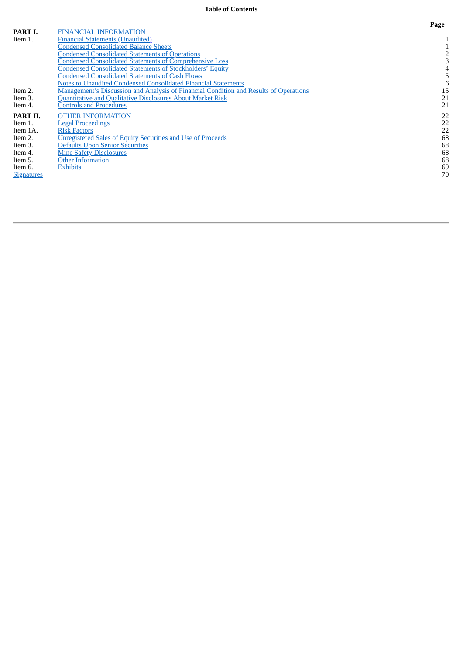#### **Table of Contents**

|                   |                                                                                              | $-$ <b>u</b> <sub>n</sub> c |
|-------------------|----------------------------------------------------------------------------------------------|-----------------------------|
| PART I.           | <b>FINANCIAL INFORMATION</b>                                                                 |                             |
| Item 1.           | <b>Financial Statements (Unaudited)</b>                                                      |                             |
|                   | <b>Condensed Consolidated Balance Sheets</b>                                                 |                             |
|                   | <b>Condensed Consolidated Statements of Operations</b>                                       |                             |
|                   | <b>Condensed Consolidated Statements of Comprehensive Loss</b>                               |                             |
|                   | <b>Condensed Consolidated Statements of Stockholders' Equity</b>                             |                             |
|                   | <b>Condensed Consolidated Statements of Cash Flows</b>                                       |                             |
|                   | Notes to Unaudited Condensed Consolidated Financial Statements                               |                             |
| Item 2.           | <b>Management's Discussion and Analysis of Financial Condition and Results of Operations</b> | 15                          |
| Item 3.           | Quantitative and Qualitative Disclosures About Market Risk                                   | 21                          |
| Item 4.           | <b>Controls and Procedures</b>                                                               | 21                          |
| PART II.          | <b>OTHER INFORMATION</b>                                                                     | 22                          |
| Item 1.           | <b>Legal Proceedings</b>                                                                     | 22                          |
| Item 1A.          | <b>Risk Factors</b>                                                                          | 22                          |
| Item 2.           | Unregistered Sales of Equity Securities and Use of Proceeds                                  | 68                          |
| Item 3.           | <b>Defaults Upon Senior Securities</b>                                                       | 68                          |
| Item 4.           | <b>Mine Safety Disclosures</b>                                                               | 68                          |
| Item 5.           | <b>Other Information</b>                                                                     | 68                          |
| Item 6.           | <b>Exhibits</b>                                                                              | 69                          |
| <b>Signatures</b> |                                                                                              | 70                          |
|                   |                                                                                              |                             |

#### **P a g e**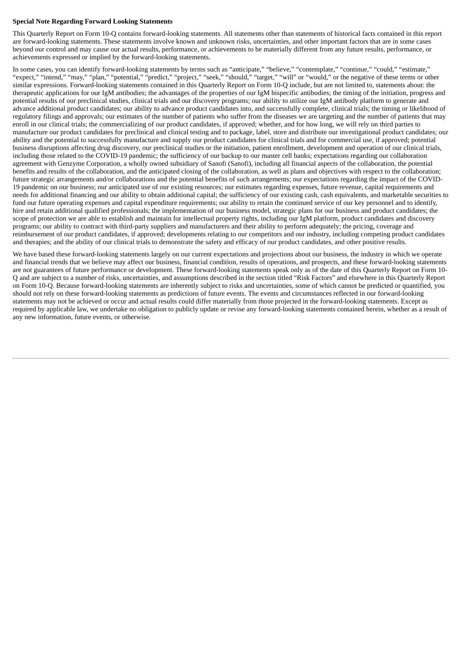# **Special Note Regarding Forward Looking Statements**

This Quarterly Report on Form 10-Q contains forward-looking statements. All statements other than statements of historical facts contained in this report are forward-looking statements. These statements involve known and unknown risks, uncertainties, and other important factors that are in some cases beyond our control and may cause our actual results, performance, or achievements to be materially different from any future results, performance, or achievements expressed or implied by the forward-looking statements.

In some cases, you can identify forward-looking statements by terms such as "anticipate," "believe," "contemplate," "continue," "could," "estimate," "expect," "intend," "may," "plan," "potential," "predict," "project," "seek," "should," "target," "will" or "would," or the negative of these terms or other similar expressions. Forward-looking statements contained in this Quarterly Report on Form 10-Q include, but are not limited to, statements about: the therapeutic applications for our IgM antibodies; the advantages of the properties of our IgM bispecific antibodies; the timing of the initiation, progress and potential results of our preclinical studies, clinical trials and our discovery programs; our ability to utilize our IgM antibody platform to generate and advance additional product candidates; our ability to advance product candidates into, and successfully complete, clinical trials; the timing or likelihood of regulatory filings and approvals; our estimates of the number of patients who suffer from the diseases we are targeting and the number of patients that may enroll in our clinical trials; the commercializing of our product candidates, if approved; whether, and for how long, we will rely on third parties to manufacture our product candidates for preclinical and clinical testing and to package, label, store and distribute our investigational product candidates; our ability and the potential to successfully manufacture and supply our product candidates for clinical trials and for commercial use, if approved; potential business disruptions affecting drug discovery, our preclinical studies or the initiation, patient enrollment, development and operation of our clinical trials, including those related to the COVID-19 pandemic; the sufficiency of our backup to our master cell banks; expectations regarding our collaboration agreement with Genzyme Corporation, a wholly owned subsidiary of Sanofi (Sanofi), including all financial aspects of the collaboration, the potential benefits and results of the collaboration, and the anticipated closing of the collaboration, as well as plans and objectives with respect to the collaboration; future strategic arrangements and/or collaborations and the potential benefits of such arrangements; our expectations regarding the impact of the COVID-19 pandemic on our business; our anticipated use of our existing resources; our estimates regarding expenses, future revenue, capital requirements and needs for additional financing and our ability to obtain additional capital; the sufficiency of our existing cash, cash equivalents, and marketable securities to fund our future operating expenses and capital expenditure requirements; our ability to retain the continued service of our key personnel and to identify, hire and retain additional qualified professionals; the implementation of our business model, strategic plans for our business and product candidates; the scope of protection we are able to establish and maintain for intellectual property rights, including our IgM platform, product candidates and discovery programs; our ability to contract with third-party suppliers and manufacturers and their ability to perform adequately; the pricing, coverage and reimbursement of our product candidates, if approved; developments relating to our competitors and our industry, including competing product candidates and therapies; and the ability of our clinical trials to demonstrate the safety and efficacy of our product candidates, and other positive results.

We have based these forward-looking statements largely on our current expectations and projections about our business, the industry in which we operate and financial trends that we believe may affect our business, financial condition, results of operations, and prospects, and these forward-looking statements are not guarantees of future performance or development. These forward-looking statements speak only as of the date of this Quarterly Report on Form 10- Q and are subject to a number of risks, uncertainties, and assumptions described in the section titled "Risk Factors" and elsewhere in this Quarterly Report on Form 10-Q. Because forward-looking statements are inherently subject to risks and uncertainties, some of which cannot be predicted or quantified, you should not rely on these forward-looking statements as predictions of future events. The events and circumstances reflected in our forward-looking statements may not be achieved or occur and actual results could differ materially from those projected in the forward-looking statements. Except as required by applicable law, we undertake no obligation to publicly update or revise any forward-looking statements contained herein, whether as a result of any new information, future events, or otherwise.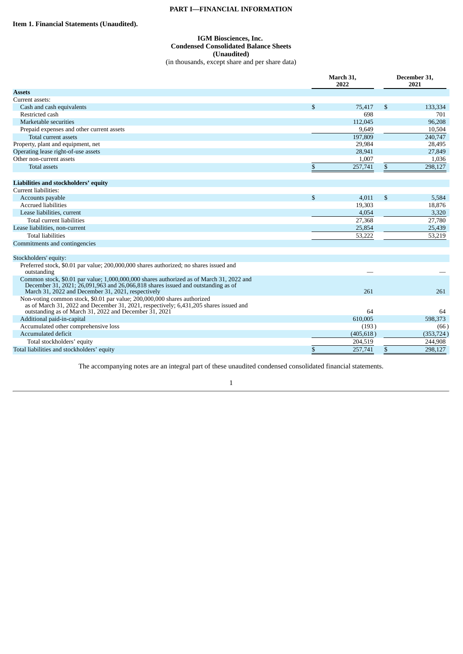# **PART I—FINANCIAL INFORMATION**

# <span id="page-3-2"></span><span id="page-3-1"></span><span id="page-3-0"></span>**Item 1. Financial Statements (Unaudited).**

# **IGM Biosciences, Inc. Condensed Consolidated Balance Sheets (Unaudited)** (in thousands, except share and per share data)

| <b>Assets</b><br>Current assets:<br>\$<br>75,417<br>\$<br>133,334<br>Cash and cash equivalents<br>698<br>Restricted cash<br>701<br>96,208<br>112,045<br>Marketable securities<br>9,649<br>10,504<br>Prepaid expenses and other current assets<br>197,809<br>240,747<br>Total current assets<br>29,984<br>Property, plant and equipment, net<br>28,495<br>Operating lease right-of-use assets<br>28,941<br>27,849<br>Other non-current assets<br>1,007<br>1,036<br>$\mathbb{S}$<br>\$<br>298,127<br>257,741<br><b>Total assets</b><br>Liabilities and stockholders' equity<br>Current liabilities:<br>$\mathbb{S}$<br>4.011<br>\$<br>Accounts payable<br>5,584<br><b>Accrued liabilities</b><br>19,303<br>18,876<br>3,320<br>Lease liabilities, current<br>4,054<br><b>Total current liabilities</b><br>27,368<br>27,780 |                                | March 31,<br>2022 | December 31.<br>2021 |            |  |
|-------------------------------------------------------------------------------------------------------------------------------------------------------------------------------------------------------------------------------------------------------------------------------------------------------------------------------------------------------------------------------------------------------------------------------------------------------------------------------------------------------------------------------------------------------------------------------------------------------------------------------------------------------------------------------------------------------------------------------------------------------------------------------------------------------------------------|--------------------------------|-------------------|----------------------|------------|--|
|                                                                                                                                                                                                                                                                                                                                                                                                                                                                                                                                                                                                                                                                                                                                                                                                                         |                                |                   |                      |            |  |
|                                                                                                                                                                                                                                                                                                                                                                                                                                                                                                                                                                                                                                                                                                                                                                                                                         |                                |                   |                      |            |  |
|                                                                                                                                                                                                                                                                                                                                                                                                                                                                                                                                                                                                                                                                                                                                                                                                                         |                                |                   |                      |            |  |
|                                                                                                                                                                                                                                                                                                                                                                                                                                                                                                                                                                                                                                                                                                                                                                                                                         |                                |                   |                      |            |  |
|                                                                                                                                                                                                                                                                                                                                                                                                                                                                                                                                                                                                                                                                                                                                                                                                                         |                                |                   |                      |            |  |
|                                                                                                                                                                                                                                                                                                                                                                                                                                                                                                                                                                                                                                                                                                                                                                                                                         |                                |                   |                      |            |  |
|                                                                                                                                                                                                                                                                                                                                                                                                                                                                                                                                                                                                                                                                                                                                                                                                                         |                                |                   |                      |            |  |
|                                                                                                                                                                                                                                                                                                                                                                                                                                                                                                                                                                                                                                                                                                                                                                                                                         |                                |                   |                      |            |  |
|                                                                                                                                                                                                                                                                                                                                                                                                                                                                                                                                                                                                                                                                                                                                                                                                                         |                                |                   |                      |            |  |
|                                                                                                                                                                                                                                                                                                                                                                                                                                                                                                                                                                                                                                                                                                                                                                                                                         |                                |                   |                      |            |  |
|                                                                                                                                                                                                                                                                                                                                                                                                                                                                                                                                                                                                                                                                                                                                                                                                                         |                                |                   |                      |            |  |
|                                                                                                                                                                                                                                                                                                                                                                                                                                                                                                                                                                                                                                                                                                                                                                                                                         |                                |                   |                      |            |  |
|                                                                                                                                                                                                                                                                                                                                                                                                                                                                                                                                                                                                                                                                                                                                                                                                                         |                                |                   |                      |            |  |
|                                                                                                                                                                                                                                                                                                                                                                                                                                                                                                                                                                                                                                                                                                                                                                                                                         |                                |                   |                      |            |  |
|                                                                                                                                                                                                                                                                                                                                                                                                                                                                                                                                                                                                                                                                                                                                                                                                                         |                                |                   |                      |            |  |
|                                                                                                                                                                                                                                                                                                                                                                                                                                                                                                                                                                                                                                                                                                                                                                                                                         |                                |                   |                      |            |  |
|                                                                                                                                                                                                                                                                                                                                                                                                                                                                                                                                                                                                                                                                                                                                                                                                                         |                                |                   |                      |            |  |
|                                                                                                                                                                                                                                                                                                                                                                                                                                                                                                                                                                                                                                                                                                                                                                                                                         |                                |                   |                      |            |  |
|                                                                                                                                                                                                                                                                                                                                                                                                                                                                                                                                                                                                                                                                                                                                                                                                                         | Lease liabilities, non-current | 25,854            |                      | 25,439     |  |
| <b>Total liabilities</b><br>53,222<br>53,219                                                                                                                                                                                                                                                                                                                                                                                                                                                                                                                                                                                                                                                                                                                                                                            |                                |                   |                      |            |  |
| Commitments and contingencies                                                                                                                                                                                                                                                                                                                                                                                                                                                                                                                                                                                                                                                                                                                                                                                           |                                |                   |                      |            |  |
| Stockholders' equity:                                                                                                                                                                                                                                                                                                                                                                                                                                                                                                                                                                                                                                                                                                                                                                                                   |                                |                   |                      |            |  |
| Preferred stock, \$0.01 par value; 200,000,000 shares authorized; no shares issued and                                                                                                                                                                                                                                                                                                                                                                                                                                                                                                                                                                                                                                                                                                                                  |                                |                   |                      |            |  |
| outstanding                                                                                                                                                                                                                                                                                                                                                                                                                                                                                                                                                                                                                                                                                                                                                                                                             |                                |                   |                      |            |  |
| Common stock, \$0.01 par value; 1,000,000,000 shares authorized as of March 31, 2022 and<br>December 31, 2021; 26,091,963 and 26,066,818 shares issued and outstanding as of<br>261<br>261                                                                                                                                                                                                                                                                                                                                                                                                                                                                                                                                                                                                                              |                                |                   |                      |            |  |
| March 31, 2022 and December 31, 2021, respectively                                                                                                                                                                                                                                                                                                                                                                                                                                                                                                                                                                                                                                                                                                                                                                      |                                |                   |                      |            |  |
| Non-voting common stock, \$0.01 par value; 200,000,000 shares authorized<br>as of March 31, 2022 and December 31, 2021, respectively; 6,431,205 shares issued and<br>outstanding as of March 31, 2022 and December 31, 2021<br>64<br>64                                                                                                                                                                                                                                                                                                                                                                                                                                                                                                                                                                                 |                                |                   |                      |            |  |
| Additional paid-in-capital<br>610,005<br>598,373                                                                                                                                                                                                                                                                                                                                                                                                                                                                                                                                                                                                                                                                                                                                                                        |                                |                   |                      |            |  |
| Accumulated other comprehensive loss<br>(193)                                                                                                                                                                                                                                                                                                                                                                                                                                                                                                                                                                                                                                                                                                                                                                           |                                |                   |                      | (66)       |  |
| Accumulated deficit<br>(405, 618)                                                                                                                                                                                                                                                                                                                                                                                                                                                                                                                                                                                                                                                                                                                                                                                       |                                |                   |                      | (353, 724) |  |
| Total stockholders' equity<br>204,519<br>244,908                                                                                                                                                                                                                                                                                                                                                                                                                                                                                                                                                                                                                                                                                                                                                                        |                                |                   |                      |            |  |
| \$<br>257,741<br>$\mathbb{S}$<br>298,127<br>Total liabilities and stockholders' equity                                                                                                                                                                                                                                                                                                                                                                                                                                                                                                                                                                                                                                                                                                                                  |                                |                   |                      |            |  |

The accompanying notes are an integral part of these unaudited condensed consolidated financial statements.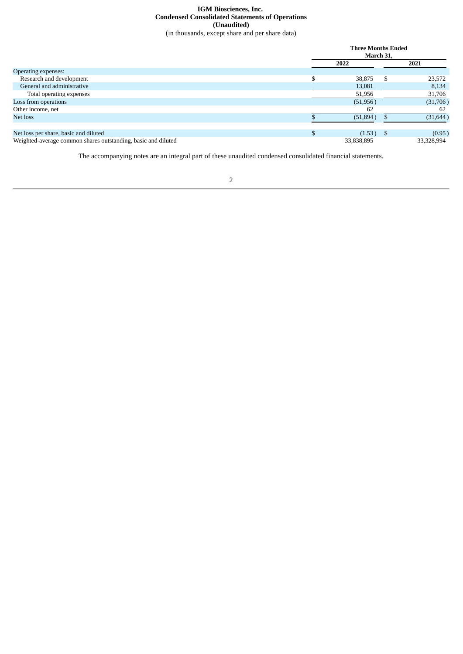## **IGM Biosciences, Inc. Condensed Consolidated Statements of Operations (Unaudited)** (in thousands, except share and per share data)

<span id="page-4-0"></span>

|                                                               |    | <b>Three Months Ended</b><br>March 31, |  |            |  |  |
|---------------------------------------------------------------|----|----------------------------------------|--|------------|--|--|
|                                                               |    | 2022                                   |  | 2021       |  |  |
| Operating expenses:                                           |    |                                        |  |            |  |  |
| Research and development                                      |    | 38,875                                 |  | 23,572     |  |  |
| General and administrative                                    |    | 13,081                                 |  | 8,134      |  |  |
| Total operating expenses                                      |    | 51,956                                 |  | 31,706     |  |  |
| Loss from operations                                          |    | (51,956)                               |  | (31,706)   |  |  |
| Other income, net                                             |    | 62                                     |  | 62         |  |  |
| Net loss                                                      |    | (51,894)                               |  | (31, 644)  |  |  |
|                                                               |    |                                        |  |            |  |  |
| Net loss per share, basic and diluted                         | \$ | $(1.53)$ \$                            |  | (0.95)     |  |  |
| Weighted-average common shares outstanding, basic and diluted |    | 33,838,895                             |  | 33,328,994 |  |  |

The accompanying notes are an integral part of these unaudited condensed consolidated financial statements.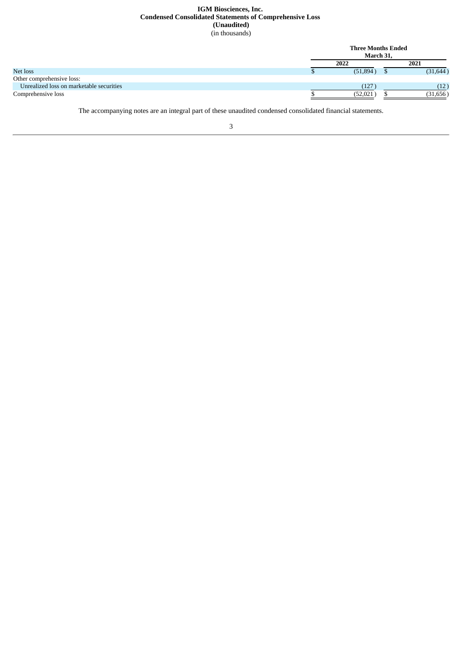# **IGM Biosciences, Inc. Condensed Consolidated Statements of Comprehensive Loss (Unaudited)** (in thousands)

<span id="page-5-0"></span>

|                                          | <b>Three Months Ended</b><br>March 31. |           |
|------------------------------------------|----------------------------------------|-----------|
|                                          | 2022                                   | 2021      |
| Net loss                                 | (51,894)                               | (31, 644) |
| Other comprehensive loss:                |                                        |           |
| Unrealized loss on marketable securities | (127)                                  | (12)      |
| Comprehensive loss                       | (52, 021)                              | (31, 656) |

The accompanying notes are an integral part of these unaudited condensed consolidated financial statements.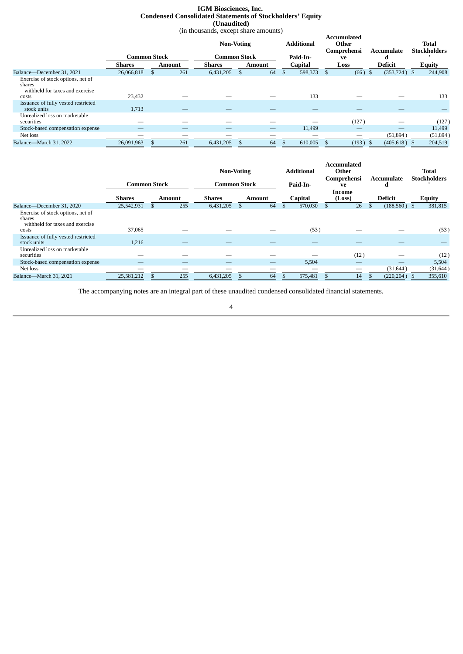# **IGM Biosciences, Inc. Condensed Consolidated Statements of Stockholders' Equity (Unaudited)**

(in thousands, except share amounts)

<span id="page-6-0"></span>

|                                                                                         |               |                     |        | <b>Non-Voting</b> |                     |               |          | <b>Additional</b> |    | <b>Accumulated</b><br>Other<br>Comprehensi |   | Accumulate      | <b>Total</b><br><b>Stockholders</b> |  |
|-----------------------------------------------------------------------------------------|---------------|---------------------|--------|-------------------|---------------------|---------------|----------|-------------------|----|--------------------------------------------|---|-----------------|-------------------------------------|--|
|                                                                                         |               | <b>Common Stock</b> |        |                   | <b>Common Stock</b> |               | Paid-In- |                   | ve |                                            | а |                 |                                     |  |
|                                                                                         | <b>Shares</b> |                     | Amount | <b>Shares</b>     |                     | <b>Amount</b> |          | <b>Capital</b>    |    | Loss                                       |   | <b>Deficit</b>  | <b>Equity</b>                       |  |
| Balance-December 31, 2021                                                               | 26,066,818    |                     | 261    | 6,431,205         |                     | 64            | \$       | 598,373           |    | $(66)$ \$                                  |   | $(353, 724)$ \$ | 244,908                             |  |
| Exercise of stock options, net of<br>shares<br>withheld for taxes and exercise<br>costs | 23,432        |                     |        |                   |                     |               |          | 133               |    |                                            |   |                 | 133                                 |  |
| Issuance of fully vested restricted<br>stock units                                      | 1,713         |                     |        |                   |                     |               |          |                   |    |                                            |   |                 |                                     |  |
| Unrealized loss on marketable<br>securities                                             |               |                     |        |                   |                     |               |          |                   |    | (127)                                      |   |                 | (127)                               |  |
| Stock-based compensation expense                                                        |               |                     |        |                   |                     |               |          | 11,499            |    |                                            |   |                 | 11,499                              |  |
| Net loss                                                                                |               |                     |        |                   |                     |               |          |                   |    |                                            |   | (51, 894)       | (51,894)                            |  |
| Balance-March 31, 2022                                                                  | 26,091,963    |                     | 261    | 6,431,205         |                     | 64            |          | 610,005           |    | (193)                                      |   | (405, 618)      | 204,519                             |  |

|                                                                                         |               | <b>Common Stock</b> |     | <b>Non-Voting</b><br><b>Common Stock</b> |    |               | <b>Accumulated</b><br><b>Additional</b><br>Other<br>Comprehensi<br>Paid-In-<br>ve |      |                  | Accumulate<br>d      | <b>Total</b><br><b>Stockholders</b> |
|-----------------------------------------------------------------------------------------|---------------|---------------------|-----|------------------------------------------|----|---------------|-----------------------------------------------------------------------------------|------|------------------|----------------------|-------------------------------------|
|                                                                                         | <b>Shares</b> | Amount              |     | Shares                                   |    | <b>Amount</b> | <b>Capital</b>                                                                    |      | Income<br>(Loss) | <b>Deficit</b>       | <b>Equity</b>                       |
| Balance-December 31, 2020                                                               | 25,542,931    | ъ                   | 255 | 6,431,205                                | D. | 64            | \$<br>570,030                                                                     | - \$ | 26               | \$<br>$(188,560)$ \$ | 381,815                             |
| Exercise of stock options, net of<br>shares<br>withheld for taxes and exercise<br>costs | 37,065        |                     |     |                                          |    |               | (53)                                                                              |      |                  |                      | (53)                                |
| Issuance of fully vested restricted<br>stock units                                      | 1,216         |                     |     |                                          |    |               |                                                                                   |      |                  |                      |                                     |
| Unrealized loss on marketable<br>securities                                             |               |                     |     |                                          |    |               |                                                                                   |      | (12)             |                      | (12)                                |
| Stock-based compensation expense                                                        |               |                     |     | –                                        |    |               | 5,504                                                                             |      | —                |                      | 5,504                               |
| Net loss                                                                                | __            |                     |     |                                          |    |               |                                                                                   |      |                  | (31, 644)            | (31, 644)                           |
| Balance-March 31, 2021                                                                  | 25,581,212    |                     | 255 | 6,431,205                                |    | 64            | 575,481                                                                           |      | 14               | (220, 204)           | 355,610                             |

The accompanying notes are an integral part of these unaudited condensed consolidated financial statements.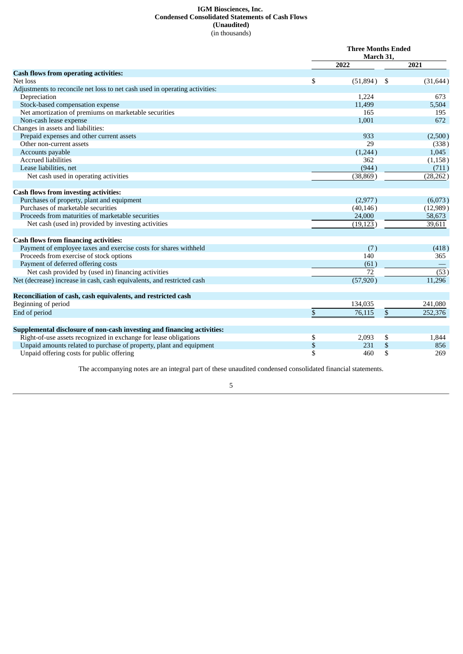# **IGM Biosciences, Inc. Condensed Consolidated Statements of Cash Flows (Unaudited)** (in thousands)

<span id="page-7-0"></span>

|                                                                             | <b>Three Months Ended</b><br>March 31, |           |     |                   |  |  |
|-----------------------------------------------------------------------------|----------------------------------------|-----------|-----|-------------------|--|--|
|                                                                             |                                        | 2022      |     | 2021              |  |  |
| <b>Cash flows from operating activities:</b>                                |                                        |           |     |                   |  |  |
| Net loss                                                                    | \$                                     | (51,894)  | -\$ | (31, 644)         |  |  |
| Adjustments to reconcile net loss to net cash used in operating activities: |                                        |           |     |                   |  |  |
| Depreciation                                                                |                                        | 1,224     |     | 673               |  |  |
| Stock-based compensation expense                                            |                                        | 11,499    |     | 5,504             |  |  |
| Net amortization of premiums on marketable securities                       |                                        | 165       |     | 195               |  |  |
| Non-cash lease expense                                                      |                                        | 1,001     |     | 672               |  |  |
| Changes in assets and liabilities:                                          |                                        |           |     |                   |  |  |
| Prepaid expenses and other current assets                                   |                                        | 933       |     | (2,500)           |  |  |
| Other non-current assets                                                    |                                        | 29        |     | (338)             |  |  |
| Accounts payable                                                            |                                        | (1,244)   |     | 1,045             |  |  |
| <b>Accrued liabilities</b>                                                  |                                        | 362       |     | (1, 158)          |  |  |
| Lease liabilities, net                                                      |                                        | (944)     |     | (711)             |  |  |
| Net cash used in operating activities                                       |                                        | (38, 869) |     | (28, 262)         |  |  |
| <b>Cash flows from investing activities:</b>                                |                                        |           |     |                   |  |  |
| Purchases of property, plant and equipment                                  |                                        | (2,977)   |     | (6,073)           |  |  |
| Purchases of marketable securities                                          |                                        | (40, 146) |     | (12,989)          |  |  |
| Proceeds from maturities of marketable securities                           |                                        | 24,000    |     | 58,673            |  |  |
| Net cash (used in) provided by investing activities                         |                                        | (19, 123) |     | 39,611            |  |  |
| <b>Cash flows from financing activities:</b>                                |                                        |           |     |                   |  |  |
| Payment of employee taxes and exercise costs for shares withheld            |                                        | (7)       |     | (418)             |  |  |
| Proceeds from exercise of stock options                                     |                                        | 140       |     | 365               |  |  |
| Payment of deferred offering costs                                          |                                        | (61)      |     |                   |  |  |
| Net cash provided by (used in) financing activities                         |                                        | 72        |     | $\overline{(53)}$ |  |  |
| Net (decrease) increase in cash, cash equivalents, and restricted cash      |                                        | (57, 920) |     | 11,296            |  |  |
| Reconciliation of cash, cash equivalents, and restricted cash               |                                        |           |     |                   |  |  |
| Beginning of period                                                         |                                        | 134,035   |     | 241,080           |  |  |
| End of period                                                               | \$                                     | 76,115    | \$  | 252,376           |  |  |
| Supplemental disclosure of non-cash investing and financing activities:     |                                        |           |     |                   |  |  |
| Right-of-use assets recognized in exchange for lease obligations            | \$                                     | 2,093     | \$  | 1,844             |  |  |
| Unpaid amounts related to purchase of property, plant and equipment         | \$                                     | 231       | \$  | 856               |  |  |
| Unpaid offering costs for public offering                                   | \$                                     | 460       | \$  | 269               |  |  |

The accompanying notes are an integral part of these unaudited condensed consolidated financial statements.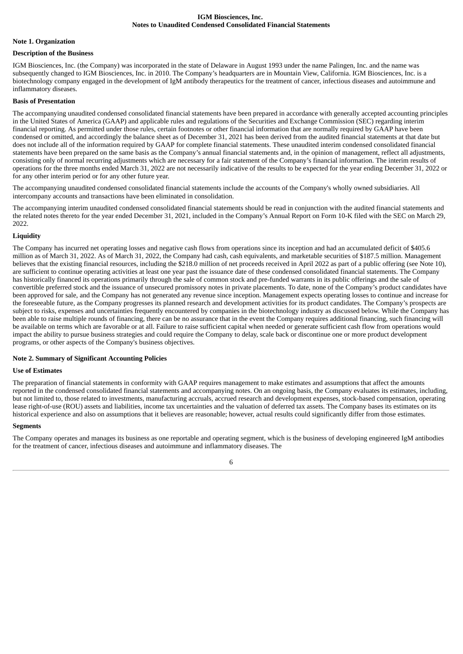#### **IGM Biosciences, Inc. Notes to Unaudited Condensed Consolidated Financial Statements**

#### <span id="page-8-0"></span>**Note 1. Organization**

#### **Description of the Business**

IGM Biosciences, Inc. (the Company) was incorporated in the state of Delaware in August 1993 under the name Palingen, Inc. and the name was subsequently changed to IGM Biosciences, Inc. in 2010. The Company's headquarters are in Mountain View, California. IGM Biosciences, Inc. is a biotechnology company engaged in the development of IgM antibody therapeutics for the treatment of cancer, infectious diseases and autoimmune and inflammatory diseases.

#### **Basis of Presentation**

The accompanying unaudited condensed consolidated financial statements have been prepared in accordance with generally accepted accounting principles in the United States of America (GAAP) and applicable rules and regulations of the Securities and Exchange Commission (SEC) regarding interim financial reporting. As permitted under those rules, certain footnotes or other financial information that are normally required by GAAP have been condensed or omitted, and accordingly the balance sheet as of December 31, 2021 has been derived from the audited financial statements at that date but does not include all of the information required by GAAP for complete financial statements. These unaudited interim condensed consolidated financial statements have been prepared on the same basis as the Company's annual financial statements and, in the opinion of management, reflect all adjustments, consisting only of normal recurring adjustments which are necessary for a fair statement of the Company's financial information. The interim results of operations for the three months ended March 31, 2022 are not necessarily indicative of the results to be expected for the year ending December 31, 2022 or for any other interim period or for any other future year.

The accompanying unaudited condensed consolidated financial statements include the accounts of the Company's wholly owned subsidiaries. All intercompany accounts and transactions have been eliminated in consolidation.

The accompanying interim unaudited condensed consolidated financial statements should be read in conjunction with the audited financial statements and the related notes thereto for the year ended December 31, 2021, included in the Company's Annual Report on Form 10-K filed with the SEC on March 29, 2022.

#### **Liquidity**

The Company has incurred net operating losses and negative cash flows from operations since its inception and had an accumulated deficit of \$405.6 million as of March 31, 2022. As of March 31, 2022, the Company had cash, cash equivalents, and marketable securities of \$187.5 million. Management believes that the existing financial resources, including the \$218.0 million of net proceeds received in April 2022 as part of a public offering (see Note 10), are sufficient to continue operating activities at least one year past the issuance date of these condensed consolidated financial statements. The Company has historically financed its operations primarily through the sale of common stock and pre-funded warrants in its public offerings and the sale of convertible preferred stock and the issuance of unsecured promissory notes in private placements. To date, none of the Company's product candidates have been approved for sale, and the Company has not generated any revenue since inception. Management expects operating losses to continue and increase for the foreseeable future, as the Company progresses its planned research and development activities for its product candidates. The Company's prospects are subject to risks, expenses and uncertainties frequently encountered by companies in the biotechnology industry as discussed below. While the Company has been able to raise multiple rounds of financing, there can be no assurance that in the event the Company requires additional financing, such financing will be available on terms which are favorable or at all. Failure to raise sufficient capital when needed or generate sufficient cash flow from operations would impact the ability to pursue business strategies and could require the Company to delay, scale back or discontinue one or more product development programs, or other aspects of the Company's business objectives.

#### **Note 2. Summary of Significant Accounting Policies**

## **Use of Estimates**

The preparation of financial statements in conformity with GAAP requires management to make estimates and assumptions that affect the amounts reported in the condensed consolidated financial statements and accompanying notes. On an ongoing basis, the Company evaluates its estimates, including, but not limited to, those related to investments, manufacturing accruals, accrued research and development expenses, stock-based compensation, operating lease right-of-use (ROU) assets and liabilities, income tax uncertainties and the valuation of deferred tax assets. The Company bases its estimates on its historical experience and also on assumptions that it believes are reasonable; however, actual results could significantly differ from those estimates.

#### **Segments**

The Company operates and manages its business as one reportable and operating segment, which is the business of developing engineered IgM antibodies for the treatment of cancer, infectious diseases and autoimmune and inflammatory diseases. The

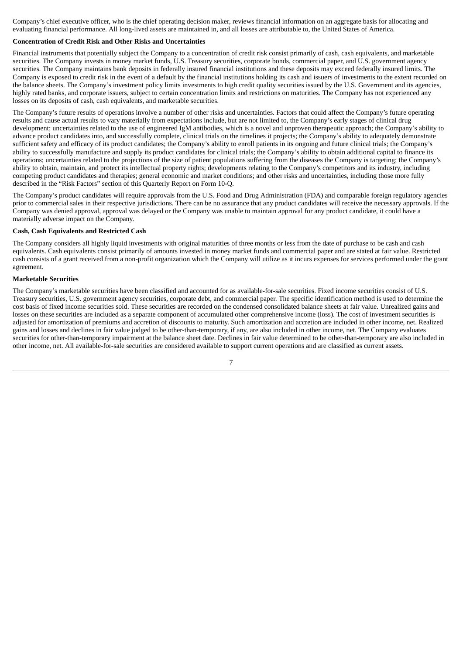Company's chief executive officer, who is the chief operating decision maker, reviews financial information on an aggregate basis for allocating and evaluating financial performance. All long-lived assets are maintained in, and all losses are attributable to, the United States of America.

# **Concentration of Credit Risk and Other Risks and Uncertainties**

Financial instruments that potentially subject the Company to a concentration of credit risk consist primarily of cash, cash equivalents, and marketable securities. The Company invests in money market funds, U.S. Treasury securities, corporate bonds, commercial paper, and U.S. government agency securities. The Company maintains bank deposits in federally insured financial institutions and these deposits may exceed federally insured limits. The Company is exposed to credit risk in the event of a default by the financial institutions holding its cash and issuers of investments to the extent recorded on the balance sheets. The Company's investment policy limits investments to high credit quality securities issued by the U.S. Government and its agencies, highly rated banks, and corporate issuers, subject to certain concentration limits and restrictions on maturities. The Company has not experienced any losses on its deposits of cash, cash equivalents, and marketable securities.

The Company's future results of operations involve a number of other risks and uncertainties. Factors that could affect the Company's future operating results and cause actual results to vary materially from expectations include, but are not limited to, the Company's early stages of clinical drug development; uncertainties related to the use of engineered IgM antibodies, which is a novel and unproven therapeutic approach; the Company's ability to advance product candidates into, and successfully complete, clinical trials on the timelines it projects; the Company's ability to adequately demonstrate sufficient safety and efficacy of its product candidates; the Company's ability to enroll patients in its ongoing and future clinical trials; the Company's ability to successfully manufacture and supply its product candidates for clinical trials; the Company's ability to obtain additional capital to finance its operations; uncertainties related to the projections of the size of patient populations suffering from the diseases the Company is targeting; the Company's ability to obtain, maintain, and protect its intellectual property rights; developments relating to the Company's competitors and its industry, including competing product candidates and therapies; general economic and market conditions; and other risks and uncertainties, including those more fully described in the "Risk Factors" section of this Quarterly Report on Form 10-Q.

The Company's product candidates will require approvals from the U.S. Food and Drug Administration (FDA) and comparable foreign regulatory agencies prior to commercial sales in their respective jurisdictions. There can be no assurance that any product candidates will receive the necessary approvals. If the Company was denied approval, approval was delayed or the Company was unable to maintain approval for any product candidate, it could have a materially adverse impact on the Company.

#### **Cash, Cash Equivalents and Restricted Cash**

The Company considers all highly liquid investments with original maturities of three months or less from the date of purchase to be cash and cash equivalents. Cash equivalents consist primarily of amounts invested in money market funds and commercial paper and are stated at fair value. Restricted cash consists of a grant received from a non-profit organization which the Company will utilize as it incurs expenses for services performed under the grant agreement.

## **Marketable Securities**

The Company's marketable securities have been classified and accounted for as available-for-sale securities. Fixed income securities consist of U.S. Treasury securities, U.S. government agency securities, corporate debt, and commercial paper. The specific identification method is used to determine the cost basis of fixed income securities sold. These securities are recorded on the condensed consolidated balance sheets at fair value. Unrealized gains and losses on these securities are included as a separate component of accumulated other comprehensive income (loss). The cost of investment securities is adjusted for amortization of premiums and accretion of discounts to maturity. Such amortization and accretion are included in other income, net. Realized gains and losses and declines in fair value judged to be other-than-temporary, if any, are also included in other income, net. The Company evaluates securities for other-than-temporary impairment at the balance sheet date. Declines in fair value determined to be other-than-temporary are also included in other income, net. All available-for-sale securities are considered available to support current operations and are classified as current assets.

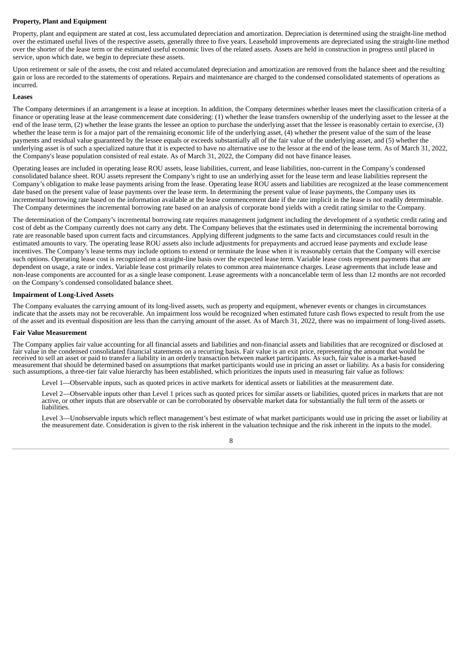# **Property, Plant and Equipment**

Property, plant and equipment are stated at cost, less accumulated depreciation and amortization. Depreciation is determined using the straight-line method over the estimated useful lives of the respective assets, generally three to five years. Leasehold improvements are depreciated using the straight-line method over the shorter of the lease term or the estimated useful economic lives of the related assets. Assets are held in construction in progress until placed in service, upon which date, we begin to depreciate these assets.

Upon retirement or sale of the assets, the cost and related accumulated depreciation and amortization are removed from the balance sheet and the resulting gain or loss are recorded to the statements of operations. Repairs and maintenance are charged to the condensed consolidated statements of operations as incurred.

#### **Leases**

The Company determines if an arrangement is a lease at inception. In addition, the Company determines whether leases meet the classification criteria of a finance or operating lease at the lease commencement date considering: (1) whether the lease transfers ownership of the underlying asset to the lessee at the end of the lease term, (2) whether the lease grants the lessee an option to purchase the underlying asset that the lessee is reasonably certain to exercise, (3) whether the lease term is for a major part of the remaining economic life of the underlying asset, (4) whether the present value of the sum of the lease payments and residual value guaranteed by the lessee equals or exceeds substantially all of the fair value of the underlying asset, and (5) whether the underlying asset is of such a specialized nature that it is expected to have no alternative use to the lessor at the end of the lease term. As of March 31, 2022, the Company's lease population consisted of real estate. As of March 31, 2022, the Company did not have finance leases.

Operating leases are included in operating lease ROU assets, lease liabilities, current, and lease liabilities, non-current in the Company's condensed consolidated balance sheet. ROU assets represent the Company's right to use an underlying asset for the lease term and lease liabilities represent the Company's obligation to make lease payments arising from the lease. Operating lease ROU assets and liabilities are recognized at the lease commencement date based on the present value of lease payments over the lease term. In determining the present value of lease payments, the Company uses its incremental borrowing rate based on the information available at the lease commencement date if the rate implicit in the lease is not readily determinable. The Company determines the incremental borrowing rate based on an analysis of corporate bond yields with a credit rating similar to the Company.

The determination of the Company's incremental borrowing rate requires management judgment including the development of a synthetic credit rating and cost of debt as the Company currently does not carry any debt. The Company believes that the estimates used in determining the incremental borrowing rate are reasonable based upon current facts and circumstances. Applying different judgments to the same facts and circumstances could result in the estimated amounts to vary. The operating lease ROU assets also include adjustments for prepayments and accrued lease payments and exclude lease incentives. The Company's lease terms may include options to extend or terminate the lease when it is reasonably certain that the Company will exercise such options. Operating lease cost is recognized on a straight-line basis over the expected lease term. Variable lease costs represent payments that are dependent on usage, a rate or index. Variable lease cost primarily relates to common area maintenance charges. Lease agreements that include lease and non-lease components are accounted for as a single lease component. Lease agreements with a noncancelable term of less than 12 months are not recorded on the Company's condensed consolidated balance sheet.

#### **Impairment of Long-Lived Assets**

The Company evaluates the carrying amount of its long-lived assets, such as property and equipment, whenever events or changes in circumstances indicate that the assets may not be recoverable. An impairment loss would be recognized when estimated future cash flows expected to result from the use of the asset and its eventual disposition are less than the carrying amount of the asset. As of March 31, 2022, there was no impairment of long-lived assets.

#### **Fair Value Measurement**

The Company applies fair value accounting for all financial assets and liabilities and non-financial assets and liabilities that are recognized or disclosed at fair value in the condensed consolidated financial statements on a recurring basis. Fair value is an exit price, representing the amount that would be received to sell an asset or paid to transfer a liability in an orderly transaction between market participants. As such, fair value is a market-based measurement that should be determined based on assumptions that market participants would use in pricing an asset or liability. As a basis for considering such assumptions, a three-tier fair value hierarchy has been established, which prioritizes the inputs used in measuring fair value as follows:

Level 1—Observable inputs, such as quoted prices in active markets for identical assets or liabilities at the measurement date.

Level 2—Observable inputs other than Level 1 prices such as quoted prices for similar assets or liabilities, quoted prices in markets that are not active, or other inputs that are observable or can be corroborated by observable market data for substantially the full term of the assets or liabilities.

Level 3—Unobservable inputs which reflect management's best estimate of what market participants would use in pricing the asset or liability at the measurement date. Consideration is given to the risk inherent in the valuation technique and the risk inherent in the inputs to the model.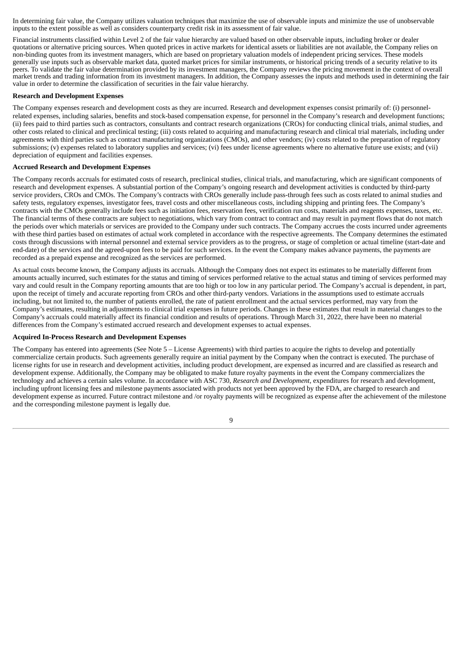In determining fair value, the Company utilizes valuation techniques that maximize the use of observable inputs and minimize the use of unobservable inputs to the extent possible as well as considers counterparty credit risk in its assessment of fair value.

Financial instruments classified within Level 2 of the fair value hierarchy are valued based on other observable inputs, including broker or dealer quotations or alternative pricing sources. When quoted prices in active markets for identical assets or liabilities are not available, the Company relies on non-binding quotes from its investment managers, which are based on proprietary valuation models of independent pricing services. These models generally use inputs such as observable market data, quoted market prices for similar instruments, or historical pricing trends of a security relative to its peers. To validate the fair value determination provided by its investment managers, the Company reviews the pricing movement in the context of overall market trends and trading information from its investment managers. In addition, the Company assesses the inputs and methods used in determining the fair value in order to determine the classification of securities in the fair value hierarchy.

# **Research and Development Expenses**

The Company expenses research and development costs as they are incurred. Research and development expenses consist primarily of: (i) personnelrelated expenses, including salaries, benefits and stock-based compensation expense, for personnel in the Company's research and development functions; (ii) fees paid to third parties such as contractors, consultants and contract research organizations (CROs) for conducting clinical trials, animal studies, and other costs related to clinical and preclinical testing; (iii) costs related to acquiring and manufacturing research and clinical trial materials, including under agreements with third parties such as contract manufacturing organizations (CMOs), and other vendors; (iv) costs related to the preparation of regulatory submissions; (v) expenses related to laboratory supplies and services; (vi) fees under license agreements where no alternative future use exists; and (vii) depreciation of equipment and facilities expenses.

## **Accrued Research and Development Expenses**

The Company records accruals for estimated costs of research, preclinical studies, clinical trials, and manufacturing, which are significant components of research and development expenses. A substantial portion of the Company's ongoing research and development activities is conducted by third-party service providers, CROs and CMOs. The Company's contracts with CROs generally include pass-through fees such as costs related to animal studies and safety tests, regulatory expenses, investigator fees, travel costs and other miscellaneous costs, including shipping and printing fees. The Company's contracts with the CMOs generally include fees such as initiation fees, reservation fees, verification run costs, materials and reagents expenses, taxes, etc. The financial terms of these contracts are subject to negotiations, which vary from contract to contract and may result in payment flows that do not match the periods over which materials or services are provided to the Company under such contracts. The Company accrues the costs incurred under agreements with these third parties based on estimates of actual work completed in accordance with the respective agreements. The Company determines the estimated costs through discussions with internal personnel and external service providers as to the progress, or stage of completion or actual timeline (start-date and end-date) of the services and the agreed-upon fees to be paid for such services. In the event the Company makes advance payments, the payments are recorded as a prepaid expense and recognized as the services are performed.

As actual costs become known, the Company adjusts its accruals. Although the Company does not expect its estimates to be materially different from amounts actually incurred, such estimates for the status and timing of services performed relative to the actual status and timing of services performed may vary and could result in the Company reporting amounts that are too high or too low in any particular period. The Company's accrual is dependent, in part, upon the receipt of timely and accurate reporting from CROs and other third-party vendors. Variations in the assumptions used to estimate accruals including, but not limited to, the number of patients enrolled, the rate of patient enrollment and the actual services performed, may vary from the Company's estimates, resulting in adjustments to clinical trial expenses in future periods. Changes in these estimates that result in material changes to the Company's accruals could materially affect its financial condition and results of operations. Through March 31, 2022, there have been no material differences from the Company's estimated accrued research and development expenses to actual expenses.

#### **Acquired In-Process Research and Development Expenses**

The Company has entered into agreements (See Note 5 – License Agreements) with third parties to acquire the rights to develop and potentially commercialize certain products. Such agreements generally require an initial payment by the Company when the contract is executed. The purchase of license rights for use in research and development activities, including product development, are expensed as incurred and are classified as research and development expense. Additionally, the Company may be obligated to make future royalty payments in the event the Company commercializes the technology and achieves a certain sales volume. In accordance with ASC 730, *Research and Development*, expenditures for research and development, including upfront licensing fees and milestone payments associated with products not yet been approved by the FDA, are charged to research and development expense as incurred. Future contract milestone and /or royalty payments will be recognized as expense after the achievement of the milestone and the corresponding milestone payment is legally due.

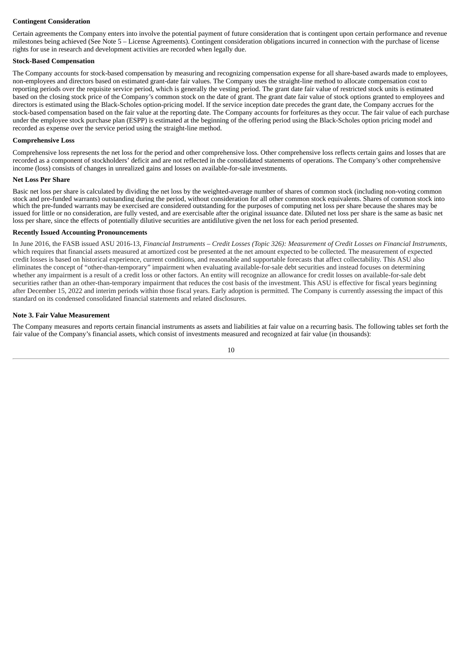# **Contingent Consideration**

Certain agreements the Company enters into involve the potential payment of future consideration that is contingent upon certain performance and revenue milestones being achieved (See Note 5 – License Agreements). Contingent consideration obligations incurred in connection with the purchase of license rights for use in research and development activities are recorded when legally due.

## **Stock-Based Compensation**

The Company accounts for stock-based compensation by measuring and recognizing compensation expense for all share-based awards made to employees, non-employees and directors based on estimated grant-date fair values. The Company uses the straight-line method to allocate compensation cost to reporting periods over the requisite service period, which is generally the vesting period. The grant date fair value of restricted stock units is estimated based on the closing stock price of the Company's common stock on the date of grant. The grant date fair value of stock options granted to employees and directors is estimated using the Black-Scholes option-pricing model. If the service inception date precedes the grant date, the Company accrues for the stock-based compensation based on the fair value at the reporting date. The Company accounts for forfeitures as they occur. The fair value of each purchase under the employee stock purchase plan (ESPP) is estimated at the beginning of the offering period using the Black-Scholes option pricing model and recorded as expense over the service period using the straight-line method.

# **Comprehensive Loss**

Comprehensive loss represents the net loss for the period and other comprehensive loss. Other comprehensive loss reflects certain gains and losses that are recorded as a component of stockholders' deficit and are not reflected in the consolidated statements of operations. The Company's other comprehensive income (loss) consists of changes in unrealized gains and losses on available-for-sale investments.

#### **Net Loss Per Share**

Basic net loss per share is calculated by dividing the net loss by the weighted-average number of shares of common stock (including non-voting common stock and pre-funded warrants) outstanding during the period, without consideration for all other common stock equivalents. Shares of common stock into which the pre-funded warrants may be exercised are considered outstanding for the purposes of computing net loss per share because the shares may be issued for little or no consideration, are fully vested, and are exercisable after the original issuance date. Diluted net loss per share is the same as basic net loss per share, since the effects of potentially dilutive securities are antidilutive given the net loss for each period presented.

## **Recently Issued Accounting Pronouncements**

In June 2016, the FASB issued ASU 2016-13, Financial Instruments - Credit Losses (Topic 326): Measurement of Credit Losses on Financial Instruments, which requires that financial assets measured at amortized cost be presented at the net amount expected to be collected. The measurement of expected credit losses is based on historical experience, current conditions, and reasonable and supportable forecasts that affect collectability. This ASU also eliminates the concept of "other-than-temporary" impairment when evaluating available-for-sale debt securities and instead focuses on determining whether any impairment is a result of a credit loss or other factors. An entity will recognize an allowance for credit losses on available-for-sale debt securities rather than an other-than-temporary impairment that reduces the cost basis of the investment. This ASU is effective for fiscal years beginning after December 15, 2022 and interim periods within those fiscal years. Early adoption is permitted. The Company is currently assessing the impact of this standard on its condensed consolidated financial statements and related disclosures.

## **Note 3. Fair Value Measurement**

The Company measures and reports certain financial instruments as assets and liabilities at fair value on a recurring basis. The following tables set forth the fair value of the Company's financial assets, which consist of investments measured and recognized at fair value (in thousands):

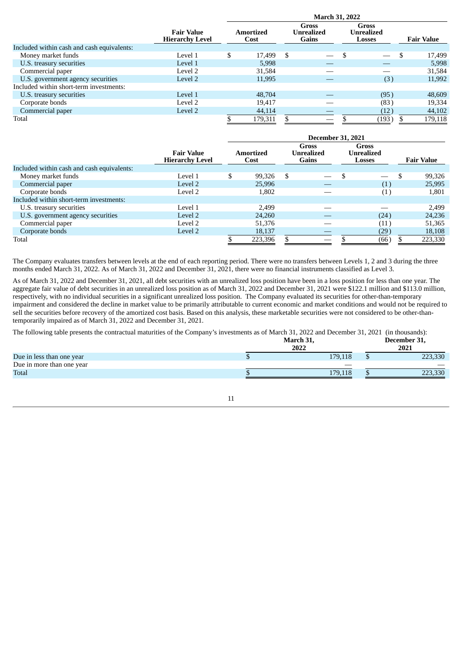|                                            |                                             | <b>March 31, 2022</b> |                   |     |                                     |  |                                      |  |                   |
|--------------------------------------------|---------------------------------------------|-----------------------|-------------------|-----|-------------------------------------|--|--------------------------------------|--|-------------------|
|                                            | <b>Fair Value</b><br><b>Hierarchy Level</b> |                       | Amortized<br>Cost |     | <b>Gross</b><br>Unrealized<br>Gains |  | Gross<br><b>Unrealized</b><br>Losses |  | <b>Fair Value</b> |
| Included within cash and cash equivalents: |                                             |                       |                   |     |                                     |  |                                      |  |                   |
| Money market funds                         | Level 1                                     | \$                    | 17,499            | \$. |                                     |  |                                      |  | 17,499            |
| U.S. treasury securities                   | Level 1                                     |                       | 5,998             |     |                                     |  |                                      |  | 5,998             |
| Commercial paper                           | Level 2                                     |                       | 31,584            |     |                                     |  |                                      |  | 31,584            |
| U.S. government agency securities          | Level 2                                     |                       | 11,995            |     |                                     |  | (3)                                  |  | 11,992            |
| Included within short-term investments:    |                                             |                       |                   |     |                                     |  |                                      |  |                   |
| U.S. treasury securities                   | Level 1                                     |                       | 48,704            |     |                                     |  | (95)                                 |  | 48,609            |
| Corporate bonds                            | Level 2                                     |                       | 19,417            |     |                                     |  | (83)                                 |  | 19,334            |
| Commercial paper                           | Level 2                                     |                       | 44,114            |     |                                     |  | (12)                                 |  | 44,102            |
| Total                                      |                                             |                       | 179,311           |     |                                     |  | (193)                                |  | 179,118           |

|                                            |                                             | <b>December 31, 2021</b> |                   |    |                                            |  |                                             |    |                   |
|--------------------------------------------|---------------------------------------------|--------------------------|-------------------|----|--------------------------------------------|--|---------------------------------------------|----|-------------------|
|                                            | <b>Fair Value</b><br><b>Hierarchy Level</b> |                          | Amortized<br>Cost |    | Gross<br><b>Unrealized</b><br><b>Gains</b> |  | Gross<br><b>Unrealized</b><br><b>Losses</b> |    | <b>Fair Value</b> |
| Included within cash and cash equivalents: |                                             |                          |                   |    |                                            |  |                                             |    |                   |
| Money market funds                         | Level 1                                     | \$                       | 99,326            | \$ |                                            |  |                                             | \$ | 99,326            |
| Commercial paper                           | Level 2                                     |                          | 25,996            |    |                                            |  | (1)                                         |    | 25,995            |
| Corporate bonds                            | Level 2                                     |                          | 1,802             |    |                                            |  | (1)                                         |    | 1,801             |
| Included within short-term investments:    |                                             |                          |                   |    |                                            |  |                                             |    |                   |
| U.S. treasury securities                   | Level 1                                     |                          | 2.499             |    |                                            |  |                                             |    | 2,499             |
| U.S. government agency securities          | Level 2                                     |                          | 24,260            |    |                                            |  | (24)                                        |    | 24,236            |
| Commercial paper                           | Level 2                                     |                          | 51,376            |    |                                            |  | (11)                                        |    | 51,365            |
| Corporate bonds                            | Level 2                                     |                          | 18,137            |    |                                            |  | (29)                                        |    | 18,108            |
| Total                                      |                                             |                          | 223,396           |    |                                            |  | (66)                                        |    | 223,330           |

The Company evaluates transfers between levels at the end of each reporting period. There were no transfers between Levels 1, 2 and 3 during the three months ended March 31, 2022. As of March 31, 2022 and December 31, 2021, there were no financial instruments classified as Level 3.

As of March 31, 2022 and December 31, 2021, all debt securities with an unrealized loss position have been in a loss position for less than one year. The aggregate fair value of debt securities in an unrealized loss position as of March 31, 2022 and December 31, 2021 were \$122.1 million and \$113.0 million, respectively, with no individual securities in a significant unrealized loss position. The Company evaluated its securities for other-than-temporary impairment and considered the decline in market value to be primarily attributable to current economic and market conditions and would not be required to sell the securities before recovery of the amortized cost basis. Based on this analysis, these marketable securities were not considered to be other-thantemporarily impaired as of March 31, 2022 and December 31, 2021.

The following table presents the contractual maturities of the Company's investments as of March 31, 2022 and December 31, 2021 (in thousands):

|                           | March 31,<br>2022 | December 31,<br>2021 |
|---------------------------|-------------------|----------------------|
| Due in less than one year | 179,118           | 223,330              |
| Due in more than one year |                   |                      |
| Total                     | 179.118           | 223,330              |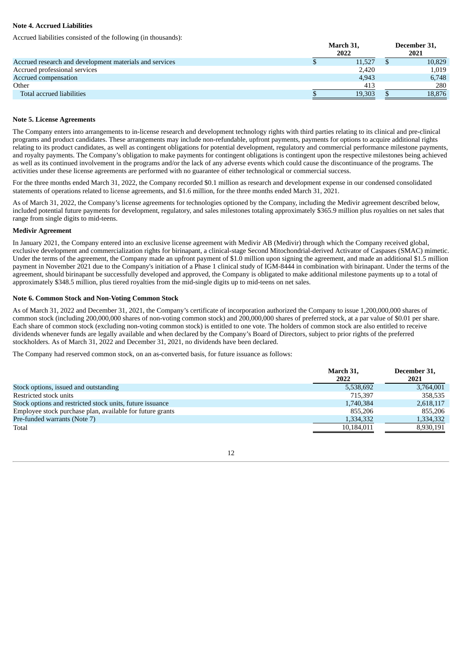# **Note 4. Accrued Liabilities**

Accrued liabilities consisted of the following (in thousands):

|                                                         |  | December 31,<br>2021 |        |  |  |  |
|---------------------------------------------------------|--|----------------------|--------|--|--|--|
| Accrued research and development materials and services |  | 11,527               | 10,829 |  |  |  |
| Accrued professional services                           |  | 2,420                | 1,019  |  |  |  |
| Accrued compensation                                    |  | 4,943                | 6,748  |  |  |  |
| Other                                                   |  | 413                  | 280    |  |  |  |
| Total accrued liabilities                               |  | 19.303               | 18.876 |  |  |  |

#### **Note 5. License Agreements**

The Company enters into arrangements to in-license research and development technology rights with third parties relating to its clinical and pre-clinical programs and product candidates. These arrangements may include non-refundable, upfront payments, payments for options to acquire additional rights relating to its product candidates, as well as contingent obligations for potential development, regulatory and commercial performance milestone payments, and royalty payments. The Company's obligation to make payments for contingent obligations is contingent upon the respective milestones being achieved as well as its continued involvement in the programs and/or the lack of any adverse events which could cause the discontinuance of the programs. The activities under these license agreements are performed with no guarantee of either technological or commercial success.

For the three months ended March 31, 2022, the Company recorded \$0.1 million as research and development expense in our condensed consolidated statements of operations related to license agreements, and \$1.6 million, for the three months ended March 31, 2021.

As of March 31, 2022, the Company's license agreements for technologies optioned by the Company, including the Medivir agreement described below, included potential future payments for development, regulatory, and sales milestones totaling approximately \$365.9 million plus royalties on net sales that range from single digits to mid-teens.

## **Medivir Agreement**

In January 2021, the Company entered into an exclusive license agreement with Medivir AB (Medivir) through which the Company received global, exclusive development and commercialization rights for birinapant, a clinical-stage Second Mitochondrial-derived Activator of Caspases (SMAC) mimetic. Under the terms of the agreement, the Company made an upfront payment of \$1.0 million upon signing the agreement, and made an additional \$1.5 million payment in November 2021 due to the Company's initiation of a Phase 1 clinical study of IGM-8444 in combination with birinapant. Under the terms of the agreement, should birinapant be successfully developed and approved, the Company is obligated to make additional milestone payments up to a total of approximately \$348.5 million, plus tiered royalties from the mid-single digits up to mid-teens on net sales.

## **Note 6. Common Stock and Non-Voting Common Stock**

As of March 31, 2022 and December 31, 2021, the Company's certificate of incorporation authorized the Company to issue 1,200,000,000 shares of common stock (including 200,000,000 shares of non-voting common stock) and 200,000,000 shares of preferred stock, at a par value of \$0.01 per share. Each share of common stock (excluding non-voting common stock) is entitled to one vote. The holders of common stock are also entitled to receive dividends whenever funds are legally available and when declared by the Company's Board of Directors, subject to prior rights of the preferred stockholders. As of March 31, 2022 and December 31, 2021, no dividends have been declared.

The Company had reserved common stock, on an as-converted basis, for future issuance as follows:

|                                                           | March 31,<br>2022 | December 31,<br>2021 |
|-----------------------------------------------------------|-------------------|----------------------|
| Stock options, issued and outstanding                     | 5,538,692         | 3,764,001            |
| Restricted stock units                                    | 715.397           | 358,535              |
| Stock options and restricted stock units, future issuance | 1,740,384         | 2,618,117            |
| Employee stock purchase plan, available for future grants | 855.206           | 855.206              |
| Pre-funded warrants (Note 7)                              | 1,334,332         | 1,334,332            |
| Total                                                     | 10,184,011        | 8,930,191            |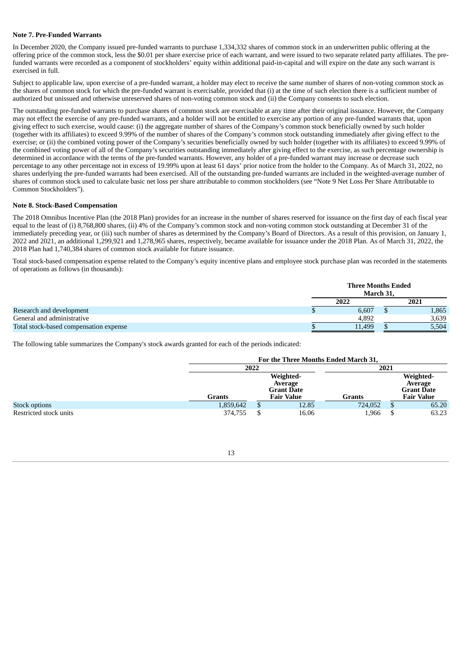## **Note 7. Pre-Funded Warrants**

In December 2020, the Company issued pre-funded warrants to purchase 1,334,332 shares of common stock in an underwritten public offering at the offering price of the common stock, less the \$0.01 per share exercise price of each warrant, and were issued to two separate related party affiliates. The prefunded warrants were recorded as a component of stockholders' equity within additional paid-in-capital and will expire on the date any such warrant is exercised in full.

Subject to applicable law, upon exercise of a pre-funded warrant, a holder may elect to receive the same number of shares of non-voting common stock as the shares of common stock for which the pre-funded warrant is exercisable, provided that (i) at the time of such election there is a sufficient number of authorized but unissued and otherwise unreserved shares of non-voting common stock and (ii) the Company consents to such election.

The outstanding pre-funded warrants to purchase shares of common stock are exercisable at any time after their original issuance. However, the Company may not effect the exercise of any pre-funded warrants, and a holder will not be entitled to exercise any portion of any pre-funded warrants that, upon giving effect to such exercise, would cause: (i) the aggregate number of shares of the Company's common stock beneficially owned by such holder (together with its affiliates) to exceed 9.99% of the number of shares of the Company's common stock outstanding immediately after giving effect to the exercise; or (ii) the combined voting power of the Company's securities beneficially owned by such holder (together with its affiliates) to exceed 9.99% of the combined voting power of all of the Company's securities outstanding immediately after giving effect to the exercise, as such percentage ownership is determined in accordance with the terms of the pre-funded warrants. However, any holder of a pre-funded warrant may increase or decrease such percentage to any other percentage not in excess of 19.99% upon at least 61 days' prior notice from the holder to the Company. As of March 31, 2022, no shares underlying the pre-funded warrants had been exercised. All of the outstanding pre-funded warrants are included in the weighted-average number of shares of common stock used to calculate basic net loss per share attributable to common stockholders (see "Note 9 Net Loss Per Share Attributable to Common Stockholders").

## **Note 8. Stock-Based Compensation**

The 2018 Omnibus Incentive Plan (the 2018 Plan) provides for an increase in the number of shares reserved for issuance on the first day of each fiscal year equal to the least of (i) 8,768,800 shares, (ii) 4% of the Company's common stock and non-voting common stock outstanding at December 31 of the immediately preceding year, or (iii) such number of shares as determined by the Company's Board of Directors. As a result of this provision, on January 1, 2022 and 2021, an additional 1,299,921 and 1,278,965 shares, respectively, became available for issuance under the 2018 Plan. As of March 31, 2022, the 2018 Plan had 1,740,384 shares of common stock available for future issuance.

Total stock-based compensation expense related to the Company's equity incentive plans and employee stock purchase plan was recorded in the statements of operations as follows (in thousands):

|                                        | <b>Three Months Ended</b><br>March 31. |      |       |  |
|----------------------------------------|----------------------------------------|------|-------|--|
|                                        | 2022                                   | 2021 |       |  |
| Research and development               | 6,607                                  |      | L,865 |  |
| General and administrative             | 4,892                                  |      | 3,639 |  |
| Total stock-based compensation expense | 11,499                                 |      | 5,504 |  |

The following table summarizes the Company's stock awards granted for each of the periods indicated:

|                        | For the Three Months Ended March 31, |                                           |            |               |      |                                           |
|------------------------|--------------------------------------|-------------------------------------------|------------|---------------|------|-------------------------------------------|
|                        | 2022                                 |                                           |            |               | 2021 |                                           |
|                        |                                      | Weighted-<br>Average<br><b>Grant Date</b> |            |               |      | Weighted-<br>Average<br><b>Grant Date</b> |
|                        | Grants                               |                                           | Fair Value | <b>Grants</b> |      | <b>Fair Value</b>                         |
| Stock options          | 1,859,642                            | S                                         | 12.85      | 724,052       | S    | 65.20                                     |
| Restricted stock units | 374,755                              |                                           | 16.06      | 1,966         |      | 63.23                                     |

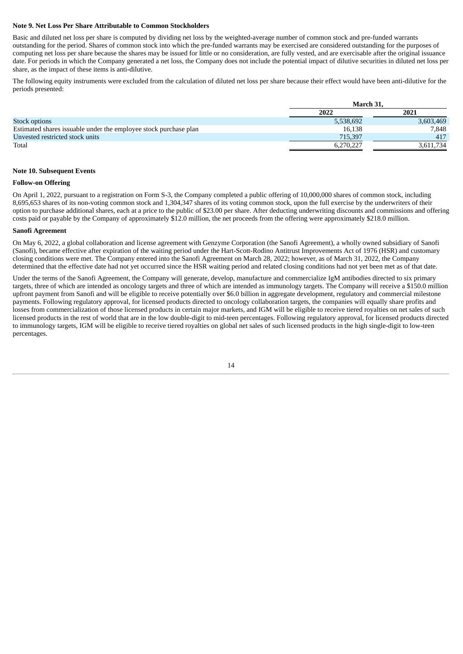# **Note 9. Net Loss Per Share Attributable to Common Stockholders**

Basic and diluted net loss per share is computed by dividing net loss by the weighted-average number of common stock and pre-funded warrants outstanding for the period. Shares of common stock into which the pre-funded warrants may be exercised are considered outstanding for the purposes of computing net loss per share because the shares may be issued for little or no consideration, are fully vested, and are exercisable after the original issuance date. For periods in which the Company generated a net loss, the Company does not include the potential impact of dilutive securities in diluted net loss per share, as the impact of these items is anti-dilutive.

The following equity instruments were excluded from the calculation of diluted net loss per share because their effect would have been anti-dilutive for the periods presented:

|                                                                  | March 31. |           |  |  |
|------------------------------------------------------------------|-----------|-----------|--|--|
|                                                                  | 2022      | 2021      |  |  |
| <b>Stock options</b>                                             | 5,538,692 | 3,603,469 |  |  |
| Estimated shares issuable under the employee stock purchase plan | 16,138    | 7.848     |  |  |
| Unvested restricted stock units                                  | 715.397   | 417       |  |  |
| Total                                                            | 6,270,227 | 3.611.734 |  |  |

#### **Note 10. Subsequent Events**

#### **Follow-on Offering**

On April 1, 2022, pursuant to a registration on Form S-3, the Company completed a public offering of 10,000,000 shares of common stock, including 8,695,653 shares of its non-voting common stock and 1,304,347 shares of its voting common stock, upon the full exercise by the underwriters of their option to purchase additional shares, each at a price to the public of \$23.00 per share. After deducting underwriting discounts and commissions and offering costs paid or payable by the Company of approximately \$12.0 million, the net proceeds from the offering were approximately \$218.0 million.

#### **Sanofi Agreement**

On May 6, 2022, a global collaboration and license agreement with Genzyme Corporation (the Sanofi Agreement), a wholly owned subsidiary of Sanofi (Sanofi), became effective after expiration of the waiting period under the Hart-Scott-Rodino Antitrust Improvements Act of 1976 (HSR) and customary closing conditions were met. The Company entered into the Sanofi Agreement on March 28, 2022; however, as of March 31, 2022, the Company determined that the effective date had not yet occurred since the HSR waiting period and related closing conditions had not yet been met as of that date.

Under the terms of the Sanofi Agreement, the Company will generate, develop, manufacture and commercialize IgM antibodies directed to six primary targets, three of which are intended as oncology targets and three of which are intended as immunology targets. The Company will receive a \$150.0 million upfront payment from Sanofi and will be eligible to receive potentially over \$6.0 billion in aggregate development, regulatory and commercial milestone payments. Following regulatory approval, for licensed products directed to oncology collaboration targets, the companies will equally share profits and losses from commercialization of those licensed products in certain major markets, and IGM will be eligible to receive tiered royalties on net sales of such licensed products in the rest of world that are in the low double-digit to mid-teen percentages. Following regulatory approval, for licensed products directed to immunology targets, IGM will be eligible to receive tiered royalties on global net sales of such licensed products in the high single-digit to low-teen percentages.

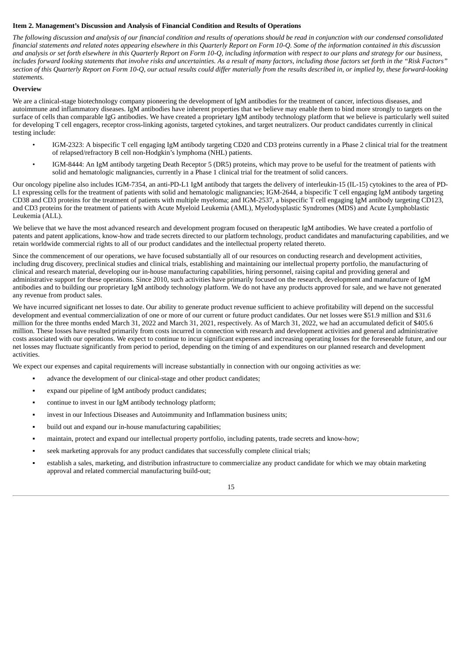# <span id="page-17-0"></span>**Item 2. Management's Discussion and Analysis of Financial Condition and Results of Operations**

The following discussion and analysis of our financial condition and results of operations should be read in conjunction with our condensed consolidated financial statements and related notes appearing elsewhere in this Quarterly Report on Form 10-Q. Some of the information contained in this discussion and analysis or set forth elsewhere in this Quarterly Report on Form 10-Q, including information with respect to our plans and strategy for our business, includes forward looking statements that involve risks and uncertainties. As a result of many factors, including those factors set forth in the "Risk Factors" section of this Quarterly Report on Form 10-Q, our actual results could differ materially from the results described in, or implied by, these forward-looking *statements.*

# **Overview**

We are a clinical-stage biotechnology company pioneering the development of IgM antibodies for the treatment of cancer, infectious diseases, and autoimmune and inflammatory diseases. IgM antibodies have inherent properties that we believe may enable them to bind more strongly to targets on the surface of cells than comparable IgG antibodies. We have created a proprietary IgM antibody technology platform that we believe is particularly well suited for developing T cell engagers, receptor cross-linking agonists, targeted cytokines, and target neutralizers. Our product candidates currently in clinical testing include:

- IGM-2323: A bispecific T cell engaging IgM antibody targeting CD20 and CD3 proteins currently in a Phase 2 clinical trial for the treatment of relapsed/refractory B cell non-Hodgkin's lymphoma (NHL) patients.
- IGM-8444: An IgM antibody targeting Death Receptor 5 (DR5) proteins, which may prove to be useful for the treatment of patients with solid and hematologic malignancies, currently in a Phase 1 clinical trial for the treatment of solid cancers.

Our oncology pipeline also includes IGM-7354, an anti-PD-L1 IgM antibody that targets the delivery of interleukin-15 (IL-15) cytokines to the area of PD-L1 expressing cells for the treatment of patients with solid and hematologic malignancies; IGM-2644, a bispecific T cell engaging IgM antibody targeting CD38 and CD3 proteins for the treatment of patients with multiple myeloma; and IGM-2537, a bispecific T cell engaging IgM antibody targeting CD123, and CD3 proteins for the treatment of patients with Acute Myeloid Leukemia (AML), Myelodysplastic Syndromes (MDS) and Acute Lymphoblastic Leukemia (ALL).

We believe that we have the most advanced research and development program focused on therapeutic IgM antibodies. We have created a portfolio of patents and patent applications, know-how and trade secrets directed to our platform technology, product candidates and manufacturing capabilities, and we retain worldwide commercial rights to all of our product candidates and the intellectual property related thereto.

Since the commencement of our operations, we have focused substantially all of our resources on conducting research and development activities, including drug discovery, preclinical studies and clinical trials, establishing and maintaining our intellectual property portfolio, the manufacturing of clinical and research material, developing our in-house manufacturing capabilities, hiring personnel, raising capital and providing general and administrative support for these operations. Since 2010, such activities have primarily focused on the research, development and manufacture of IgM antibodies and to building our proprietary IgM antibody technology platform. We do not have any products approved for sale, and we have not generated any revenue from product sales.

We have incurred significant net losses to date. Our ability to generate product revenue sufficient to achieve profitability will depend on the successful development and eventual commercialization of one or more of our current or future product candidates. Our net losses were \$51.9 million and \$31.6 million for the three months ended March 31, 2022 and March 31, 2021, respectively. As of March 31, 2022, we had an accumulated deficit of \$405.6 million. These losses have resulted primarily from costs incurred in connection with research and development activities and general and administrative costs associated with our operations. We expect to continue to incur significant expenses and increasing operating losses for the foreseeable future, and our net losses may fluctuate significantly from period to period, depending on the timing of and expenditures on our planned research and development activities.

We expect our expenses and capital requirements will increase substantially in connection with our ongoing activities as we:

- advance the development of our clinical-stage and other product candidates;
- expand our pipeline of IgM antibody product candidates;
- continue to invest in our IgM antibody technology platform;
- invest in our Infectious Diseases and Autoimmunity and Inflammation business units;
- build out and expand our in-house manufacturing capabilities;
- maintain, protect and expand our intellectual property portfolio, including patents, trade secrets and know-how;
- seek marketing approvals for any product candidates that successfully complete clinical trials;
- establish a sales, marketing, and distribution infrastructure to commercialize any product candidate for which we may obtain marketing approval and related commercial manufacturing build-out;

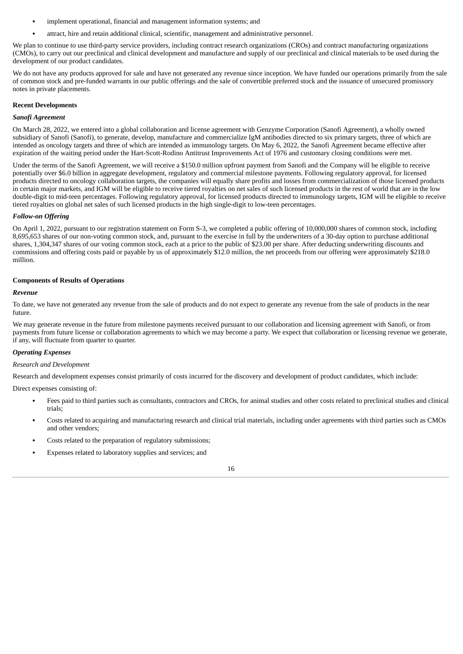- implement operational, financial and management information systems; and
- attract, hire and retain additional clinical, scientific, management and administrative personnel.

We plan to continue to use third-party service providers, including contract research organizations (CROs) and contract manufacturing organizations (CMOs), to carry out our preclinical and clinical development and manufacture and supply of our preclinical and clinical materials to be used during the development of our product candidates.

We do not have any products approved for sale and have not generated any revenue since inception. We have funded our operations primarily from the sale of common stock and pre-funded warrants in our public offerings and the sale of convertible preferred stock and the issuance of unsecured promissory notes in private placements.

### **Recent Developments**

#### *Sanofi Agreement*

On March 28, 2022, we entered into a global collaboration and license agreement with Genzyme Corporation (Sanofi Agreement), a wholly owned subsidiary of Sanofi (Sanofi), to generate, develop, manufacture and commercialize IgM antibodies directed to six primary targets, three of which are intended as oncology targets and three of which are intended as immunology targets. On May 6, 2022, the Sanofi Agreement became effective after expiration of the waiting period under the Hart-Scott-Rodino Antitrust Improvements Act of 1976 and customary closing conditions were met.

Under the terms of the Sanofi Agreement, we will receive a \$150.0 million upfront payment from Sanofi and the Company will be eligible to receive potentially over \$6.0 billion in aggregate development, regulatory and commercial milestone payments. Following regulatory approval, for licensed products directed to oncology collaboration targets, the companies will equally share profits and losses from commercialization of those licensed products in certain major markets, and IGM will be eligible to receive tiered royalties on net sales of such licensed products in the rest of world that are in the low double-digit to mid-teen percentages. Following regulatory approval, for licensed products directed to immunology targets, IGM will be eligible to receive tiered royalties on global net sales of such licensed products in the high single-digit to low-teen percentages.

# *Follow-on Offering*

On April 1, 2022, pursuant to our registration statement on Form S-3, we completed a public offering of 10,000,000 shares of common stock, including 8,695,653 shares of our non-voting common stock, and, pursuant to the exercise in full by the underwriters of a 30-day option to purchase additional shares, 1,304,347 shares of our voting common stock, each at a price to the public of \$23.00 per share. After deducting underwriting discounts and commissions and offering costs paid or payable by us of approximately \$12.0 million, the net proceeds from our offering were approximately \$218.0 million.

## **Components of Results of Operations**

## *Revenue*

To date, we have not generated any revenue from the sale of products and do not expect to generate any revenue from the sale of products in the near future.

We may generate revenue in the future from milestone payments received pursuant to our collaboration and licensing agreement with Sanofi, or from payments from future license or collaboration agreements to which we may become a party. We expect that collaboration or licensing revenue we generate, if any, will fluctuate from quarter to quarter.

# *Operating Expenses*

## *Research and Development*

Research and development expenses consist primarily of costs incurred for the discovery and development of product candidates, which include:

Direct expenses consisting of:

- Fees paid to third parties such as consultants, contractors and CROs, for animal studies and other costs related to preclinical studies and clinical trials;
- Costs related to acquiring and manufacturing research and clinical trial materials, including under agreements with third parties such as CMOs and other vendors;
- Costs related to the preparation of regulatory submissions;
- Expenses related to laboratory supplies and services; and

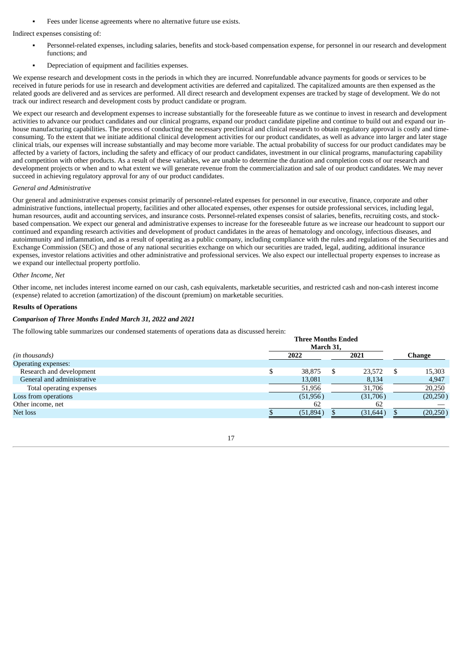Fees under license agreements where no alternative future use exists.

Indirect expenses consisting of:

- Personnel-related expenses, including salaries, benefits and stock-based compensation expense, for personnel in our research and development functions; and
- Depreciation of equipment and facilities expenses.

We expense research and development costs in the periods in which they are incurred. Nonrefundable advance payments for goods or services to be received in future periods for use in research and development activities are deferred and capitalized. The capitalized amounts are then expensed as the related goods are delivered and as services are performed. All direct research and development expenses are tracked by stage of development. We do not track our indirect research and development costs by product candidate or program.

We expect our research and development expenses to increase substantially for the foreseeable future as we continue to invest in research and development activities to advance our product candidates and our clinical programs, expand our product candidate pipeline and continue to build out and expand our inhouse manufacturing capabilities. The process of conducting the necessary preclinical and clinical research to obtain regulatory approval is costly and timeconsuming. To the extent that we initiate additional clinical development activities for our product candidates, as well as advance into larger and later stage clinical trials, our expenses will increase substantially and may become more variable. The actual probability of success for our product candidates may be affected by a variety of factors, including the safety and efficacy of our product candidates, investment in our clinical programs, manufacturing capability and competition with other products. As a result of these variables, we are unable to determine the duration and completion costs of our research and development projects or when and to what extent we will generate revenue from the commercialization and sale of our product candidates. We may never succeed in achieving regulatory approval for any of our product candidates.

## *General and Administrative*

Our general and administrative expenses consist primarily of personnel-related expenses for personnel in our executive, finance, corporate and other administrative functions, intellectual property, facilities and other allocated expenses, other expenses for outside professional services, including legal, human resources, audit and accounting services, and insurance costs. Personnel-related expenses consist of salaries, benefits, recruiting costs, and stockbased compensation. We expect our general and administrative expenses to increase for the foreseeable future as we increase our headcount to support our continued and expanding research activities and development of product candidates in the areas of hematology and oncology, infectious diseases, and autoimmunity and inflammation, and as a result of operating as a public company, including compliance with the rules and regulations of the Securities and Exchange Commission (SEC) and those of any national securities exchange on which our securities are traded, legal, auditing, additional insurance expenses, investor relations activities and other administrative and professional services. We also expect our intellectual property expenses to increase as we expand our intellectual property portfolio.

## *Other Income, Net*

Other income, net includes interest income earned on our cash, cash equivalents, marketable securities, and restricted cash and non-cash interest income (expense) related to accretion (amortization) of the discount (premium) on marketable securities.

# **Results of Operations**

# *Comparison of Three Months Ended March 31, 2022 and 2021*

The following table summarizes our condensed statements of operations data as discussed herein:

|                            | тигее монив епаса |           |      |           |  |           |
|----------------------------|-------------------|-----------|------|-----------|--|-----------|
|                            |                   | March 31, |      |           |  |           |
| (in thousands)             | 2022              |           | 2021 |           |  | Change    |
| Operating expenses:        |                   |           |      |           |  |           |
| Research and development   | \$                | 38.875    |      | 23,572    |  | 15,303    |
| General and administrative |                   | 13,081    |      | 8,134     |  | 4,947     |
| Total operating expenses   |                   | 51,956    |      | 31,706    |  | 20,250    |
| Loss from operations       |                   | (51, 956) |      | (31,706)  |  | (20, 250) |
| Other income, net          |                   | 62        |      | 62        |  |           |
| Net loss                   |                   | (51,894)  |      | (31, 644) |  | (20, 250) |
|                            |                   |           |      |           |  |           |

**Three Months Ended**

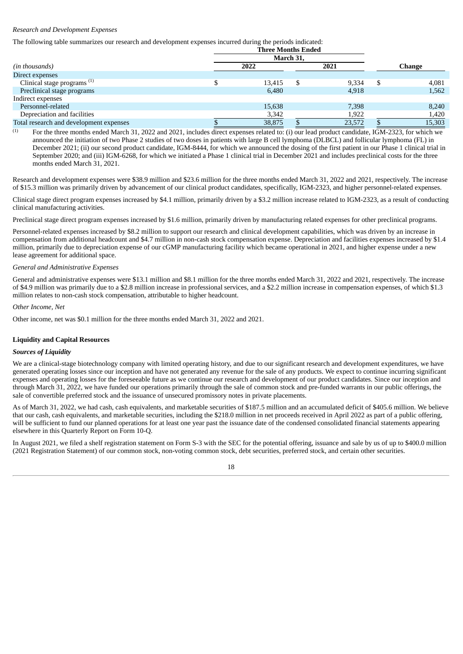# *Research and Development Expenses*

# The following table summarizes our research and development expenses incurred during the periods indicated:

| March 31, |        |      |                           |        |        |  |
|-----------|--------|------|---------------------------|--------|--------|--|
| 2022      |        | 2021 |                           | Change |        |  |
|           |        |      |                           |        |        |  |
|           | 13,415 |      | 9,334                     |        | 4,081  |  |
|           | 6,480  |      | 4,918                     |        | 1,562  |  |
|           |        |      |                           |        |        |  |
|           | 15,638 |      | 7,398                     |        | 8,240  |  |
|           | 3,342  |      | 1,922                     |        | 1,420  |  |
|           | 38.875 |      | 23,572                    |        | 15,303 |  |
|           |        |      | <b>Three Months Ended</b> |        |        |  |

For the three months ended March 31, 2022 and 2021, includes direct expenses related to: (i) our lead product candidate, IGM-2323, for which we announced the initiation of two Phase 2 studies of two doses in patients with large B cell lymphoma (DLBCL) and follicular lymphoma (FL) in December 2021; (ii) our second product candidate, IGM-8444, for which we announced the dosing of the first patient in our Phase 1 clinical trial in September 2020; and (iii) IGM-6268, for which we initiated a Phase 1 clinical trial in December 2021 and includes preclinical costs for the three months ended March 31, 2021.  $(1)$ 

Research and development expenses were \$38.9 million and \$23.6 million for the three months ended March 31, 2022 and 2021, respectively. The increase of \$15.3 million was primarily driven by advancement of our clinical product candidates, specifically, IGM-2323, and higher personnel-related expenses.

Clinical stage direct program expenses increased by \$4.1 million, primarily driven by a \$3.2 million increase related to IGM-2323, as a result of conducting clinical manufacturing activities.

Preclinical stage direct program expenses increased by \$1.6 million, primarily driven by manufacturing related expenses for other preclinical programs.

Personnel-related expenses increased by \$8.2 million to support our research and clinical development capabilities, which was driven by an increase in compensation from additional headcount and \$4.7 million in non-cash stock compensation expense. Depreciation and facilities expenses increased by \$1.4 million, primarily due to depreciation expense of our cGMP manufacturing facility which became operational in 2021, and higher expense under a new lease agreement for additional space.

## *General and Administrative Expenses*

General and administrative expenses were \$13.1 million and \$8.1 million for the three months ended March 31, 2022 and 2021, respectively. The increase of \$4.9 million was primarily due to a \$2.8 million increase in professional services, and a \$2.2 million increase in compensation expenses, of which \$1.3 million relates to non-cash stock compensation, attributable to higher headcount.

#### *Other Income, Net*

Other income, net was \$0.1 million for the three months ended March 31, 2022 and 2021.

#### **Liquidity and Capital Resources**

#### *Sources of Liquidity*

We are a clinical-stage biotechnology company with limited operating history, and due to our significant research and development expenditures, we have generated operating losses since our inception and have not generated any revenue for the sale of any products. We expect to continue incurring significant expenses and operating losses for the foreseeable future as we continue our research and development of our product candidates. Since our inception and through March 31, 2022, we have funded our operations primarily through the sale of common stock and pre-funded warrants in our public offerings, the sale of convertible preferred stock and the issuance of unsecured promissory notes in private placements.

As of March 31, 2022, we had cash, cash equivalents, and marketable securities of \$187.5 million and an accumulated deficit of \$405.6 million. We believe that our cash, cash equivalents, and marketable securities, including the \$218.0 million in net proceeds received in April 2022 as part of a public offering, will be sufficient to fund our planned operations for at least one year past the issuance date of the condensed consolidated financial statements appearing elsewhere in this Quarterly Report on Form 10-Q.

In August 2021, we filed a shelf registration statement on Form S-3 with the SEC for the potential offering, issuance and sale by us of up to \$400.0 million (2021 Registration Statement) of our common stock, non-voting common stock, debt securities, preferred stock, and certain other securities.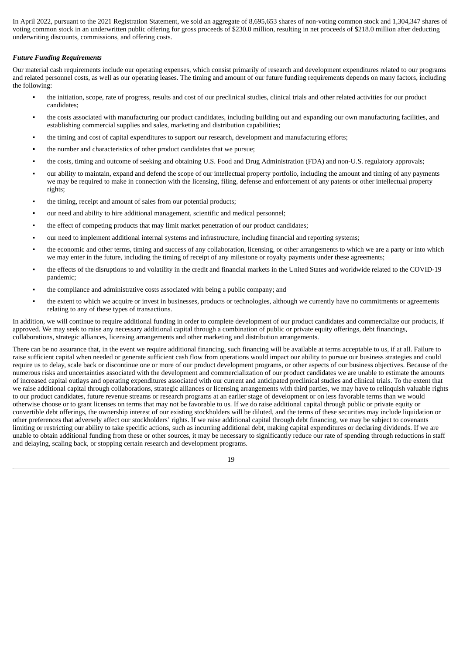In April 2022, pursuant to the 2021 Registration Statement, we sold an aggregate of 8,695,653 shares of non-voting common stock and 1,304,347 shares of voting common stock in an underwritten public offering for gross proceeds of \$230.0 million, resulting in net proceeds of \$218.0 million after deducting underwriting discounts, commissions, and offering costs.

# *Future Funding Requirements*

Our material cash requirements include our operating expenses, which consist primarily of research and development expenditures related to our programs and related personnel costs, as well as our operating leases. The timing and amount of our future funding requirements depends on many factors, including the following:

- the initiation, scope, rate of progress, results and cost of our preclinical studies, clinical trials and other related activities for our product candidates;
- the costs associated with manufacturing our product candidates, including building out and expanding our own manufacturing facilities, and establishing commercial supplies and sales, marketing and distribution capabilities;
- the timing and cost of capital expenditures to support our research, development and manufacturing efforts;
- the number and characteristics of other product candidates that we pursue;
- the costs, timing and outcome of seeking and obtaining U.S. Food and Drug Administration (FDA) and non-U.S. regulatory approvals;
- our ability to maintain, expand and defend the scope of our intellectual property portfolio, including the amount and timing of any payments we may be required to make in connection with the licensing, filing, defense and enforcement of any patents or other intellectual property rights;
- the timing, receipt and amount of sales from our potential products;
- our need and ability to hire additional management, scientific and medical personnel;
- the effect of competing products that may limit market penetration of our product candidates;
- our need to implement additional internal systems and infrastructure, including financial and reporting systems;
- the economic and other terms, timing and success of any collaboration, licensing, or other arrangements to which we are a party or into which we may enter in the future, including the timing of receipt of any milestone or royalty payments under these agreements;
- the effects of the disruptions to and volatility in the credit and financial markets in the United States and worldwide related to the COVID-19 pandemic;
- the compliance and administrative costs associated with being a public company; and
- the extent to which we acquire or invest in businesses, products or technologies, although we currently have no commitments or agreements relating to any of these types of transactions.

In addition, we will continue to require additional funding in order to complete development of our product candidates and commercialize our products, if approved. We may seek to raise any necessary additional capital through a combination of public or private equity offerings, debt financings, collaborations, strategic alliances, licensing arrangements and other marketing and distribution arrangements.

There can be no assurance that, in the event we require additional financing, such financing will be available at terms acceptable to us, if at all. Failure to raise sufficient capital when needed or generate sufficient cash flow from operations would impact our ability to pursue our business strategies and could require us to delay, scale back or discontinue one or more of our product development programs, or other aspects of our business objectives. Because of the numerous risks and uncertainties associated with the development and commercialization of our product candidates we are unable to estimate the amounts of increased capital outlays and operating expenditures associated with our current and anticipated preclinical studies and clinical trials. To the extent that we raise additional capital through collaborations, strategic alliances or licensing arrangements with third parties, we may have to relinquish valuable rights to our product candidates, future revenue streams or research programs at an earlier stage of development or on less favorable terms than we would otherwise choose or to grant licenses on terms that may not be favorable to us. If we do raise additional capital through public or private equity or convertible debt offerings, the ownership interest of our existing stockholders will be diluted, and the terms of these securities may include liquidation or other preferences that adversely affect our stockholders' rights. If we raise additional capital through debt financing, we may be subject to covenants limiting or restricting our ability to take specific actions, such as incurring additional debt, making capital expenditures or declaring dividends. If we are unable to obtain additional funding from these or other sources, it may be necessary to significantly reduce our rate of spending through reductions in staff and delaying, scaling back, or stopping certain research and development programs.

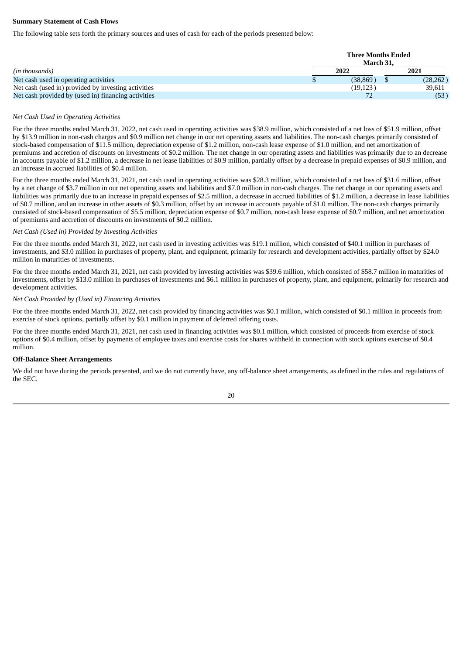# **Summary Statement of Cash Flows**

The following table sets forth the primary sources and uses of cash for each of the periods presented below:

| (in thousands)                                      | <b>Three Months Ended</b><br>March 31. |      |           |  |  |  |  |
|-----------------------------------------------------|----------------------------------------|------|-----------|--|--|--|--|
|                                                     | 2022                                   | 2021 |           |  |  |  |  |
| Net cash used in operating activities               | (38, 869)                              |      | (28, 262) |  |  |  |  |
| Net cash (used in) provided by investing activities | (19, 123)                              |      | 39,611    |  |  |  |  |
| Net cash provided by (used in) financing activities |                                        |      | (53)      |  |  |  |  |

#### *Net Cash Used in Operating Activities*

For the three months ended March 31, 2022, net cash used in operating activities was \$38.9 million, which consisted of a net loss of \$51.9 million, offset by \$13.9 million in non-cash charges and \$0.9 million net change in our net operating assets and liabilities. The non-cash charges primarily consisted of stock-based compensation of \$11.5 million, depreciation expense of \$1.2 million, non-cash lease expense of \$1.0 million, and net amortization of premiums and accretion of discounts on investments of \$0.2 million. The net change in our operating assets and liabilities was primarily due to an decrease in accounts payable of \$1.2 million, a decrease in net lease liabilities of \$0.9 million, partially offset by a decrease in prepaid expenses of \$0.9 million, and an increase in accrued liabilities of \$0.4 million.

For the three months ended March 31, 2021, net cash used in operating activities was \$28.3 million, which consisted of a net loss of \$31.6 million, offset by a net change of \$3.7 million in our net operating assets and liabilities and \$7.0 million in non-cash charges. The net change in our operating assets and liabilities was primarily due to an increase in prepaid expenses of \$2.5 million, a decrease in accrued liabilities of \$1.2 million, a decrease in lease liabilities of \$0.7 million, and an increase in other assets of \$0.3 million, offset by an increase in accounts payable of \$1.0 million. The non-cash charges primarily consisted of stock-based compensation of \$5.5 million, depreciation expense of \$0.7 million, non-cash lease expense of \$0.7 million, and net amortization of premiums and accretion of discounts on investments of \$0.2 million.

#### *Net Cash (Used in) Provided by Investing Activities*

For the three months ended March 31, 2022, net cash used in investing activities was \$19.1 million, which consisted of \$40.1 million in purchases of investments, and \$3.0 million in purchases of property, plant, and equipment, primarily for research and development activities, partially offset by \$24.0 million in maturities of investments.

For the three months ended March 31, 2021, net cash provided by investing activities was \$39.6 million, which consisted of \$58.7 million in maturities of investments, offset by \$13.0 million in purchases of investments and \$6.1 million in purchases of property, plant, and equipment, primarily for research and development activities.

#### *Net Cash Provided by (Used in) Financing Activities*

For the three months ended March 31, 2022, net cash provided by financing activities was \$0.1 million, which consisted of \$0.1 million in proceeds from exercise of stock options, partially offset by \$0.1 million in payment of deferred offering costs.

For the three months ended March 31, 2021, net cash used in financing activities was \$0.1 million, which consisted of proceeds from exercise of stock options of \$0.4 million, offset by payments of employee taxes and exercise costs for shares withheld in connection with stock options exercise of \$0.4 million.

#### **Off-Balance Sheet Arrangements**

We did not have during the periods presented, and we do not currently have, any off-balance sheet arrangements, as defined in the rules and regulations of the SEC.

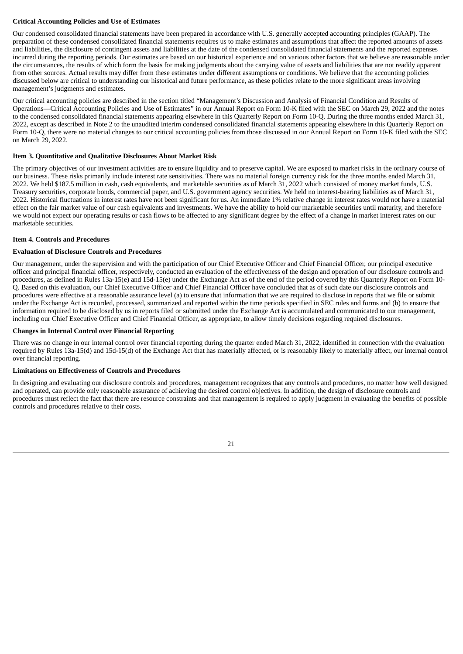# **Critical Accounting Policies and Use of Estimates**

Our condensed consolidated financial statements have been prepared in accordance with U.S. generally accepted accounting principles (GAAP). The preparation of these condensed consolidated financial statements requires us to make estimates and assumptions that affect the reported amounts of assets and liabilities, the disclosure of contingent assets and liabilities at the date of the condensed consolidated financial statements and the reported expenses incurred during the reporting periods. Our estimates are based on our historical experience and on various other factors that we believe are reasonable under the circumstances, the results of which form the basis for making judgments about the carrying value of assets and liabilities that are not readily apparent from other sources. Actual results may differ from these estimates under different assumptions or conditions. We believe that the accounting policies discussed below are critical to understanding our historical and future performance, as these policies relate to the more significant areas involving management's judgments and estimates.

Our critical accounting policies are described in the section titled "Management's Discussion and Analysis of Financial Condition and Results of Operations—Critical Accounting Policies and Use of Estimates" in our Annual Report on Form 10-K filed with the SEC on March 29, 2022 and the notes to the condensed consolidated financial statements appearing elsewhere in this Quarterly Report on Form 10-Q. During the three months ended March 31, 2022, except as described in Note 2 to the unaudited interim condensed consolidated financial statements appearing elsewhere in this Quarterly Report on Form 10-Q, there were no material changes to our critical accounting policies from those discussed in our Annual Report on Form 10-K filed with the SEC on March 29, 2022.

# <span id="page-23-0"></span>**Item 3. Quantitative and Qualitative Disclosures About Market Risk**

The primary objectives of our investment activities are to ensure liquidity and to preserve capital. We are exposed to market risks in the ordinary course of our business. These risks primarily include interest rate sensitivities. There was no material foreign currency risk for the three months ended March 31, 2022. We held \$187.5 million in cash, cash equivalents, and marketable securities as of March 31, 2022 which consisted of money market funds, U.S. Treasury securities, corporate bonds, commercial paper, and U.S. government agency securities. We held no interest-bearing liabilities as of March 31, 2022. Historical fluctuations in interest rates have not been significant for us. An immediate 1% relative change in interest rates would not have a material effect on the fair market value of our cash equivalents and investments. We have the ability to hold our marketable securities until maturity, and therefore we would not expect our operating results or cash flows to be affected to any significant degree by the effect of a change in market interest rates on our marketable securities.

# <span id="page-23-1"></span>**Item 4. Controls and Procedures**

# **Evaluation of Disclosure Controls and Procedures**

Our management, under the supervision and with the participation of our Chief Executive Officer and Chief Financial Officer, our principal executive officer and principal financial officer, respectively, conducted an evaluation of the effectiveness of the design and operation of our disclosure controls and procedures, as defined in Rules 13a-15(e) and 15d-15(e) under the Exchange Act as of the end of the period covered by this Quarterly Report on Form 10- Q. Based on this evaluation, our Chief Executive Officer and Chief Financial Officer have concluded that as of such date our disclosure controls and procedures were effective at a reasonable assurance level (a) to ensure that information that we are required to disclose in reports that we file or submit under the Exchange Act is recorded, processed, summarized and reported within the time periods specified in SEC rules and forms and (b) to ensure that information required to be disclosed by us in reports filed or submitted under the Exchange Act is accumulated and communicated to our management, including our Chief Executive Officer and Chief Financial Officer, as appropriate, to allow timely decisions regarding required disclosures.

# **Changes in Internal Control over Financial Reporting**

There was no change in our internal control over financial reporting during the quarter ended March 31, 2022, identified in connection with the evaluation required by Rules 13a-15(d) and 15d-15(d) of the Exchange Act that has materially affected, or is reasonably likely to materially affect, our internal control over financial reporting.

# **Limitations on Effectiveness of Controls and Procedures**

In designing and evaluating our disclosure controls and procedures, management recognizes that any controls and procedures, no matter how well designed and operated, can provide only reasonable assurance of achieving the desired control objectives. In addition, the design of disclosure controls and procedures must reflect the fact that there are resource constraints and that management is required to apply judgment in evaluating the benefits of possible controls and procedures relative to their costs.

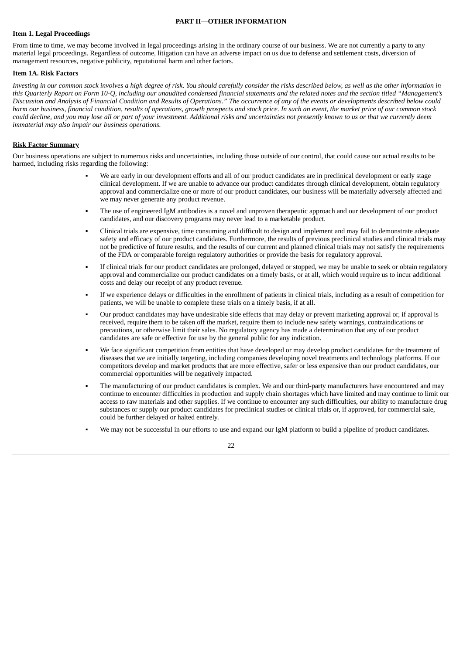#### **PART II—OTHER INFORMATION**

#### <span id="page-24-1"></span><span id="page-24-0"></span>**Item 1. Legal Proceedings**

From time to time, we may become involved in legal proceedings arising in the ordinary course of our business. We are not currently a party to any material legal proceedings. Regardless of outcome, litigation can have an adverse impact on us due to defense and settlement costs, diversion of management resources, negative publicity, reputational harm and other factors.

#### <span id="page-24-2"></span>**Item 1A. Risk Factors**

Investing in our common stock involves a high degree of risk. You should carefully consider the risks described below, as well as the other information in this Quarterly Report on Form 10-Q, including our unaudited condensed financial statements and the related notes and the section titled "Management's Discussion and Analysis of Financial Condition and Results of Operations." The occurrence of any of the events or developments described below could harm our business, financial condition, results of operations, growth prospects and stock price. In such an event, the market price of our common stock could decline, and you may lose all or part of your investment. Additional risks and uncertainties not presently known to us or that we currently deem *immaterial may also impair our business operations.*

#### **Risk Factor Summary**

Our business operations are subject to numerous risks and uncertainties, including those outside of our control, that could cause our actual results to be harmed, including risks regarding the following:

- We are early in our development efforts and all of our product candidates are in preclinical development or early stage clinical development. If we are unable to advance our product candidates through clinical development, obtain regulatory approval and commercialize one or more of our product candidates, our business will be materially adversely affected and we may never generate any product revenue.
- The use of engineered IgM antibodies is a novel and unproven therapeutic approach and our development of our product candidates, and our discovery programs may never lead to a marketable product.
- Clinical trials are expensive, time consuming and difficult to design and implement and may fail to demonstrate adequate safety and efficacy of our product candidates. Furthermore, the results of previous preclinical studies and clinical trials may not be predictive of future results, and the results of our current and planned clinical trials may not satisfy the requirements of the FDA or comparable foreign regulatory authorities or provide the basis for regulatory approval.
- If clinical trials for our product candidates are prolonged, delayed or stopped, we may be unable to seek or obtain regulatory approval and commercialize our product candidates on a timely basis, or at all, which would require us to incur additional costs and delay our receipt of any product revenue.
- If we experience delays or difficulties in the enrollment of patients in clinical trials, including as a result of competition for patients, we will be unable to complete these trials on a timely basis, if at all.
- Our product candidates may have undesirable side effects that may delay or prevent marketing approval or, if approval is received, require them to be taken off the market, require them to include new safety warnings, contraindications or precautions, or otherwise limit their sales. No regulatory agency has made a determination that any of our product candidates are safe or effective for use by the general public for any indication.
- We face significant competition from entities that have developed or may develop product candidates for the treatment of diseases that we are initially targeting, including companies developing novel treatments and technology platforms. If our competitors develop and market products that are more effective, safer or less expensive than our product candidates, our commercial opportunities will be negatively impacted.
- The manufacturing of our product candidates is complex. We and our third-party manufacturers have encountered and may continue to encounter difficulties in production and supply chain shortages which have limited and may continue to limit our access to raw materials and other supplies. If we continue to encounter any such difficulties, our ability to manufacture drug substances or supply our product candidates for preclinical studies or clinical trials or, if approved, for commercial sale, could be further delayed or halted entirely.
- We may not be successful in our efforts to use and expand our IgM platform to build a pipeline of product candidates.

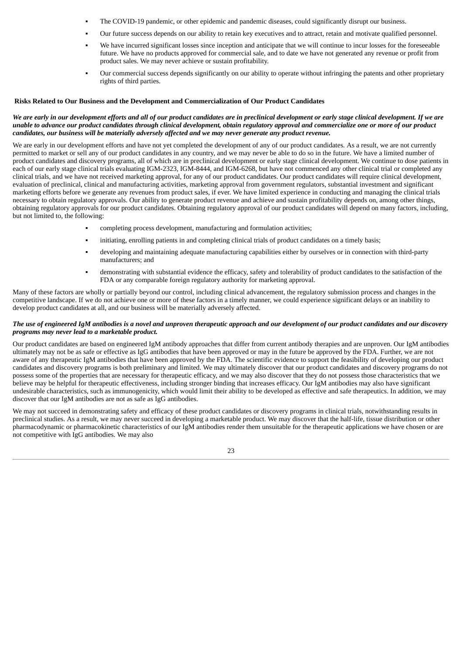- The COVID-19 pandemic, or other epidemic and pandemic diseases, could significantly disrupt our business.
- Our future success depends on our ability to retain key executives and to attract, retain and motivate qualified personnel.
- We have incurred significant losses since inception and anticipate that we will continue to incur losses for the foreseeable future. We have no products approved for commercial sale, and to date we have not generated any revenue or profit from product sales. We may never achieve or sustain profitability.
- Our commercial success depends significantly on our ability to operate without infringing the patents and other proprietary rights of third parties.

## **Risks Related to Our Business and the Development and Commercialization of Our Product Candidates**

## We are early in our development efforts and all of our product candidates are in preclinical development or early stage clinical development. If we are unable to advance our product candidates through clinical development, obtain regulatory approval and commercialize one or more of our product *candidates, our business will be materially adversely affected and we may never generate any product revenue.*

We are early in our development efforts and have not yet completed the development of any of our product candidates. As a result, we are not currently permitted to market or sell any of our product candidates in any country, and we may never be able to do so in the future. We have a limited number of product candidates and discovery programs, all of which are in preclinical development or early stage clinical development. We continue to dose patients in each of our early stage clinical trials evaluating IGM-2323, IGM-8444, and IGM-6268, but have not commenced any other clinical trial or completed any clinical trials, and we have not received marketing approval, for any of our product candidates. Our product candidates will require clinical development, evaluation of preclinical, clinical and manufacturing activities, marketing approval from government regulators, substantial investment and significant marketing efforts before we generate any revenues from product sales, if ever. We have limited experience in conducting and managing the clinical trials necessary to obtain regulatory approvals. Our ability to generate product revenue and achieve and sustain profitability depends on, among other things, obtaining regulatory approvals for our product candidates. Obtaining regulatory approval of our product candidates will depend on many factors, including, but not limited to, the following:

- completing process development, manufacturing and formulation activities;
- initiating, enrolling patients in and completing clinical trials of product candidates on a timely basis;
- developing and maintaining adequate manufacturing capabilities either by ourselves or in connection with third-party manufacturers; and
- demonstrating with substantial evidence the efficacy, safety and tolerability of product candidates to the satisfaction of the FDA or any comparable foreign regulatory authority for marketing approval.

Many of these factors are wholly or partially beyond our control, including clinical advancement, the regulatory submission process and changes in the competitive landscape. If we do not achieve one or more of these factors in a timely manner, we could experience significant delays or an inability to develop product candidates at all, and our business will be materially adversely affected.

## The use of engineered IgM antibodies is a novel and unproven therapeutic approach and our development of our product candidates and our discovery *programs may never lead to a marketable product.*

Our product candidates are based on engineered IgM antibody approaches that differ from current antibody therapies and are unproven. Our IgM antibodies ultimately may not be as safe or effective as IgG antibodies that have been approved or may in the future be approved by the FDA. Further, we are not aware of any therapeutic IgM antibodies that have been approved by the FDA. The scientific evidence to support the feasibility of developing our product candidates and discovery programs is both preliminary and limited. We may ultimately discover that our product candidates and discovery programs do not possess some of the properties that are necessary for therapeutic efficacy, and we may also discover that they do not possess those characteristics that we believe may be helpful for therapeutic effectiveness, including stronger binding that increases efficacy. Our IgM antibodies may also have significant undesirable characteristics, such as immunogenicity, which would limit their ability to be developed as effective and safe therapeutics. In addition, we may discover that our IgM antibodies are not as safe as IgG antibodies.

We may not succeed in demonstrating safety and efficacy of these product candidates or discovery programs in clinical trials, notwithstanding results in preclinical studies. As a result, we may never succeed in developing a marketable product. We may discover that the half-life, tissue distribution or other pharmacodynamic or pharmacokinetic characteristics of our IgM antibodies render them unsuitable for the therapeutic applications we have chosen or are not competitive with IgG antibodies. We may also

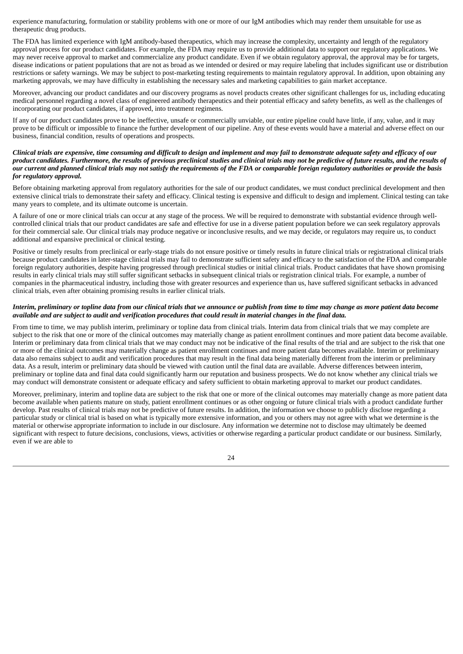experience manufacturing, formulation or stability problems with one or more of our IgM antibodies which may render them unsuitable for use as therapeutic drug products.

The FDA has limited experience with IgM antibody-based therapeutics, which may increase the complexity, uncertainty and length of the regulatory approval process for our product candidates. For example, the FDA may require us to provide additional data to support our regulatory applications. We may never receive approval to market and commercialize any product candidate. Even if we obtain regulatory approval, the approval may be for targets, disease indications or patient populations that are not as broad as we intended or desired or may require labeling that includes significant use or distribution restrictions or safety warnings. We may be subject to post-marketing testing requirements to maintain regulatory approval. In addition, upon obtaining any marketing approvals, we may have difficulty in establishing the necessary sales and marketing capabilities to gain market acceptance.

Moreover, advancing our product candidates and our discovery programs as novel products creates other significant challenges for us, including educating medical personnel regarding a novel class of engineered antibody therapeutics and their potential efficacy and safety benefits, as well as the challenges of incorporating our product candidates, if approved, into treatment regimens.

If any of our product candidates prove to be ineffective, unsafe or commercially unviable, our entire pipeline could have little, if any, value, and it may prove to be difficult or impossible to finance the further development of our pipeline. Any of these events would have a material and adverse effect on our business, financial condition, results of operations and prospects.

## Clinical trials are expensive, time consuming and difficult to design and implement and may fail to demonstrate adequate safety and efficacy of our product candidates. Furthermore, the results of previous preclinical studies and clinical trials may not be predictive of future results, and the results of our current and planned clinical trials may not satisfy the requirements of the FDA or comparable foreign requlatory authorities or provide the basis *for regulatory approval.*

Before obtaining marketing approval from regulatory authorities for the sale of our product candidates, we must conduct preclinical development and then extensive clinical trials to demonstrate their safety and efficacy. Clinical testing is expensive and difficult to design and implement. Clinical testing can take many years to complete, and its ultimate outcome is uncertain.

A failure of one or more clinical trials can occur at any stage of the process. We will be required to demonstrate with substantial evidence through wellcontrolled clinical trials that our product candidates are safe and effective for use in a diverse patient population before we can seek regulatory approvals for their commercial sale. Our clinical trials may produce negative or inconclusive results, and we may decide, or regulators may require us, to conduct additional and expansive preclinical or clinical testing.

Positive or timely results from preclinical or early-stage trials do not ensure positive or timely results in future clinical trials or registrational clinical trials because product candidates in later-stage clinical trials may fail to demonstrate sufficient safety and efficacy to the satisfaction of the FDA and comparable foreign regulatory authorities, despite having progressed through preclinical studies or initial clinical trials. Product candidates that have shown promising results in early clinical trials may still suffer significant setbacks in subsequent clinical trials or registration clinical trials. For example, a number of companies in the pharmaceutical industry, including those with greater resources and experience than us, have suffered significant setbacks in advanced clinical trials, even after obtaining promising results in earlier clinical trials.

## Interim, preliminary or topline data from our clinical trials that we announce or publish from time to time may change as more patient data become available and are subject to audit and verification procedures that could result in material changes in the final data.

From time to time, we may publish interim, preliminary or topline data from clinical trials. Interim data from clinical trials that we may complete are subject to the risk that one or more of the clinical outcomes may materially change as patient enrollment continues and more patient data become available. Interim or preliminary data from clinical trials that we may conduct may not be indicative of the final results of the trial and are subject to the risk that one or more of the clinical outcomes may materially change as patient enrollment continues and more patient data becomes available. Interim or preliminary data also remains subject to audit and verification procedures that may result in the final data being materially different from the interim or preliminary data. As a result, interim or preliminary data should be viewed with caution until the final data are available. Adverse differences between interim, preliminary or topline data and final data could significantly harm our reputation and business prospects. We do not know whether any clinical trials we may conduct will demonstrate consistent or adequate efficacy and safety sufficient to obtain marketing approval to market our product candidates.

Moreover, preliminary, interim and topline data are subject to the risk that one or more of the clinical outcomes may materially change as more patient data become available when patients mature on study, patient enrollment continues or as other ongoing or future clinical trials with a product candidate further develop. Past results of clinical trials may not be predictive of future results. In addition, the information we choose to publicly disclose regarding a particular study or clinical trial is based on what is typically more extensive information, and you or others may not agree with what we determine is the material or otherwise appropriate information to include in our disclosure. Any information we determine not to disclose may ultimately be deemed significant with respect to future decisions, conclusions, views, activities or otherwise regarding a particular product candidate or our business. Similarly, even if we are able to

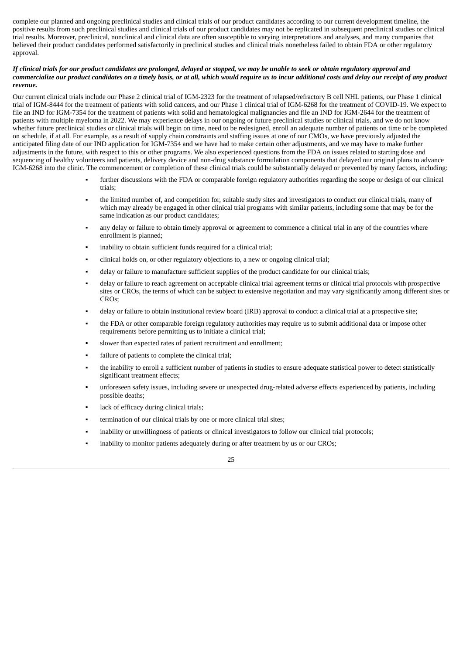complete our planned and ongoing preclinical studies and clinical trials of our product candidates according to our current development timeline, the positive results from such preclinical studies and clinical trials of our product candidates may not be replicated in subsequent preclinical studies or clinical trial results. Moreover, preclinical, nonclinical and clinical data are often susceptible to varying interpretations and analyses, and many companies that believed their product candidates performed satisfactorily in preclinical studies and clinical trials nonetheless failed to obtain FDA or other regulatory approval.

## If clinical trials for our product candidates are prolonged, delayed or stopped, we may be unable to seek or obtain regulatory approval and commercialize our product candidates on a timely basis, or at all, which would require us to incur additional costs and delay our receipt of any product *revenue.*

Our current clinical trials include our Phase 2 clinical trial of IGM-2323 for the treatment of relapsed/refractory B cell NHL patients, our Phase 1 clinical trial of IGM-8444 for the treatment of patients with solid cancers, and our Phase 1 clinical trial of IGM-6268 for the treatment of COVID-19. We expect to file an IND for IGM-7354 for the treatment of patients with solid and hematological malignancies and file an IND for IGM-2644 for the treatment of patients with multiple myeloma in 2022. We may experience delays in our ongoing or future preclinical studies or clinical trials, and we do not know whether future preclinical studies or clinical trials will begin on time, need to be redesigned, enroll an adequate number of patients on time or be completed on schedule, if at all. For example, as a result of supply chain constraints and staffing issues at one of our CMOs, we have previously adjusted the anticipated filing date of our IND application for IGM-7354 and we have had to make certain other adjustments, and we may have to make further adjustments in the future, with respect to this or other programs. We also experienced questions from the FDA on issues related to starting dose and sequencing of healthy volunteers and patients, delivery device and non-drug substance formulation components that delayed our original plans to advance IGM-6268 into the clinic. The commencement or completion of these clinical trials could be substantially delayed or prevented by many factors, including:

- further discussions with the FDA or comparable foreign regulatory authorities regarding the scope or design of our clinical trials;
- the limited number of, and competition for, suitable study sites and investigators to conduct our clinical trials, many of which may already be engaged in other clinical trial programs with similar patients, including some that may be for the same indication as our product candidates;
- any delay or failure to obtain timely approval or agreement to commence a clinical trial in any of the countries where enrollment is planned;
- inability to obtain sufficient funds required for a clinical trial;
- clinical holds on, or other regulatory objections to, a new or ongoing clinical trial;
- delay or failure to manufacture sufficient supplies of the product candidate for our clinical trials;
- delay or failure to reach agreement on acceptable clinical trial agreement terms or clinical trial protocols with prospective sites or CROs, the terms of which can be subject to extensive negotiation and may vary significantly among different sites or CROs;
- delay or failure to obtain institutional review board (IRB) approval to conduct a clinical trial at a prospective site;
- the FDA or other comparable foreign regulatory authorities may require us to submit additional data or impose other requirements before permitting us to initiate a clinical trial;
- slower than expected rates of patient recruitment and enrollment;
- failure of patients to complete the clinical trial:
- the inability to enroll a sufficient number of patients in studies to ensure adequate statistical power to detect statistically significant treatment effects;
- unforeseen safety issues, including severe or unexpected drug-related adverse effects experienced by patients, including possible deaths;
- lack of efficacy during clinical trials;
- termination of our clinical trials by one or more clinical trial sites;
- inability or unwillingness of patients or clinical investigators to follow our clinical trial protocols;
- inability to monitor patients adequately during or after treatment by us or our CROs;

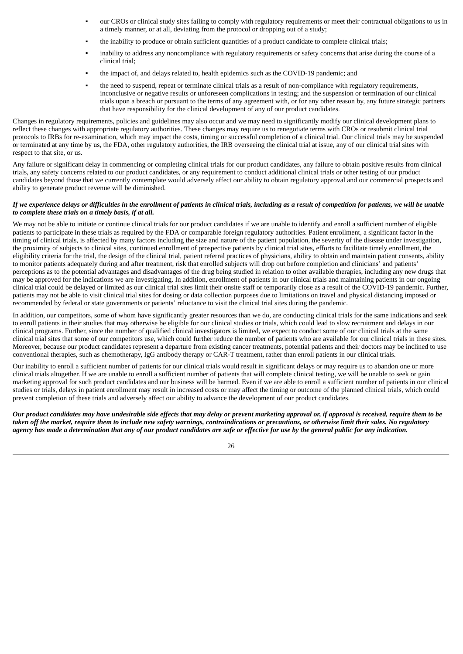- our CROs or clinical study sites failing to comply with regulatory requirements or meet their contractual obligations to us in a timely manner, or at all, deviating from the protocol or dropping out of a study;
- the inability to produce or obtain sufficient quantities of a product candidate to complete clinical trials;
- inability to address any noncompliance with regulatory requirements or safety concerns that arise during the course of a clinical trial;
- the impact of, and delays related to, health epidemics such as the COVID-19 pandemic; and
- the need to suspend, repeat or terminate clinical trials as a result of non-compliance with regulatory requirements, inconclusive or negative results or unforeseen complications in testing; and the suspension or termination of our clinical trials upon a breach or pursuant to the terms of any agreement with, or for any other reason by, any future strategic partners that have responsibility for the clinical development of any of our product candidates.

Changes in regulatory requirements, policies and guidelines may also occur and we may need to significantly modify our clinical development plans to reflect these changes with appropriate regulatory authorities. These changes may require us to renegotiate terms with CROs or resubmit clinical trial protocols to IRBs for re-examination, which may impact the costs, timing or successful completion of a clinical trial. Our clinical trials may be suspended or terminated at any time by us, the FDA, other regulatory authorities, the IRB overseeing the clinical trial at issue, any of our clinical trial sites with respect to that site, or us.

Any failure or significant delay in commencing or completing clinical trials for our product candidates, any failure to obtain positive results from clinical trials, any safety concerns related to our product candidates, or any requirement to conduct additional clinical trials or other testing of our product candidates beyond those that we currently contemplate would adversely affect our ability to obtain regulatory approval and our commercial prospects and ability to generate product revenue will be diminished.

## If we experience delays or difficulties in the enrollment of patients in clinical trials, including as a result of competition for patients, we will be unable *to complete these trials on a timely basis, if at all.*

We may not be able to initiate or continue clinical trials for our product candidates if we are unable to identify and enroll a sufficient number of eligible patients to participate in these trials as required by the FDA or comparable foreign regulatory authorities. Patient enrollment, a significant factor in the timing of clinical trials, is affected by many factors including the size and nature of the patient population, the severity of the disease under investigation, the proximity of subjects to clinical sites, continued enrollment of prospective patients by clinical trial sites, efforts to facilitate timely enrollment, the eligibility criteria for the trial, the design of the clinical trial, patient referral practices of physicians, ability to obtain and maintain patient consents, ability to monitor patients adequately during and after treatment, risk that enrolled subjects will drop out before completion and clinicians' and patients' perceptions as to the potential advantages and disadvantages of the drug being studied in relation to other available therapies, including any new drugs that may be approved for the indications we are investigating. In addition, enrollment of patients in our clinical trials and maintaining patients in our ongoing clinical trial could be delayed or limited as our clinical trial sites limit their onsite staff or temporarily close as a result of the COVID-19 pandemic. Further, patients may not be able to visit clinical trial sites for dosing or data collection purposes due to limitations on travel and physical distancing imposed or recommended by federal or state governments or patients' reluctance to visit the clinical trial sites during the pandemic.

In addition, our competitors, some of whom have significantly greater resources than we do, are conducting clinical trials for the same indications and seek to enroll patients in their studies that may otherwise be eligible for our clinical studies or trials, which could lead to slow recruitment and delays in our clinical programs. Further, since the number of qualified clinical investigators is limited, we expect to conduct some of our clinical trials at the same clinical trial sites that some of our competitors use, which could further reduce the number of patients who are available for our clinical trials in these sites. Moreover, because our product candidates represent a departure from existing cancer treatments, potential patients and their doctors may be inclined to use conventional therapies, such as chemotherapy, IgG antibody therapy or CAR-T treatment, rather than enroll patients in our clinical trials.

Our inability to enroll a sufficient number of patients for our clinical trials would result in significant delays or may require us to abandon one or more clinical trials altogether. If we are unable to enroll a sufficient number of patients that will complete clinical testing, we will be unable to seek or gain marketing approval for such product candidates and our business will be harmed. Even if we are able to enroll a sufficient number of patients in our clinical studies or trials, delays in patient enrollment may result in increased costs or may affect the timing or outcome of the planned clinical trials, which could prevent completion of these trials and adversely affect our ability to advance the development of our product candidates.

Our product candidates may have undesirable side effects that may delay or prevent marketing approval or, if approval is received, require them to be taken off the market, require them to include new safety warnings, contraindications or precautions, or otherwise limit their sales. No regulatory agency has made a determination that any of our product candidates are safe or effective for use by the general public for any indication.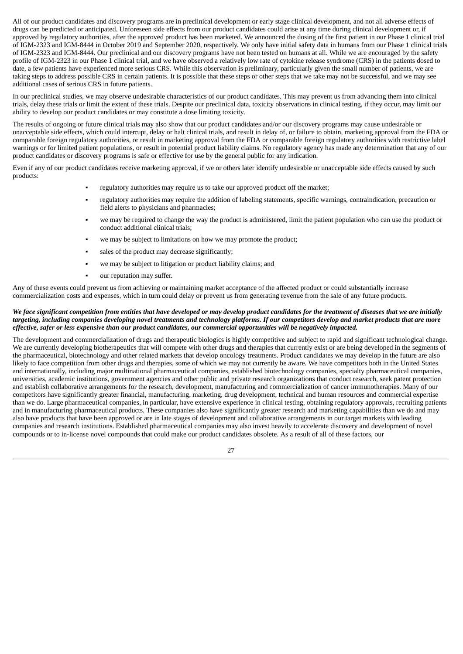All of our product candidates and discovery programs are in preclinical development or early stage clinical development, and not all adverse effects of drugs can be predicted or anticipated. Unforeseen side effects from our product candidates could arise at any time during clinical development or, if approved by regulatory authorities, after the approved product has been marketed. We announced the dosing of the first patient in our Phase 1 clinical trial of IGM-2323 and IGM-8444 in October 2019 and September 2020, respectively. We only have initial safety data in humans from our Phase 1 clinical trials of IGM-2323 and IGM-8444. Our preclinical and our discovery programs have not been tested on humans at all. While we are encouraged by the safety profile of IGM-2323 in our Phase 1 clinical trial, and we have observed a relatively low rate of cytokine release syndrome (CRS) in the patients dosed to date, a few patients have experienced more serious CRS. While this observation is preliminary, particularly given the small number of patients, we are taking steps to address possible CRS in certain patients. It is possible that these steps or other steps that we take may not be successful, and we may see additional cases of serious CRS in future patients.

In our preclinical studies, we may observe undesirable characteristics of our product candidates. This may prevent us from advancing them into clinical trials, delay these trials or limit the extent of these trials. Despite our preclinical data, toxicity observations in clinical testing, if they occur, may limit our ability to develop our product candidates or may constitute a dose limiting toxicity.

The results of ongoing or future clinical trials may also show that our product candidates and/or our discovery programs may cause undesirable or unacceptable side effects, which could interrupt, delay or halt clinical trials, and result in delay of, or failure to obtain, marketing approval from the FDA or comparable foreign regulatory authorities, or result in marketing approval from the FDA or comparable foreign regulatory authorities with restrictive label warnings or for limited patient populations, or result in potential product liability claims. No regulatory agency has made any determination that any of our product candidates or discovery programs is safe or effective for use by the general public for any indication.

Even if any of our product candidates receive marketing approval, if we or others later identify undesirable or unacceptable side effects caused by such products:

- regulatory authorities may require us to take our approved product off the market;
- regulatory authorities may require the addition of labeling statements, specific warnings, contraindication, precaution or field alerts to physicians and pharmacies;
- we may be required to change the way the product is administered, limit the patient population who can use the product or conduct additional clinical trials;
- we may be subject to limitations on how we may promote the product;
- sales of the product may decrease significantly;
- we may be subject to litigation or product liability claims; and
- our reputation may suffer.

Any of these events could prevent us from achieving or maintaining market acceptance of the affected product or could substantially increase commercialization costs and expenses, which in turn could delay or prevent us from generating revenue from the sale of any future products.

## We face significant competition from entities that have developed or may develop product candidates for the treatment of diseases that we are initially targeting, including companies developing novel treatments and technology platforms. If our competitors develop and market products that are more effective, safer or less expensive than our product candidates, our commercial opportunities will be negatively impacted.

The development and commercialization of drugs and therapeutic biologics is highly competitive and subject to rapid and significant technological change. We are currently developing biotherapeutics that will compete with other drugs and therapies that currently exist or are being developed in the segments of the pharmaceutical, biotechnology and other related markets that develop oncology treatments. Product candidates we may develop in the future are also likely to face competition from other drugs and therapies, some of which we may not currently be aware. We have competitors both in the United States and internationally, including major multinational pharmaceutical companies, established biotechnology companies, specialty pharmaceutical companies, universities, academic institutions, government agencies and other public and private research organizations that conduct research, seek patent protection and establish collaborative arrangements for the research, development, manufacturing and commercialization of cancer immunotherapies. Many of our competitors have significantly greater financial, manufacturing, marketing, drug development, technical and human resources and commercial expertise than we do. Large pharmaceutical companies, in particular, have extensive experience in clinical testing, obtaining regulatory approvals, recruiting patients and in manufacturing pharmaceutical products. These companies also have significantly greater research and marketing capabilities than we do and may also have products that have been approved or are in late stages of development and collaborative arrangements in our target markets with leading companies and research institutions. Established pharmaceutical companies may also invest heavily to accelerate discovery and development of novel compounds or to in-license novel compounds that could make our product candidates obsolete. As a result of all of these factors, our

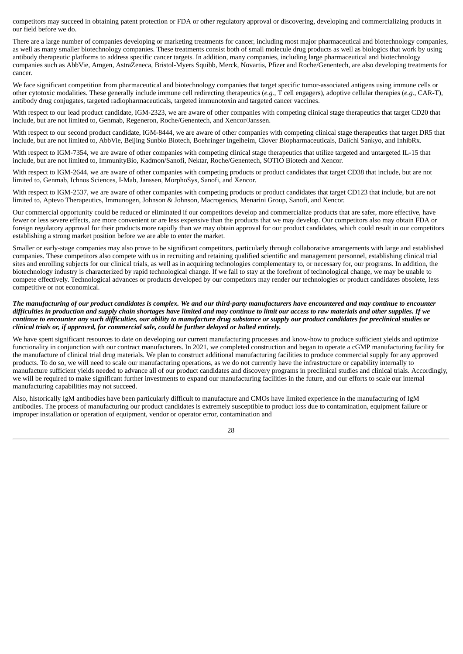competitors may succeed in obtaining patent protection or FDA or other regulatory approval or discovering, developing and commercializing products in our field before we do.

There are a large number of companies developing or marketing treatments for cancer, including most major pharmaceutical and biotechnology companies, as well as many smaller biotechnology companies. These treatments consist both of small molecule drug products as well as biologics that work by using antibody therapeutic platforms to address specific cancer targets. In addition, many companies, including large pharmaceutical and biotechnology companies such as AbbVie, Amgen, AstraZeneca, Bristol-Myers Squibb, Merck, Novartis, Pfizer and Roche/Genentech, are also developing treatments for cancer.

We face significant competition from pharmaceutical and biotechnology companies that target specific tumor-associated antigens using immune cells or other cytotoxic modalities. These generally include immune cell redirecting therapeutics (*e.g.*, T cell engagers), adoptive cellular therapies (*e.g.*, CAR-T), antibody drug conjugates, targeted radiopharmaceuticals, targeted immunotoxin and targeted cancer vaccines.

With respect to our lead product candidate, IGM-2323, we are aware of other companies with competing clinical stage therapeutics that target CD20 that include, but are not limited to, Genmab, Regeneron, Roche/Genentech, and Xencor/Janssen.

With respect to our second product candidate, IGM-8444, we are aware of other companies with competing clinical stage therapeutics that target DR5 that include, but are not limited to, AbbVie, Beijing Sunbio Biotech, Boehringer Ingelheim, Clover Biopharmaceuticals, Daiichi Sankyo, and InhibRx.

With respect to IGM-7354, we are aware of other companies with competing clinical stage therapeutics that utilize targeted and untargeted IL-15 that include, but are not limited to, ImmunityBio, Kadmon/Sanofi, Nektar, Roche/Genentech, SOTIO Biotech and Xencor.

With respect to IGM-2644, we are aware of other companies with competing products or product candidates that target CD38 that include, but are not limited to, Genmab, Ichnos Sciences, I-Mab, Janssen, MorphoSys, Sanofi, and Xencor.

With respect to IGM-2537, we are aware of other companies with competing products or product candidates that target CD123 that include, but are not limited to, Aptevo Therapeutics, Immunogen, Johnson & Johnson, Macrogenics, Menarini Group, Sanofi, and Xencor.

Our commercial opportunity could be reduced or eliminated if our competitors develop and commercialize products that are safer, more effective, have fewer or less severe effects, are more convenient or are less expensive than the products that we may develop. Our competitors also may obtain FDA or foreign regulatory approval for their products more rapidly than we may obtain approval for our product candidates, which could result in our competitors establishing a strong market position before we are able to enter the market.

Smaller or early-stage companies may also prove to be significant competitors, particularly through collaborative arrangements with large and established companies. These competitors also compete with us in recruiting and retaining qualified scientific and management personnel, establishing clinical trial sites and enrolling subjects for our clinical trials, as well as in acquiring technologies complementary to, or necessary for, our programs. In addition, the biotechnology industry is characterized by rapid technological change. If we fail to stay at the forefront of technological change, we may be unable to compete effectively. Technological advances or products developed by our competitors may render our technologies or product candidates obsolete, less competitive or not economical.

# The manufacturing of our product candidates is complex. We and our third-party manufacturers have encountered and may continue to encounter difficulties in production and supply chain shortages have limited and may continue to limit our access to raw materials and other supplies. If we continue to encounter any such difficulties, our ability to manufacture drug substance or supply our product candidates for preclinical studies or *clinical trials or, if approved, for commercial sale, could be further delayed or halted entirely.*

We have spent significant resources to date on developing our current manufacturing processes and know-how to produce sufficient yields and optimize functionality in conjunction with our contract manufacturers. In 2021, we completed construction and began to operate a cGMP manufacturing facility for the manufacture of clinical trial drug materials. We plan to construct additional manufacturing facilities to produce commercial supply for any approved products. To do so, we will need to scale our manufacturing operations, as we do not currently have the infrastructure or capability internally to manufacture sufficient yields needed to advance all of our product candidates and discovery programs in preclinical studies and clinical trials. Accordingly, we will be required to make significant further investments to expand our manufacturing facilities in the future, and our efforts to scale our internal manufacturing capabilities may not succeed.

Also, historically IgM antibodies have been particularly difficult to manufacture and CMOs have limited experience in the manufacturing of IgM antibodies. The process of manufacturing our product candidates is extremely susceptible to product loss due to contamination, equipment failure or improper installation or operation of equipment, vendor or operator error, contamination and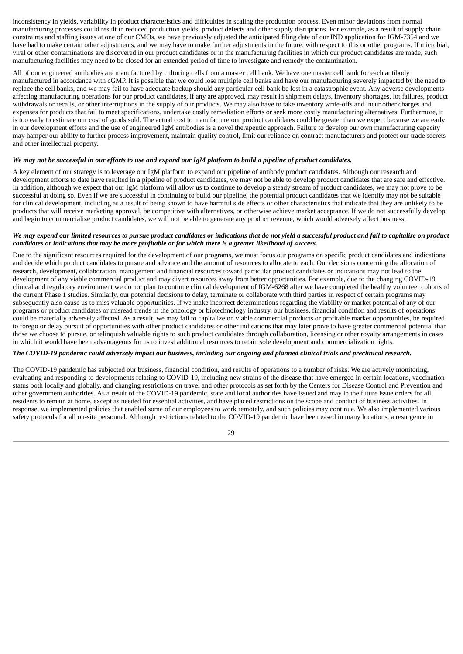inconsistency in yields, variability in product characteristics and difficulties in scaling the production process. Even minor deviations from normal manufacturing processes could result in reduced production yields, product defects and other supply disruptions. For example, as a result of supply chain constraints and staffing issues at one of our CMOs, we have previously adjusted the anticipated filing date of our IND application for IGM-7354 and we have had to make certain other adjustments, and we may have to make further adjustments in the future, with respect to this or other programs. If microbial, viral or other contaminations are discovered in our product candidates or in the manufacturing facilities in which our product candidates are made, such manufacturing facilities may need to be closed for an extended period of time to investigate and remedy the contamination.

## All of our engineered antibodies are manufactured by culturing cells from a master cell bank. We have one master cell bank for each antibody manufactured in accordance with cGMP. It is possible that we could lose multiple cell banks and have our manufacturing severely impacted by the need to replace the cell banks, and we may fail to have adequate backup should any particular cell bank be lost in a catastrophic event. Any adverse developments affecting manufacturing operations for our product candidates, if any are approved, may result in shipment delays, inventory shortages, lot failures, product withdrawals or recalls, or other interruptions in the supply of our products. We may also have to take inventory write-offs and incur other charges and expenses for products that fail to meet specifications, undertake costly remediation efforts or seek more costly manufacturing alternatives. Furthermore, it is too early to estimate our cost of goods sold. The actual cost to manufacture our product candidates could be greater than we expect because we are early in our development efforts and the use of engineered IgM antibodies is a novel therapeutic approach. Failure to develop our own manufacturing capacity may hamper our ability to further process improvement, maintain quality control, limit our reliance on contract manufacturers and protect our trade secrets and other intellectual property.

## We may not be successful in our efforts to use and expand our IgM platform to build a pipeline of product candidates.

A key element of our strategy is to leverage our IgM platform to expand our pipeline of antibody product candidates. Although our research and development efforts to date have resulted in a pipeline of product candidates, we may not be able to develop product candidates that are safe and effective. In addition, although we expect that our IgM platform will allow us to continue to develop a steady stream of product candidates, we may not prove to be successful at doing so. Even if we are successful in continuing to build our pipeline, the potential product candidates that we identify may not be suitable for clinical development, including as a result of being shown to have harmful side effects or other characteristics that indicate that they are unlikely to be products that will receive marketing approval, be competitive with alternatives, or otherwise achieve market acceptance. If we do not successfully develop and begin to commercialize product candidates, we will not be able to generate any product revenue, which would adversely affect business.

# We may expend our limited resources to pursue product candidates or indications that do not yield a successful product and fail to capitalize on product candidates or indications that may be more profitable or for which there is a greater likelihood of success.

Due to the significant resources required for the development of our programs, we must focus our programs on specific product candidates and indications and decide which product candidates to pursue and advance and the amount of resources to allocate to each. Our decisions concerning the allocation of research, development, collaboration, management and financial resources toward particular product candidates or indications may not lead to the development of any viable commercial product and may divert resources away from better opportunities. For example, due to the changing COVID-19 clinical and regulatory environment we do not plan to continue clinical development of IGM-6268 after we have completed the healthy volunteer cohorts of the current Phase 1 studies. Similarly, our potential decisions to delay, terminate or collaborate with third parties in respect of certain programs may subsequently also cause us to miss valuable opportunities. If we make incorrect determinations regarding the viability or market potential of any of our programs or product candidates or misread trends in the oncology or biotechnology industry, our business, financial condition and results of operations could be materially adversely affected. As a result, we may fail to capitalize on viable commercial products or profitable market opportunities, be required to forego or delay pursuit of opportunities with other product candidates or other indications that may later prove to have greater commercial potential than those we choose to pursue, or relinquish valuable rights to such product candidates through collaboration, licensing or other royalty arrangements in cases in which it would have been advantageous for us to invest additional resources to retain sole development and commercialization rights.

## The COVID-19 pandemic could adversely impact our business, including our ongoing and planned clinical trials and preclinical research.

The COVID-19 pandemic has subjected our business, financial condition, and results of operations to a number of risks. We are actively monitoring, evaluating and responding to developments relating to COVID-19, including new strains of the disease that have emerged in certain locations, vaccination status both locally and globally, and changing restrictions on travel and other protocols as set forth by the Centers for Disease Control and Prevention and other government authorities. As a result of the COVID-19 pandemic, state and local authorities have issued and may in the future issue orders for all residents to remain at home, except as needed for essential activities, and have placed restrictions on the scope and conduct of business activities. In response, we implemented policies that enabled some of our employees to work remotely, and such policies may continue. We also implemented various safety protocols for all on-site personnel. Although restrictions related to the COVID-19 pandemic have been eased in many locations, a resurgence in

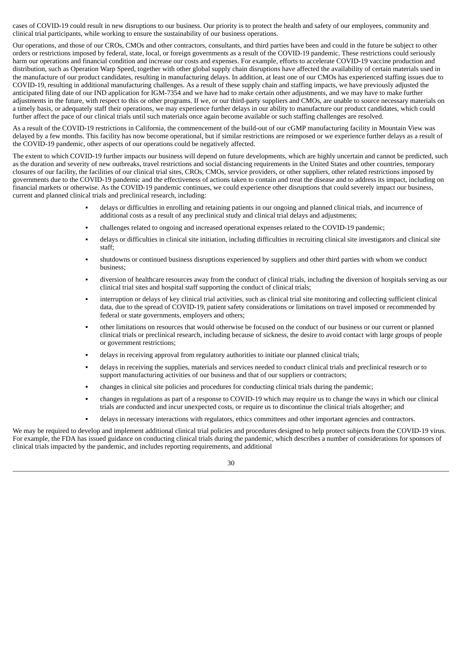cases of COVID-19 could result in new disruptions to our business. Our priority is to protect the health and safety of our employees, community and clinical trial participants, while working to ensure the sustainability of our business operations.

Our operations, and those of our CROs, CMOs and other contractors, consultants, and third parties have been and could in the future be subject to other orders or restrictions imposed by federal, state, local, or foreign governments as a result of the COVID-19 pandemic. These restrictions could seriously harm our operations and financial condition and increase our costs and expenses. For example, efforts to accelerate COVID-19 vaccine production and distribution, such as Operation Warp Speed, together with other global supply chain disruptions have affected the availability of certain materials used in the manufacture of our product candidates, resulting in manufacturing delays. In addition, at least one of our CMOs has experienced staffing issues due to COVID-19, resulting in additional manufacturing challenges. As a result of these supply chain and staffing impacts, we have previously adjusted the anticipated filing date of our IND application for IGM-7354 and we have had to make certain other adjustments, and we may have to make further adjustments in the future, with respect to this or other programs. If we, or our third-party suppliers and CMOs, are unable to source necessary materials on a timely basis, or adequately staff their operations, we may experience further delays in our ability to manufacture our product candidates, which could further affect the pace of our clinical trials until such materials once again become available or such staffing challenges are resolved.

As a result of the COVID-19 restrictions in California, the commencement of the build-out of our cGMP manufacturing facility in Mountain View was delayed by a few months. This facility has now become operational, but if similar restrictions are reimposed or we experience further delays as a result of the COVID-19 pandemic, other aspects of our operations could be negatively affected.

The extent to which COVID-19 further impacts our business will depend on future developments, which are highly uncertain and cannot be predicted, such as the duration and severity of new outbreaks, travel restrictions and social distancing requirements in the United States and other countries, temporary closures of our facility, the facilities of our clinical trial sites, CROs, CMOs, service providers, or other suppliers, other related restrictions imposed by governments due to the COVID-19 pandemic and the effectiveness of actions taken to contain and treat the disease and to address its impact, including on financial markets or otherwise. As the COVID-19 pandemic continues, we could experience other disruptions that could severely impact our business, current and planned clinical trials and preclinical research, including:

- delays or difficulties in enrolling and retaining patients in our ongoing and planned clinical trials, and incurrence of additional costs as a result of any preclinical study and clinical trial delays and adjustments;
- challenges related to ongoing and increased operational expenses related to the COVID-19 pandemic;
- delays or difficulties in clinical site initiation, including difficulties in recruiting clinical site investigators and clinical site staff;
- shutdowns or continued business disruptions experienced by suppliers and other third parties with whom we conduct business;
- diversion of healthcare resources away from the conduct of clinical trials, including the diversion of hospitals serving as our clinical trial sites and hospital staff supporting the conduct of clinical trials;
- interruption or delays of key clinical trial activities, such as clinical trial site monitoring and collecting sufficient clinical data, due to the spread of COVID-19, patient safety considerations or limitations on travel imposed or recommended by federal or state governments, employers and others;
- other limitations on resources that would otherwise be focused on the conduct of our business or our current or planned clinical trials or preclinical research, including because of sickness, the desire to avoid contact with large groups of people or government restrictions;
- delays in receiving approval from regulatory authorities to initiate our planned clinical trials;
- delays in receiving the supplies, materials and services needed to conduct clinical trials and preclinical research or to support manufacturing activities of our business and that of our suppliers or contractors;
- changes in clinical site policies and procedures for conducting clinical trials during the pandemic;
- changes in regulations as part of a response to COVID-19 which may require us to change the ways in which our clinical trials are conducted and incur unexpected costs, or require us to discontinue the clinical trials altogether; and
- delays in necessary interactions with regulators, ethics committees and other important agencies and contractors.

We may be required to develop and implement additional clinical trial policies and procedures designed to help protect subjects from the COVID-19 virus. For example, the FDA has issued guidance on conducting clinical trials during the pandemic, which describes a number of considerations for sponsors of clinical trials impacted by the pandemic, and includes reporting requirements, and additional

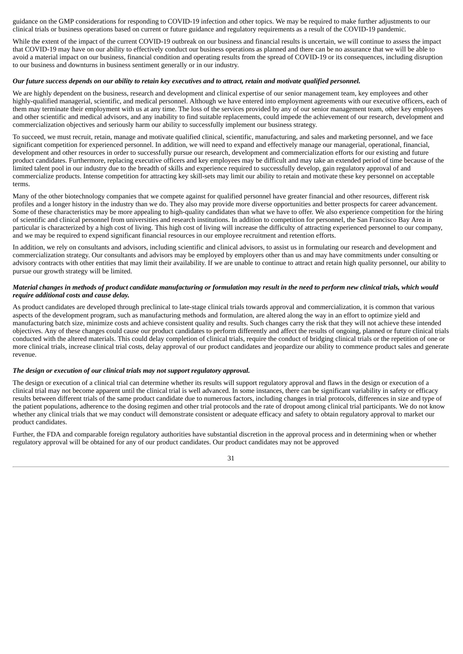guidance on the GMP considerations for responding to COVID-19 infection and other topics. We may be required to make further adjustments to our clinical trials or business operations based on current or future guidance and regulatory requirements as a result of the COVID-19 pandemic.

While the extent of the impact of the current COVID-19 outbreak on our business and financial results is uncertain, we will continue to assess the impact that COVID-19 may have on our ability to effectively conduct our business operations as planned and there can be no assurance that we will be able to avoid a material impact on our business, financial condition and operating results from the spread of COVID-19 or its consequences, including disruption to our business and downturns in business sentiment generally or in our industry.

## Our future success depends on our ability to retain key executives and to attract, retain and motivate qualified personnel.

We are highly dependent on the business, research and development and clinical expertise of our senior management team, key employees and other highly-qualified managerial, scientific, and medical personnel. Although we have entered into employment agreements with our executive officers, each of them may terminate their employment with us at any time. The loss of the services provided by any of our senior management team, other key employees and other scientific and medical advisors, and any inability to find suitable replacements, could impede the achievement of our research, development and commercialization objectives and seriously harm our ability to successfully implement our business strategy.

To succeed, we must recruit, retain, manage and motivate qualified clinical, scientific, manufacturing, and sales and marketing personnel, and we face significant competition for experienced personnel. In addition, we will need to expand and effectively manage our managerial, operational, financial, development and other resources in order to successfully pursue our research, development and commercialization efforts for our existing and future product candidates. Furthermore, replacing executive officers and key employees may be difficult and may take an extended period of time because of the limited talent pool in our industry due to the breadth of skills and experience required to successfully develop, gain regulatory approval of and commercialize products. Intense competition for attracting key skill-sets may limit our ability to retain and motivate these key personnel on acceptable terms.

Many of the other biotechnology companies that we compete against for qualified personnel have greater financial and other resources, different risk profiles and a longer history in the industry than we do. They also may provide more diverse opportunities and better prospects for career advancement. Some of these characteristics may be more appealing to high-quality candidates than what we have to offer. We also experience competition for the hiring of scientific and clinical personnel from universities and research institutions. In addition to competition for personnel, the San Francisco Bay Area in particular is characterized by a high cost of living. This high cost of living will increase the difficulty of attracting experienced personnel to our company, and we may be required to expend significant financial resources in our employee recruitment and retention efforts.

In addition, we rely on consultants and advisors, including scientific and clinical advisors, to assist us in formulating our research and development and commercialization strategy. Our consultants and advisors may be employed by employers other than us and may have commitments under consulting or advisory contracts with other entities that may limit their availability. If we are unable to continue to attract and retain high quality personnel, our ability to pursue our growth strategy will be limited.

# Material changes in methods of product candidate manufacturing or formulation may result in the need to perform new clinical trials, which would *require additional costs and cause delay.*

As product candidates are developed through preclinical to late-stage clinical trials towards approval and commercialization, it is common that various aspects of the development program, such as manufacturing methods and formulation, are altered along the way in an effort to optimize yield and manufacturing batch size, minimize costs and achieve consistent quality and results. Such changes carry the risk that they will not achieve these intended objectives. Any of these changes could cause our product candidates to perform differently and affect the results of ongoing, planned or future clinical trials conducted with the altered materials. This could delay completion of clinical trials, require the conduct of bridging clinical trials or the repetition of one or more clinical trials, increase clinical trial costs, delay approval of our product candidates and jeopardize our ability to commence product sales and generate revenue.

# *The design or execution of our clinical trials may not support regulatory approval.*

The design or execution of a clinical trial can determine whether its results will support regulatory approval and flaws in the design or execution of a clinical trial may not become apparent until the clinical trial is well advanced. In some instances, there can be significant variability in safety or efficacy results between different trials of the same product candidate due to numerous factors, including changes in trial protocols, differences in size and type of the patient populations, adherence to the dosing regimen and other trial protocols and the rate of dropout among clinical trial participants. We do not know whether any clinical trials that we may conduct will demonstrate consistent or adequate efficacy and safety to obtain regulatory approval to market our product candidates.

Further, the FDA and comparable foreign regulatory authorities have substantial discretion in the approval process and in determining when or whether regulatory approval will be obtained for any of our product candidates. Our product candidates may not be approved

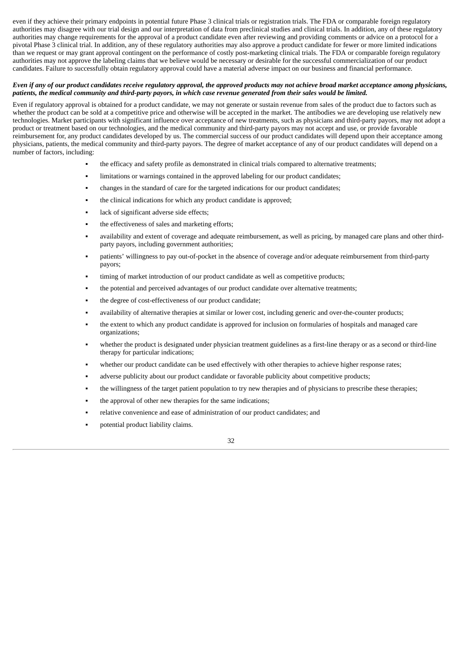even if they achieve their primary endpoints in potential future Phase 3 clinical trials or registration trials. The FDA or comparable foreign regulatory authorities may disagree with our trial design and our interpretation of data from preclinical studies and clinical trials. In addition, any of these regulatory authorities may change requirements for the approval of a product candidate even after reviewing and providing comments or advice on a protocol for a pivotal Phase 3 clinical trial. In addition, any of these regulatory authorities may also approve a product candidate for fewer or more limited indications than we request or may grant approval contingent on the performance of costly post-marketing clinical trials. The FDA or comparable foreign regulatory authorities may not approve the labeling claims that we believe would be necessary or desirable for the successful commercialization of our product candidates. Failure to successfully obtain regulatory approval could have a material adverse impact on our business and financial performance.

## Even if any of our product candidates receive requlatory approval, the approved products may not achieve broad market acceptance among physicians, patients, the medical community and third-party payors, in which case revenue generated from their sales would be limited.

Even if regulatory approval is obtained for a product candidate, we may not generate or sustain revenue from sales of the product due to factors such as whether the product can be sold at a competitive price and otherwise will be accepted in the market. The antibodies we are developing use relatively new technologies. Market participants with significant influence over acceptance of new treatments, such as physicians and third-party payors, may not adopt a product or treatment based on our technologies, and the medical community and third-party payors may not accept and use, or provide favorable reimbursement for, any product candidates developed by us. The commercial success of our product candidates will depend upon their acceptance among physicians, patients, the medical community and third-party payors. The degree of market acceptance of any of our product candidates will depend on a number of factors, including:

- the efficacy and safety profile as demonstrated in clinical trials compared to alternative treatments;
- limitations or warnings contained in the approved labeling for our product candidates;
- changes in the standard of care for the targeted indications for our product candidates;
- the clinical indications for which any product candidate is approved;
- lack of significant adverse side effects;
- the effectiveness of sales and marketing efforts;
- availability and extent of coverage and adequate reimbursement, as well as pricing, by managed care plans and other thirdparty payors, including government authorities;
- patients' willingness to pay out-of-pocket in the absence of coverage and/or adequate reimbursement from third-party payors;
- timing of market introduction of our product candidate as well as competitive products;
- the potential and perceived advantages of our product candidate over alternative treatments;
- the degree of cost-effectiveness of our product candidate;
- availability of alternative therapies at similar or lower cost, including generic and over-the-counter products;
- the extent to which any product candidate is approved for inclusion on formularies of hospitals and managed care organizations;
- whether the product is designated under physician treatment guidelines as a first-line therapy or as a second or third-line therapy for particular indications;
- whether our product candidate can be used effectively with other therapies to achieve higher response rates;
- adverse publicity about our product candidate or favorable publicity about competitive products;
- the willingness of the target patient population to try new therapies and of physicians to prescribe these therapies;
- the approval of other new therapies for the same indications;
- relative convenience and ease of administration of our product candidates; and
- potential product liability claims.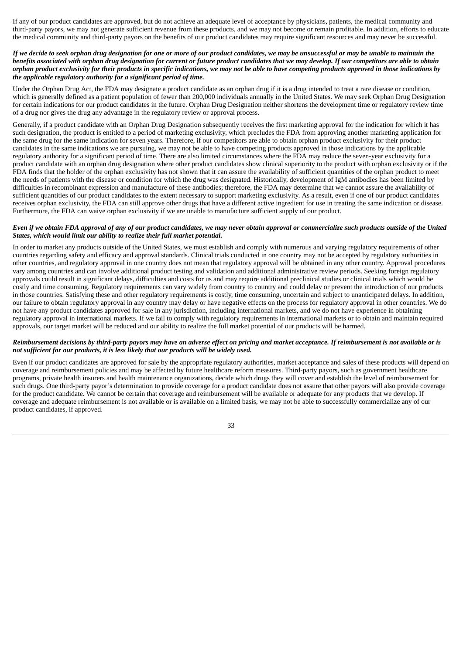If any of our product candidates are approved, but do not achieve an adequate level of acceptance by physicians, patients, the medical community and third-party payors, we may not generate sufficient revenue from these products, and we may not become or remain profitable. In addition, efforts to educate the medical community and third-party payors on the benefits of our product candidates may require significant resources and may never be successful.

## If we decide to seek orphan drug designation for one or more of our product candidates, we may be unsuccessful or may be unable to maintain the benefits associated with orphan drug designation for current or future product candidates that we may develop. If our competitors are able to obtain orphan product exclusivity for their products in specific indications, we may not be able to have competing products approved in those indications by *the applicable regulatory authority for a significant period of time.*

Under the Orphan Drug Act, the FDA may designate a product candidate as an orphan drug if it is a drug intended to treat a rare disease or condition, which is generally defined as a patient population of fewer than 200,000 individuals annually in the United States. We may seek Orphan Drug Designation for certain indications for our product candidates in the future. Orphan Drug Designation neither shortens the development time or regulatory review time of a drug nor gives the drug any advantage in the regulatory review or approval process.

Generally, if a product candidate with an Orphan Drug Designation subsequently receives the first marketing approval for the indication for which it has such designation, the product is entitled to a period of marketing exclusivity, which precludes the FDA from approving another marketing application for the same drug for the same indication for seven years. Therefore, if our competitors are able to obtain orphan product exclusivity for their product candidates in the same indications we are pursuing, we may not be able to have competing products approved in those indications by the applicable regulatory authority for a significant period of time. There are also limited circumstances where the FDA may reduce the seven-year exclusivity for a product candidate with an orphan drug designation where other product candidates show clinical superiority to the product with orphan exclusivity or if the FDA finds that the holder of the orphan exclusivity has not shown that it can assure the availability of sufficient quantities of the orphan product to meet the needs of patients with the disease or condition for which the drug was designated. Historically, development of IgM antibodies has been limited by difficulties in recombinant expression and manufacture of these antibodies; therefore, the FDA may determine that we cannot assure the availability of sufficient quantities of our product candidates to the extent necessary to support marketing exclusivity. As a result, even if one of our product candidates receives orphan exclusivity, the FDA can still approve other drugs that have a different active ingredient for use in treating the same indication or disease. Furthermore, the FDA can waive orphan exclusivity if we are unable to manufacture sufficient supply of our product.

#### Even if we obtain FDA approval of any of our product candidates, we may never obtain approval or commercialize such products outside of the United *States, which would limit our ability to realize their full market potential.*

In order to market any products outside of the United States, we must establish and comply with numerous and varying regulatory requirements of other countries regarding safety and efficacy and approval standards. Clinical trials conducted in one country may not be accepted by regulatory authorities in other countries, and regulatory approval in one country does not mean that regulatory approval will be obtained in any other country. Approval procedures vary among countries and can involve additional product testing and validation and additional administrative review periods. Seeking foreign regulatory approvals could result in significant delays, difficulties and costs for us and may require additional preclinical studies or clinical trials which would be costly and time consuming. Regulatory requirements can vary widely from country to country and could delay or prevent the introduction of our products in those countries. Satisfying these and other regulatory requirements is costly, time consuming, uncertain and subject to unanticipated delays. In addition, our failure to obtain regulatory approval in any country may delay or have negative effects on the process for regulatory approval in other countries. We do not have any product candidates approved for sale in any jurisdiction, including international markets, and we do not have experience in obtaining regulatory approval in international markets. If we fail to comply with regulatory requirements in international markets or to obtain and maintain required approvals, our target market will be reduced and our ability to realize the full market potential of our products will be harmed.

## Reimbursement decisions by third-party payors may have an adverse effect on pricing and market acceptance. If reimbursement is not available or is *not sufficient for our products, it is less likely that our products will be widely used.*

Even if our product candidates are approved for sale by the appropriate regulatory authorities, market acceptance and sales of these products will depend on coverage and reimbursement policies and may be affected by future healthcare reform measures. Third-party payors, such as government healthcare programs, private health insurers and health maintenance organizations, decide which drugs they will cover and establish the level of reimbursement for such drugs. One third-party payor's determination to provide coverage for a product candidate does not assure that other payors will also provide coverage for the product candidate. We cannot be certain that coverage and reimbursement will be available or adequate for any products that we develop. If coverage and adequate reimbursement is not available or is available on a limited basis, we may not be able to successfully commercialize any of our product candidates, if approved.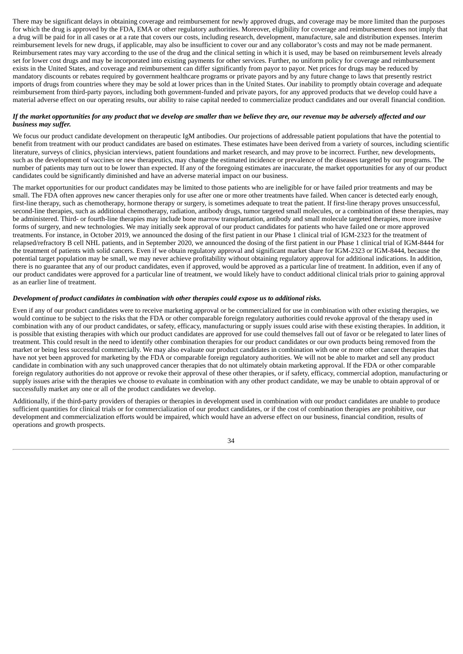There may be significant delays in obtaining coverage and reimbursement for newly approved drugs, and coverage may be more limited than the purposes for which the drug is approved by the FDA, EMA or other regulatory authorities. Moreover, eligibility for coverage and reimbursement does not imply that a drug will be paid for in all cases or at a rate that covers our costs, including research, development, manufacture, sale and distribution expenses. Interim reimbursement levels for new drugs, if applicable, may also be insufficient to cover our and any collaborator's costs and may not be made permanent. Reimbursement rates may vary according to the use of the drug and the clinical setting in which it is used, may be based on reimbursement levels already set for lower cost drugs and may be incorporated into existing payments for other services. Further, no uniform policy for coverage and reimbursement exists in the United States, and coverage and reimbursement can differ significantly from payor to payor. Net prices for drugs may be reduced by mandatory discounts or rebates required by government healthcare programs or private payors and by any future change to laws that presently restrict imports of drugs from countries where they may be sold at lower prices than in the United States. Our inability to promptly obtain coverage and adequate reimbursement from third-party payors, including both government-funded and private payors, for any approved products that we develop could have a material adverse effect on our operating results, our ability to raise capital needed to commercialize product candidates and our overall financial condition.

## If the market opportunities for any product that we develop are smaller than we believe they are, our revenue may be adversely affected and our *business may suffer.*

We focus our product candidate development on therapeutic IgM antibodies. Our projections of addressable patient populations that have the potential to benefit from treatment with our product candidates are based on estimates. These estimates have been derived from a variety of sources, including scientific literature, surveys of clinics, physician interviews, patient foundations and market research, and may prove to be incorrect. Further, new developments, such as the development of vaccines or new therapeutics, may change the estimated incidence or prevalence of the diseases targeted by our programs. The number of patients may turn out to be lower than expected. If any of the foregoing estimates are inaccurate, the market opportunities for any of our product candidates could be significantly diminished and have an adverse material impact on our business.

The market opportunities for our product candidates may be limited to those patients who are ineligible for or have failed prior treatments and may be small. The FDA often approves new cancer therapies only for use after one or more other treatments have failed. When cancer is detected early enough, first-line therapy, such as chemotherapy, hormone therapy or surgery, is sometimes adequate to treat the patient. If first-line therapy proves unsuccessful, second-line therapies, such as additional chemotherapy, radiation, antibody drugs, tumor targeted small molecules, or a combination of these therapies, may be administered. Third- or fourth-line therapies may include bone marrow transplantation, antibody and small molecule targeted therapies, more invasive forms of surgery, and new technologies. We may initially seek approval of our product candidates for patients who have failed one or more approved treatments. For instance, in October 2019, we announced the dosing of the first patient in our Phase 1 clinical trial of IGM-2323 for the treatment of relapsed/refractory B cell NHL patients, and in September 2020, we announced the dosing of the first patient in our Phase 1 clinical trial of IGM-8444 for the treatment of patients with solid cancers. Even if we obtain regulatory approval and significant market share for IGM-2323 or IGM-8444, because the potential target population may be small, we may never achieve profitability without obtaining regulatory approval for additional indications. In addition, there is no guarantee that any of our product candidates, even if approved, would be approved as a particular line of treatment. In addition, even if any of our product candidates were approved for a particular line of treatment, we would likely have to conduct additional clinical trials prior to gaining approval as an earlier line of treatment.

## *Development of product candidates in combination with other therapies could expose us to additional risks.*

Even if any of our product candidates were to receive marketing approval or be commercialized for use in combination with other existing therapies, we would continue to be subject to the risks that the FDA or other comparable foreign regulatory authorities could revoke approval of the therapy used in combination with any of our product candidates, or safety, efficacy, manufacturing or supply issues could arise with these existing therapies. In addition, it is possible that existing therapies with which our product candidates are approved for use could themselves fall out of favor or be relegated to later lines of treatment. This could result in the need to identify other combination therapies for our product candidates or our own products being removed from the market or being less successful commercially. We may also evaluate our product candidates in combination with one or more other cancer therapies that have not yet been approved for marketing by the FDA or comparable foreign regulatory authorities. We will not be able to market and sell any product candidate in combination with any such unapproved cancer therapies that do not ultimately obtain marketing approval. If the FDA or other comparable foreign regulatory authorities do not approve or revoke their approval of these other therapies, or if safety, efficacy, commercial adoption, manufacturing or supply issues arise with the therapies we choose to evaluate in combination with any other product candidate, we may be unable to obtain approval of or successfully market any one or all of the product candidates we develop.

Additionally, if the third-party providers of therapies or therapies in development used in combination with our product candidates are unable to produce sufficient quantities for clinical trials or for commercialization of our product candidates, or if the cost of combination therapies are prohibitive, our development and commercialization efforts would be impaired, which would have an adverse effect on our business, financial condition, results of operations and growth prospects.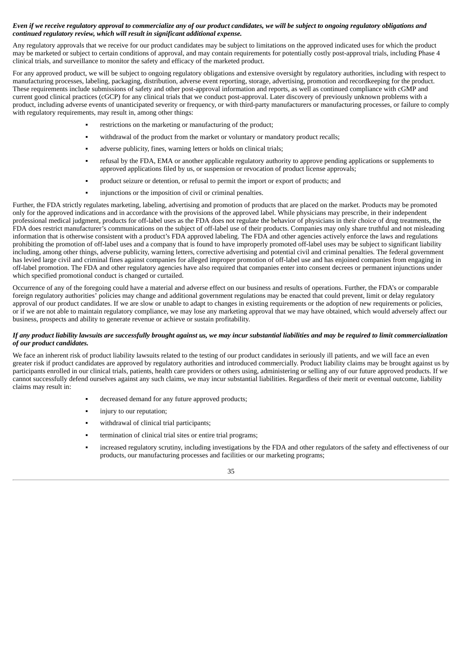# Even if we receive regulatory approval to commercialize any of our product candidates, we will be subject to ongoing regulatory obligations and *continued regulatory review, which will result in significant additional expense.*

Any regulatory approvals that we receive for our product candidates may be subject to limitations on the approved indicated uses for which the product may be marketed or subject to certain conditions of approval, and may contain requirements for potentially costly post-approval trials, including Phase 4 clinical trials, and surveillance to monitor the safety and efficacy of the marketed product.

For any approved product, we will be subject to ongoing regulatory obligations and extensive oversight by regulatory authorities, including with respect to manufacturing processes, labeling, packaging, distribution, adverse event reporting, storage, advertising, promotion and recordkeeping for the product. These requirements include submissions of safety and other post-approval information and reports, as well as continued compliance with cGMP and current good clinical practices (cGCP) for any clinical trials that we conduct post-approval. Later discovery of previously unknown problems with a product, including adverse events of unanticipated severity or frequency, or with third-party manufacturers or manufacturing processes, or failure to comply with regulatory requirements, may result in, among other things:

- restrictions on the marketing or manufacturing of the product:
- withdrawal of the product from the market or voluntary or mandatory product recalls;
- adverse publicity, fines, warning letters or holds on clinical trials;
- refusal by the FDA, EMA or another applicable regulatory authority to approve pending applications or supplements to approved applications filed by us, or suspension or revocation of product license approvals;
- product seizure or detention, or refusal to permit the import or export of products; and
- injunctions or the imposition of civil or criminal penalties.

Further, the FDA strictly regulates marketing, labeling, advertising and promotion of products that are placed on the market. Products may be promoted only for the approved indications and in accordance with the provisions of the approved label. While physicians may prescribe, in their independent professional medical judgment, products for off-label uses as the FDA does not regulate the behavior of physicians in their choice of drug treatments, the FDA does restrict manufacturer's communications on the subject of off-label use of their products. Companies may only share truthful and not misleading information that is otherwise consistent with a product's FDA approved labeling. The FDA and other agencies actively enforce the laws and regulations prohibiting the promotion of off-label uses and a company that is found to have improperly promoted off-label uses may be subject to significant liability including, among other things, adverse publicity, warning letters, corrective advertising and potential civil and criminal penalties. The federal government has levied large civil and criminal fines against companies for alleged improper promotion of off-label use and has enjoined companies from engaging in off-label promotion. The FDA and other regulatory agencies have also required that companies enter into consent decrees or permanent injunctions under which specified promotional conduct is changed or curtailed.

Occurrence of any of the foregoing could have a material and adverse effect on our business and results of operations. Further, the FDA's or comparable foreign regulatory authorities' policies may change and additional government regulations may be enacted that could prevent, limit or delay regulatory approval of our product candidates. If we are slow or unable to adapt to changes in existing requirements or the adoption of new requirements or policies, or if we are not able to maintain regulatory compliance, we may lose any marketing approval that we may have obtained, which would adversely affect our business, prospects and ability to generate revenue or achieve or sustain profitability.

## If any product liability lawsuits are successfully brought against us, we may incur substantial liabilities and may be required to limit commercialization *of our product candidates.*

We face an inherent risk of product liability lawsuits related to the testing of our product candidates in seriously ill patients, and we will face an even greater risk if product candidates are approved by regulatory authorities and introduced commercially. Product liability claims may be brought against us by participants enrolled in our clinical trials, patients, health care providers or others using, administering or selling any of our future approved products. If we cannot successfully defend ourselves against any such claims, we may incur substantial liabilities. Regardless of their merit or eventual outcome, liability claims may result in:

- decreased demand for any future approved products;
- injury to our reputation;
- withdrawal of clinical trial participants;
- termination of clinical trial sites or entire trial programs;
- increased regulatory scrutiny, including investigations by the FDA and other regulators of the safety and effectiveness of our products, our manufacturing processes and facilities or our marketing programs;

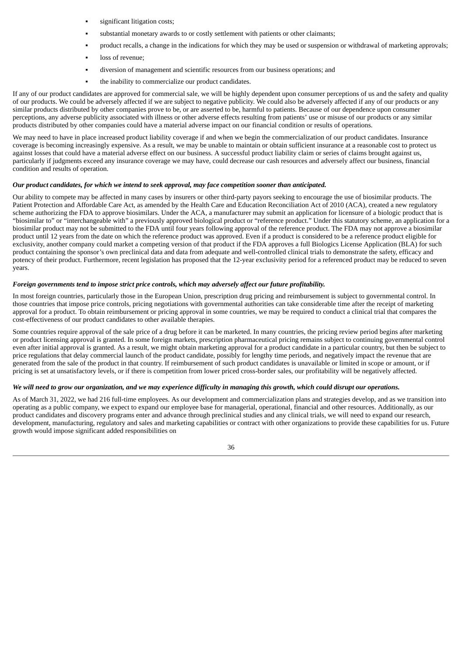- significant litigation costs;
- substantial monetary awards to or costly settlement with patients or other claimants;
- product recalls, a change in the indications for which they may be used or suspension or withdrawal of marketing approvals;
- loss of revenue;
- diversion of management and scientific resources from our business operations; and
- the inability to commercialize our product candidates.

If any of our product candidates are approved for commercial sale, we will be highly dependent upon consumer perceptions of us and the safety and quality of our products. We could be adversely affected if we are subject to negative publicity. We could also be adversely affected if any of our products or any similar products distributed by other companies prove to be, or are asserted to be, harmful to patients. Because of our dependence upon consumer perceptions, any adverse publicity associated with illness or other adverse effects resulting from patients' use or misuse of our products or any similar products distributed by other companies could have a material adverse impact on our financial condition or results of operations.

We may need to have in place increased product liability coverage if and when we begin the commercialization of our product candidates. Insurance coverage is becoming increasingly expensive. As a result, we may be unable to maintain or obtain sufficient insurance at a reasonable cost to protect us against losses that could have a material adverse effect on our business. A successful product liability claim or series of claims brought against us, particularly if judgments exceed any insurance coverage we may have, could decrease our cash resources and adversely affect our business, financial condition and results of operation.

#### *Our product candidates, for which we intend to seek approval, may face competition sooner than anticipated.*

Our ability to compete may be affected in many cases by insurers or other third-party payors seeking to encourage the use of biosimilar products. The Patient Protection and Affordable Care Act, as amended by the Health Care and Education Reconciliation Act of 2010 (ACA), created a new regulatory scheme authorizing the FDA to approve biosimilars. Under the ACA, a manufacturer may submit an application for licensure of a biologic product that is "biosimilar to" or "interchangeable with" a previously approved biological product or "reference product." Under this statutory scheme, an application for a biosimilar product may not be submitted to the FDA until four years following approval of the reference product. The FDA may not approve a biosimilar product until 12 years from the date on which the reference product was approved. Even if a product is considered to be a reference product eligible for exclusivity, another company could market a competing version of that product if the FDA approves a full Biologics License Application (BLA) for such product containing the sponsor's own preclinical data and data from adequate and well-controlled clinical trials to demonstrate the safety, efficacy and potency of their product. Furthermore, recent legislation has proposed that the 12-year exclusivity period for a referenced product may be reduced to seven years.

# *Foreign governments tend to impose strict price controls, which may adversely affect our future profitability.*

In most foreign countries, particularly those in the European Union, prescription drug pricing and reimbursement is subject to governmental control. In those countries that impose price controls, pricing negotiations with governmental authorities can take considerable time after the receipt of marketing approval for a product. To obtain reimbursement or pricing approval in some countries, we may be required to conduct a clinical trial that compares the cost-effectiveness of our product candidates to other available therapies.

Some countries require approval of the sale price of a drug before it can be marketed. In many countries, the pricing review period begins after marketing or product licensing approval is granted. In some foreign markets, prescription pharmaceutical pricing remains subject to continuing governmental control even after initial approval is granted. As a result, we might obtain marketing approval for a product candidate in a particular country, but then be subject to price regulations that delay commercial launch of the product candidate, possibly for lengthy time periods, and negatively impact the revenue that are generated from the sale of the product in that country. If reimbursement of such product candidates is unavailable or limited in scope or amount, or if pricing is set at unsatisfactory levels, or if there is competition from lower priced cross-border sales, our profitability will be negatively affected.

#### We will need to grow our organization, and we may experience difficulty in managing this growth, which could disrupt our operations.

As of March 31, 2022, we had 216 full-time employees. As our development and commercialization plans and strategies develop, and as we transition into operating as a public company, we expect to expand our employee base for managerial, operational, financial and other resources. Additionally, as our product candidates and discovery programs enter and advance through preclinical studies and any clinical trials, we will need to expand our research, development, manufacturing, regulatory and sales and marketing capabilities or contract with other organizations to provide these capabilities for us. Future growth would impose significant added responsibilities on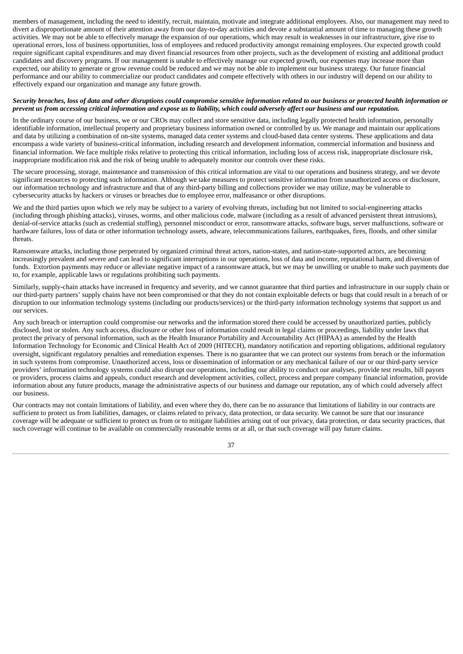members of management, including the need to identify, recruit, maintain, motivate and integrate additional employees. Also, our management may need to divert a disproportionate amount of their attention away from our day-to-day activities and devote a substantial amount of time to managing these growth activities. We may not be able to effectively manage the expansion of our operations, which may result in weaknesses in our infrastructure, give rise to operational errors, loss of business opportunities, loss of employees and reduced productivity amongst remaining employees. Our expected growth could require significant capital expenditures and may divert financial resources from other projects, such as the development of existing and additional product candidates and discovery programs. If our management is unable to effectively manage our expected growth, our expenses may increase more than expected, our ability to generate or grow revenue could be reduced and we may not be able to implement our business strategy. Our future financial performance and our ability to commercialize our product candidates and compete effectively with others in our industry will depend on our ability to effectively expand our organization and manage any future growth.

## Security breaches, loss of data and other disruptions could compromise sensitive information related to our business or protected health information or prevent us from accessing critical information and expose us to liability, which could adversely affect our business and our reputation.

In the ordinary course of our business, we or our CROs may collect and store sensitive data, including legally protected health information, personally identifiable information, intellectual property and proprietary business information owned or controlled by us. We manage and maintain our applications and data by utilizing a combination of on-site systems, managed data center systems and cloud-based data center systems. These applications and data encompass a wide variety of business-critical information, including research and development information, commercial information and business and financial information. We face multiple risks relative to protecting this critical information, including loss of access risk, inappropriate disclosure risk, inappropriate modification risk and the risk of being unable to adequately monitor our controls over these risks.

The secure processing, storage, maintenance and transmission of this critical information are vital to our operations and business strategy, and we devote significant resources to protecting such information. Although we take measures to protect sensitive information from unauthorized access or disclosure, our information technology and infrastructure and that of any third-party billing and collections provider we may utilize, may be vulnerable to cybersecurity attacks by hackers or viruses or breaches due to employee error, malfeasance or other disruptions.

We and the third parties upon which we rely may be subject to a variety of evolving threats, including but not limited to social-engineering attacks (including through phishing attacks), viruses, worms, and other malicious code, malware (including as a result of advanced persistent threat intrusions), denial-of-service attacks (such as credential stuffing), personnel misconduct or error, ransomware attacks, software bugs, server malfunctions, software or hardware failures, loss of data or other information technology assets, adware, telecommunications failures, earthquakes, fires, floods, and other similar threats.

Ransomware attacks, including those perpetrated by organized criminal threat actors, nation-states, and nation-state-supported actors, are becoming increasingly prevalent and severe and can lead to significant interruptions in our operations, loss of data and income, reputational harm, and diversion of funds. Extortion payments may reduce or alleviate negative impact of a ransomware attack, but we may be unwilling or unable to make such payments due to, for example, applicable laws or regulations prohibiting such payments.

Similarly, supply-chain attacks have increased in frequency and severity, and we cannot guarantee that third parties and infrastructure in our supply chain or our third-party partners' supply chains have not been compromised or that they do not contain exploitable defects or bugs that could result in a breach of or disruption to our information technology systems (including our products/services) or the third-party information technology systems that support us and our services.

Any such breach or interruption could compromise our networks and the information stored there could be accessed by unauthorized parties, publicly disclosed, lost or stolen. Any such access, disclosure or other loss of information could result in legal claims or proceedings, liability under laws that protect the privacy of personal information, such as the Health Insurance Portability and Accountability Act (HIPAA) as amended by the Health Information Technology for Economic and Clinical Health Act of 2009 (HITECH), mandatory notification and reporting obligations, additional regulatory oversight, significant regulatory penalties and remediation expenses. There is no guarantee that we can protect our systems from breach or the information in such systems from compromise. Unauthorized access, loss or dissemination of information or any mechanical failure of our or our third-party service providers' information technology systems could also disrupt our operations, including our ability to conduct our analyses, provide test results, bill payors or providers, process claims and appeals, conduct research and development activities, collect, process and prepare company financial information, provide information about any future products, manage the administrative aspects of our business and damage our reputation, any of which could adversely affect our business.

Our contracts may not contain limitations of liability, and even where they do, there can be no assurance that limitations of liability in our contracts are sufficient to protect us from liabilities, damages, or claims related to privacy, data protection, or data security. We cannot be sure that our insurance coverage will be adequate or sufficient to protect us from or to mitigate liabilities arising out of our privacy, data protection, or data security practices, that such coverage will continue to be available on commercially reasonable terms or at all, or that such coverage will pay future claims.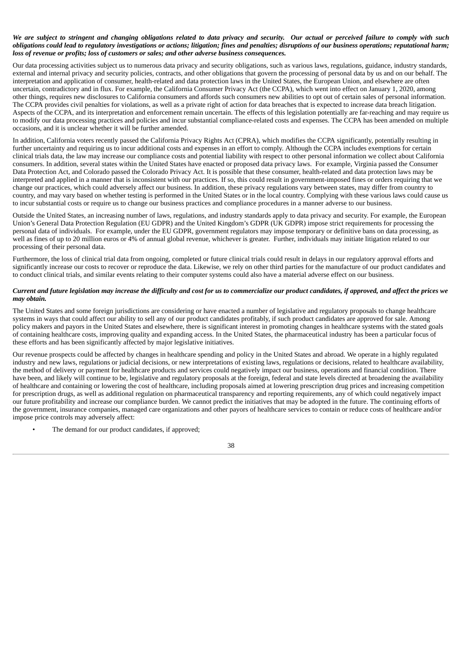## We are subject to stringent and changing obligations related to data privacy and security. Our actual or perceived failure to comply with such obligations could lead to regulatory investigations or actions; litigation; fines and penalties; disruptions of our business operations; reputational harm; *loss of revenue or profits; loss of customers or sales; and other adverse business consequences.*

Our data processing activities subject us to numerous data privacy and security obligations, such as various laws, regulations, guidance, industry standards, external and internal privacy and security policies, contracts, and other obligations that govern the processing of personal data by us and on our behalf. The interpretation and application of consumer, health-related and data protection laws in the United States, the European Union, and elsewhere are often uncertain, contradictory and in flux. For example, the California Consumer Privacy Act (the CCPA), which went into effect on January 1, 2020, among other things, requires new disclosures to California consumers and affords such consumers new abilities to opt out of certain sales of personal information. The CCPA provides civil penalties for violations, as well as a private right of action for data breaches that is expected to increase data breach litigation. Aspects of the CCPA, and its interpretation and enforcement remain uncertain. The effects of this legislation potentially are far-reaching and may require us to modify our data processing practices and policies and incur substantial compliance-related costs and expenses. The CCPA has been amended on multiple occasions, and it is unclear whether it will be further amended.

In addition, California voters recently passed the California Privacy Rights Act (CPRA), which modifies the CCPA significantly, potentially resulting in further uncertainty and requiring us to incur additional costs and expenses in an effort to comply. Although the CCPA includes exemptions for certain clinical trials data, the law may increase our compliance costs and potential liability with respect to other personal information we collect about California consumers. In addition, several states within the United States have enacted or proposed data privacy laws. For example, Virginia passed the Consumer Data Protection Act, and Colorado passed the Colorado Privacy Act. It is possible that these consumer, health-related and data protection laws may be interpreted and applied in a manner that is inconsistent with our practices. If so, this could result in government-imposed fines or orders requiring that we change our practices, which could adversely affect our business. In addition, these privacy regulations vary between states, may differ from country to country, and may vary based on whether testing is performed in the United States or in the local country. Complying with these various laws could cause us to incur substantial costs or require us to change our business practices and compliance procedures in a manner adverse to our business.

Outside the United States, an increasing number of laws, regulations, and industry standards apply to data privacy and security. For example, the European Union's General Data Protection Regulation (EU GDPR) and the United Kingdom's GDPR (UK GDPR) impose strict requirements for processing the personal data of individuals. For example, under the EU GDPR, government regulators may impose temporary or definitive bans on data processing, as well as fines of up to 20 million euros or 4% of annual global revenue, whichever is greater. Further, individuals may initiate litigation related to our processing of their personal data.

Furthermore, the loss of clinical trial data from ongoing, completed or future clinical trials could result in delays in our regulatory approval efforts and significantly increase our costs to recover or reproduce the data. Likewise, we rely on other third parties for the manufacture of our product candidates and to conduct clinical trials, and similar events relating to their computer systems could also have a material adverse effect on our business.

# Current and future legislation may increase the difficulty and cost for us to commercialize our product candidates, if approved, and affect the prices we *may obtain.*

The United States and some foreign jurisdictions are considering or have enacted a number of legislative and regulatory proposals to change healthcare systems in ways that could affect our ability to sell any of our product candidates profitably, if such product candidates are approved for sale. Among policy makers and payors in the United States and elsewhere, there is significant interest in promoting changes in healthcare systems with the stated goals of containing healthcare costs, improving quality and expanding access. In the United States, the pharmaceutical industry has been a particular focus of these efforts and has been significantly affected by major legislative initiatives.

Our revenue prospects could be affected by changes in healthcare spending and policy in the United States and abroad. We operate in a highly regulated industry and new laws, regulations or judicial decisions, or new interpretations of existing laws, regulations or decisions, related to healthcare availability, the method of delivery or payment for healthcare products and services could negatively impact our business, operations and financial condition. There have been, and likely will continue to be, legislative and regulatory proposals at the foreign, federal and state levels directed at broadening the availability of healthcare and containing or lowering the cost of healthcare, including proposals aimed at lowering prescription drug prices and increasing competition for prescription drugs, as well as additional regulation on pharmaceutical transparency and reporting requirements, any of which could negatively impact our future profitability and increase our compliance burden. We cannot predict the initiatives that may be adopted in the future. The continuing efforts of the government, insurance companies, managed care organizations and other payors of healthcare services to contain or reduce costs of healthcare and/or impose price controls may adversely affect:

The demand for our product candidates, if approved;

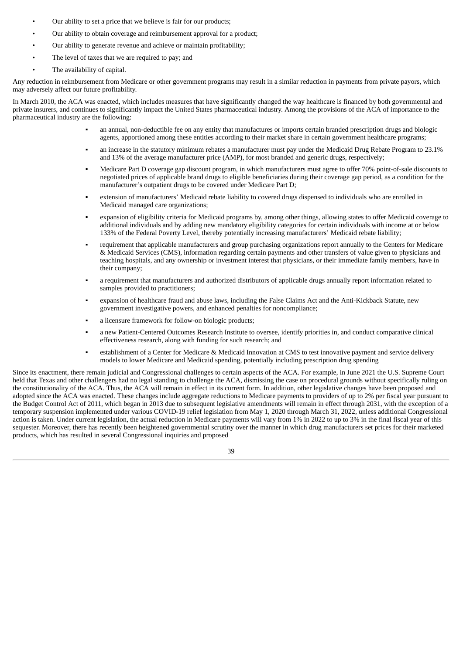- Our ability to set a price that we believe is fair for our products;
- Our ability to obtain coverage and reimbursement approval for a product;
- Our ability to generate revenue and achieve or maintain profitability;
- The level of taxes that we are required to pay; and
- The availability of capital.

Any reduction in reimbursement from Medicare or other government programs may result in a similar reduction in payments from private payors, which may adversely affect our future profitability.

In March 2010, the ACA was enacted, which includes measures that have significantly changed the way healthcare is financed by both governmental and private insurers, and continues to significantly impact the United States pharmaceutical industry. Among the provisions of the ACA of importance to the pharmaceutical industry are the following:

- an annual, non-deductible fee on any entity that manufactures or imports certain branded prescription drugs and biologic agents, apportioned among these entities according to their market share in certain government healthcare programs;
- an increase in the statutory minimum rebates a manufacturer must pay under the Medicaid Drug Rebate Program to 23.1% and 13% of the average manufacturer price (AMP), for most branded and generic drugs, respectively;
- Medicare Part D coverage gap discount program, in which manufacturers must agree to offer 70% point-of-sale discounts to negotiated prices of applicable brand drugs to eligible beneficiaries during their coverage gap period, as a condition for the manufacturer's outpatient drugs to be covered under Medicare Part D;
- extension of manufacturers' Medicaid rebate liability to covered drugs dispensed to individuals who are enrolled in Medicaid managed care organizations;
- expansion of eligibility criteria for Medicaid programs by, among other things, allowing states to offer Medicaid coverage to additional individuals and by adding new mandatory eligibility categories for certain individuals with income at or below 133% of the Federal Poverty Level, thereby potentially increasing manufacturers' Medicaid rebate liability;
- requirement that applicable manufacturers and group purchasing organizations report annually to the Centers for Medicare & Medicaid Services (CMS), information regarding certain payments and other transfers of value given to physicians and teaching hospitals, and any ownership or investment interest that physicians, or their immediate family members, have in their company;
- a requirement that manufacturers and authorized distributors of applicable drugs annually report information related to samples provided to practitioners;
- expansion of healthcare fraud and abuse laws, including the False Claims Act and the Anti-Kickback Statute, new government investigative powers, and enhanced penalties for noncompliance;
- a licensure framework for follow-on biologic products;
- a new Patient-Centered Outcomes Research Institute to oversee, identify priorities in, and conduct comparative clinical effectiveness research, along with funding for such research; and
- establishment of a Center for Medicare & Medicaid Innovation at CMS to test innovative payment and service delivery models to lower Medicare and Medicaid spending, potentially including prescription drug spending

Since its enactment, there remain judicial and Congressional challenges to certain aspects of the ACA. For example, in June 2021 the U.S. Supreme Court held that Texas and other challengers had no legal standing to challenge the ACA, dismissing the case on procedural grounds without specifically ruling on the constitutionality of the ACA. Thus, the ACA will remain in effect in its current form. In addition, other legislative changes have been proposed and adopted since the ACA was enacted. These changes include aggregate reductions to Medicare payments to providers of up to 2% per fiscal year pursuant to the Budget Control Act of 2011, which began in 2013 due to subsequent legislative amendments will remain in effect through 2031, with the exception of a temporary suspension implemented under various COVID-19 relief legislation from May 1, 2020 through March 31, 2022, unless additional Congressional action is taken. Under current legislation, the actual reduction in Medicare payments will vary from 1% in 2022 to up to 3% in the final fiscal year of this sequester. Moreover, there has recently been heightened governmental scrutiny over the manner in which drug manufacturers set prices for their marketed products, which has resulted in several Congressional inquiries and proposed

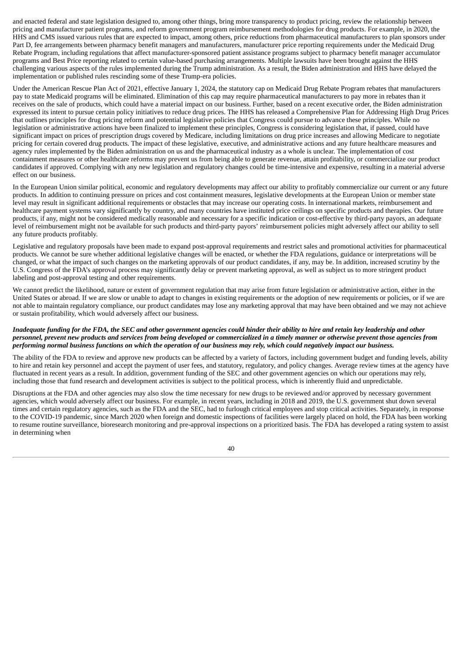and enacted federal and state legislation designed to, among other things, bring more transparency to product pricing, review the relationship between pricing and manufacturer patient programs, and reform government program reimbursement methodologies for drug products. For example, in 2020, the HHS and CMS issued various rules that are expected to impact, among others, price reductions from pharmaceutical manufacturers to plan sponsors under Part D, fee arrangements between pharmacy benefit managers and manufacturers, manufacturer price reporting requirements under the Medicaid Drug Rebate Program, including regulations that affect manufacturer-sponsored patient assistance programs subject to pharmacy benefit manager accumulator programs and Best Price reporting related to certain value-based purchasing arrangements. Multiple lawsuits have been brought against the HHS challenging various aspects of the rules implemented during the Trump administration. As a result, the Biden administration and HHS have delayed the implementation or published rules rescinding some of these Trump-era policies.

Under the American Rescue Plan Act of 2021, effective January 1, 2024, the statutory cap on Medicaid Drug Rebate Program rebates that manufacturers pay to state Medicaid programs will be eliminated. Elimination of this cap may require pharmaceutical manufacturers to pay more in rebates than it receives on the sale of products, which could have a material impact on our business. Further, based on a recent executive order, the Biden administration expressed its intent to pursue certain policy initiatives to reduce drug prices. The HHS has released a Comprehensive Plan for Addressing High Drug Prices that outlines principles for drug pricing reform and potential legislative policies that Congress could pursue to advance these principles. While no legislation or administrative actions have been finalized to implement these principles, Congress is considering legislation that, if passed, could have significant impact on prices of prescription drugs covered by Medicare, including limitations on drug price increases and allowing Medicare to negotiate pricing for certain covered drug products. The impact of these legislative, executive, and administrative actions and any future healthcare measures and agency rules implemented by the Biden administration on us and the pharmaceutical industry as a whole is unclear. The implementation of cost containment measures or other healthcare reforms may prevent us from being able to generate revenue, attain profitability, or commercialize our product candidates if approved. Complying with any new legislation and regulatory changes could be time-intensive and expensive, resulting in a material adverse effect on our business.

In the European Union similar political, economic and regulatory developments may affect our ability to profitably commercialize our current or any future products. In addition to continuing pressure on prices and cost containment measures, legislative developments at the European Union or member state level may result in significant additional requirements or obstacles that may increase our operating costs. In international markets, reimbursement and healthcare payment systems vary significantly by country, and many countries have instituted price ceilings on specific products and therapies. Our future products, if any, might not be considered medically reasonable and necessary for a specific indication or cost-effective by third-party payors, an adequate level of reimbursement might not be available for such products and third-party payors' reimbursement policies might adversely affect our ability to sell any future products profitably.

Legislative and regulatory proposals have been made to expand post-approval requirements and restrict sales and promotional activities for pharmaceutical products. We cannot be sure whether additional legislative changes will be enacted, or whether the FDA regulations, guidance or interpretations will be changed, or what the impact of such changes on the marketing approvals of our product candidates, if any, may be. In addition, increased scrutiny by the U.S. Congress of the FDA's approval process may significantly delay or prevent marketing approval, as well as subject us to more stringent product labeling and post-approval testing and other requirements.

We cannot predict the likelihood, nature or extent of government regulation that may arise from future legislation or administrative action, either in the United States or abroad. If we are slow or unable to adapt to changes in existing requirements or the adoption of new requirements or policies, or if we are not able to maintain regulatory compliance, our product candidates may lose any marketing approval that may have been obtained and we may not achieve or sustain profitability, which would adversely affect our business.

### Ingdeauate funding for the FDA, the SEC and other government agencies could hinder their ability to hire and retain key leadership and other personnel, prevent new products and services from being developed or commercialized in a timely manner or otherwise prevent those agencies from performing normal business functions on which the operation of our business may rely, which could negatively impact our business.

The ability of the FDA to review and approve new products can be affected by a variety of factors, including government budget and funding levels, ability to hire and retain key personnel and accept the payment of user fees, and statutory, regulatory, and policy changes. Average review times at the agency have fluctuated in recent years as a result. In addition, government funding of the SEC and other government agencies on which our operations may rely, including those that fund research and development activities is subject to the political process, which is inherently fluid and unpredictable.

Disruptions at the FDA and other agencies may also slow the time necessary for new drugs to be reviewed and/or approved by necessary government agencies, which would adversely affect our business. For example, in recent years, including in 2018 and 2019, the U.S. government shut down several times and certain regulatory agencies, such as the FDA and the SEC, had to furlough critical employees and stop critical activities. Separately, in response to the COVID-19 pandemic, since March 2020 when foreign and domestic inspections of facilities were largely placed on hold, the FDA has been working to resume routine surveillance, bioresearch monitoring and pre-approval inspections on a prioritized basis. The FDA has developed a rating system to assist in determining when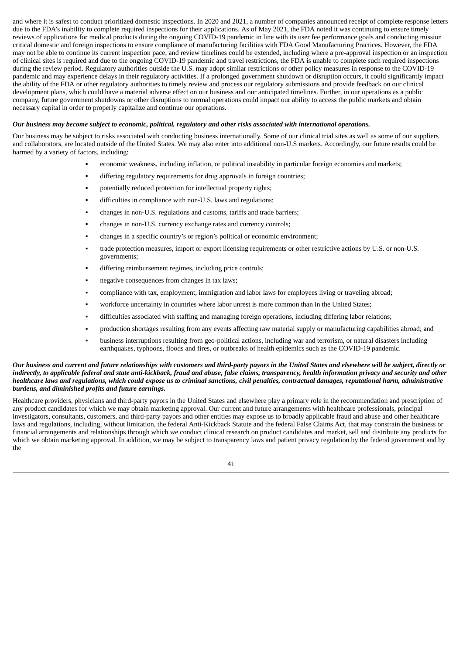and where it is safest to conduct prioritized domestic inspections. In 2020 and 2021, a number of companies announced receipt of complete response letters due to the FDA's inability to complete required inspections for their applications. As of May 2021, the FDA noted it was continuing to ensure timely reviews of applications for medical products during the ongoing COVID-19 pandemic in line with its user fee performance goals and conducting mission critical domestic and foreign inspections to ensure compliance of manufacturing facilities with FDA Good Manufacturing Practices. However, the FDA may not be able to continue its current inspection pace, and review timelines could be extended, including where a pre-approval inspection or an inspection of clinical sites is required and due to the ongoing COVID-19 pandemic and travel restrictions, the FDA is unable to complete such required inspections during the review period. Regulatory authorities outside the U.S. may adopt similar restrictions or other policy measures in response to the COVID-19 pandemic and may experience delays in their regulatory activities. If a prolonged government shutdown or disruption occurs, it could significantly impact the ability of the FDA or other regulatory authorities to timely review and process our regulatory submissions and provide feedback on our clinical development plans, which could have a material adverse effect on our business and our anticipated timelines. Further, in our operations as a public company, future government shutdowns or other disruptions to normal operations could impact our ability to access the public markets and obtain necessary capital in order to properly capitalize and continue our operations.

#### Our business may become subject to economic, political, regulatory and other risks associated with international operations.

Our business may be subject to risks associated with conducting business internationally. Some of our clinical trial sites as well as some of our suppliers and collaborators, are located outside of the United States. We may also enter into additional non-U.S markets. Accordingly, our future results could be harmed by a variety of factors, including:

- economic weakness, including inflation, or political instability in particular foreign economies and markets;
- differing regulatory requirements for drug approvals in foreign countries;
- potentially reduced protection for intellectual property rights;
- difficulties in compliance with non-U.S. laws and regulations;
- changes in non-U.S. regulations and customs, tariffs and trade barriers;
- changes in non-U.S. currency exchange rates and currency controls;
- changes in a specific country's or region's political or economic environment;
- trade protection measures, import or export licensing requirements or other restrictive actions by U.S. or non-U.S. governments;
- differing reimbursement regimes, including price controls;
- negative consequences from changes in tax laws;
- compliance with tax, employment, immigration and labor laws for employees living or traveling abroad;
- workforce uncertainty in countries where labor unrest is more common than in the United States;
- difficulties associated with staffing and managing foreign operations, including differing labor relations;
- production shortages resulting from any events affecting raw material supply or manufacturing capabilities abroad; and
- business interruptions resulting from geo-political actions, including war and terrorism, or natural disasters including earthquakes, typhoons, floods and fires, or outbreaks of health epidemics such as the COVID-19 pandemic.

#### Our business and current and future relationships with customers and third-party payors in the United States and elsewhere will be subject, directly or indirectly, to applicable federal and state anti-kickback, fraud and abuse, false claims, transparency, health information privacy and security and other healthcare laws and regulations, which could expose us to criminal sanctions, civil penalties, contractual damages, reputational harm, administrative *burdens, and diminished profits and future earnings.*

Healthcare providers, physicians and third-party payors in the United States and elsewhere play a primary role in the recommendation and prescription of any product candidates for which we may obtain marketing approval. Our current and future arrangements with healthcare professionals, principal investigators, consultants, customers, and third-party payors and other entities may expose us to broadly applicable fraud and abuse and other healthcare laws and regulations, including, without limitation, the federal Anti-Kickback Statute and the federal False Claims Act, that may constrain the business or financial arrangements and relationships through which we conduct clinical research on product candidates and market, sell and distribute any products for which we obtain marketing approval. In addition, we may be subject to transparency laws and patient privacy regulation by the federal government and by the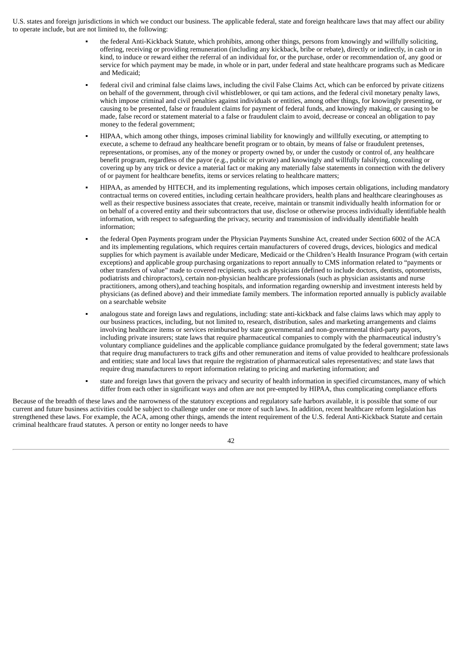U.S. states and foreign jurisdictions in which we conduct our business. The applicable federal, state and foreign healthcare laws that may affect our ability to operate include, but are not limited to, the following:

- the federal Anti-Kickback Statute, which prohibits, among other things, persons from knowingly and willfully soliciting, offering, receiving or providing remuneration (including any kickback, bribe or rebate), directly or indirectly, in cash or in kind, to induce or reward either the referral of an individual for, or the purchase, order or recommendation of, any good or service for which payment may be made, in whole or in part, under federal and state healthcare programs such as Medicare and Medicaid;
- federal civil and criminal false claims laws, including the civil False Claims Act, which can be enforced by private citizens on behalf of the government, through civil whistleblower, or qui tam actions, and the federal civil monetary penalty laws, which impose criminal and civil penalties against individuals or entities, among other things, for knowingly presenting, or causing to be presented, false or fraudulent claims for payment of federal funds, and knowingly making, or causing to be made, false record or statement material to a false or fraudulent claim to avoid, decrease or conceal an obligation to pay money to the federal government;
- HIPAA, which among other things, imposes criminal liability for knowingly and willfully executing, or attempting to execute, a scheme to defraud any healthcare benefit program or to obtain, by means of false or fraudulent pretenses, representations, or promises, any of the money or property owned by, or under the custody or control of, any healthcare benefit program, regardless of the payor (e.g., public or private) and knowingly and willfully falsifying, concealing or covering up by any trick or device a material fact or making any materially false statements in connection with the delivery of or payment for healthcare benefits, items or services relating to healthcare matters;
- HIPAA, as amended by HITECH, and its implementing regulations, which imposes certain obligations, including mandatory contractual terms on covered entities, including certain healthcare providers, health plans and healthcare clearinghouses as well as their respective business associates that create, receive, maintain or transmit individually health information for or on behalf of a covered entity and their subcontractors that use, disclose or otherwise process individually identifiable health information, with respect to safeguarding the privacy, security and transmission of individually identifiable health information;
- the federal Open Payments program under the Physician Payments Sunshine Act, created under Section 6002 of the ACA and its implementing regulations, which requires certain manufacturers of covered drugs, devices, biologics and medical supplies for which payment is available under Medicare, Medicaid or the Children's Health Insurance Program (with certain exceptions) and applicable group purchasing organizations to report annually to CMS information related to "payments or other transfers of value" made to covered recipients, such as physicians (defined to include doctors, dentists, optometrists, podiatrists and chiropractors), certain non-physician healthcare professionals (such as physician assistants and nurse practitioners, among others),and teaching hospitals, and information regarding ownership and investment interests held by physicians (as defined above) and their immediate family members. The information reported annually is publicly available on a searchable website
- analogous state and foreign laws and regulations, including: state anti-kickback and false claims laws which may apply to our business practices, including, but not limited to, research, distribution, sales and marketing arrangements and claims involving healthcare items or services reimbursed by state governmental and non-governmental third-party payors, including private insurers; state laws that require pharmaceutical companies to comply with the pharmaceutical industry's voluntary compliance guidelines and the applicable compliance guidance promulgated by the federal government; state laws that require drug manufacturers to track gifts and other remuneration and items of value provided to healthcare professionals and entities; state and local laws that require the registration of pharmaceutical sales representatives; and state laws that require drug manufacturers to report information relating to pricing and marketing information; and
- state and foreign laws that govern the privacy and security of health information in specified circumstances, many of which differ from each other in significant ways and often are not pre-empted by HIPAA, thus complicating compliance efforts

Because of the breadth of these laws and the narrowness of the statutory exceptions and regulatory safe harbors available, it is possible that some of our current and future business activities could be subject to challenge under one or more of such laws. In addition, recent healthcare reform legislation has strengthened these laws. For example, the ACA, among other things, amends the intent requirement of the U.S. federal Anti-Kickback Statute and certain criminal healthcare fraud statutes. A person or entity no longer needs to have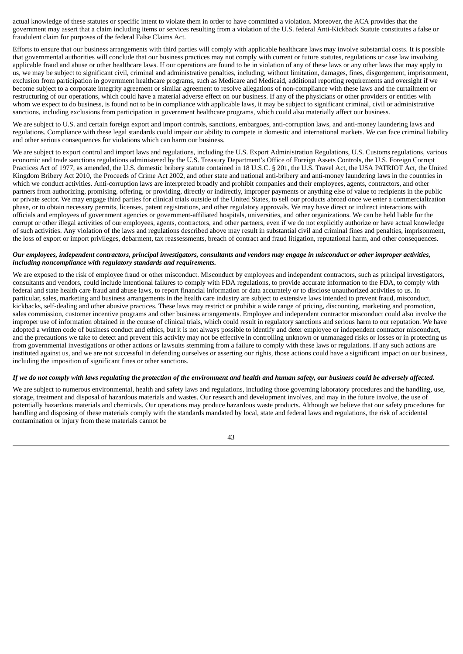actual knowledge of these statutes or specific intent to violate them in order to have committed a violation. Moreover, the ACA provides that the government may assert that a claim including items or services resulting from a violation of the U.S. federal Anti-Kickback Statute constitutes a false or fraudulent claim for purposes of the federal False Claims Act.

Efforts to ensure that our business arrangements with third parties will comply with applicable healthcare laws may involve substantial costs. It is possible that governmental authorities will conclude that our business practices may not comply with current or future statutes, regulations or case law involving applicable fraud and abuse or other healthcare laws. If our operations are found to be in violation of any of these laws or any other laws that may apply to us, we may be subject to significant civil, criminal and administrative penalties, including, without limitation, damages, fines, disgorgement, imprisonment, exclusion from participation in government healthcare programs, such as Medicare and Medicaid, additional reporting requirements and oversight if we become subject to a corporate integrity agreement or similar agreement to resolve allegations of non-compliance with these laws and the curtailment or restructuring of our operations, which could have a material adverse effect on our business. If any of the physicians or other providers or entities with whom we expect to do business, is found not to be in compliance with applicable laws, it may be subject to significant criminal, civil or administrative sanctions, including exclusions from participation in government healthcare programs, which could also materially affect our business.

We are subject to U.S. and certain foreign export and import controls, sanctions, embargoes, anti-corruption laws, and anti-money laundering laws and regulations. Compliance with these legal standards could impair our ability to compete in domestic and international markets. We can face criminal liability and other serious consequences for violations which can harm our business.

We are subject to export control and import laws and regulations, including the U.S. Export Administration Regulations, U.S. Customs regulations, various economic and trade sanctions regulations administered by the U.S. Treasury Department's Office of Foreign Assets Controls, the U.S. Foreign Corrupt Practices Act of 1977, as amended, the U.S. domestic bribery statute contained in 18 U.S.C. § 201, the U.S. Travel Act, the USA PATRIOT Act, the United Kingdom Bribery Act 2010, the Proceeds of Crime Act 2002, and other state and national anti-bribery and anti-money laundering laws in the countries in which we conduct activities. Anti-corruption laws are interpreted broadly and prohibit companies and their employees, agents, contractors, and other partners from authorizing, promising, offering, or providing, directly or indirectly, improper payments or anything else of value to recipients in the public or private sector. We may engage third parties for clinical trials outside of the United States, to sell our products abroad once we enter a commercialization phase, or to obtain necessary permits, licenses, patent registrations, and other regulatory approvals. We may have direct or indirect interactions with officials and employees of government agencies or government-affiliated hospitals, universities, and other organizations. We can be held liable for the corrupt or other illegal activities of our employees, agents, contractors, and other partners, even if we do not explicitly authorize or have actual knowledge of such activities. Any violation of the laws and regulations described above may result in substantial civil and criminal fines and penalties, imprisonment, the loss of export or import privileges, debarment, tax reassessments, breach of contract and fraud litigation, reputational harm, and other consequences.

#### Our employees, independent contractors, principal investigators, consultants and vendors may engage in misconduct or other improper activities, *including noncompliance with regulatory standards and requirements.*

We are exposed to the risk of employee fraud or other misconduct. Misconduct by employees and independent contractors, such as principal investigators, consultants and vendors, could include intentional failures to comply with FDA regulations, to provide accurate information to the FDA, to comply with federal and state health care fraud and abuse laws, to report financial information or data accurately or to disclose unauthorized activities to us. In particular, sales, marketing and business arrangements in the health care industry are subject to extensive laws intended to prevent fraud, misconduct, kickbacks, self-dealing and other abusive practices. These laws may restrict or prohibit a wide range of pricing, discounting, marketing and promotion, sales commission, customer incentive programs and other business arrangements. Employee and independent contractor misconduct could also involve the improper use of information obtained in the course of clinical trials, which could result in regulatory sanctions and serious harm to our reputation. We have adopted a written code of business conduct and ethics, but it is not always possible to identify and deter employee or independent contractor misconduct, and the precautions we take to detect and prevent this activity may not be effective in controlling unknown or unmanaged risks or losses or in protecting us from governmental investigations or other actions or lawsuits stemming from a failure to comply with these laws or regulations. If any such actions are instituted against us, and we are not successful in defending ourselves or asserting our rights, those actions could have a significant impact on our business, including the imposition of significant fines or other sanctions.

# If we do not comply with laws regulating the protection of the environment and health and human safety, our business could be adversely affected.

We are subject to numerous environmental, health and safety laws and regulations, including those governing laboratory procedures and the handling, use, storage, treatment and disposal of hazardous materials and wastes. Our research and development involves, and may in the future involve, the use of potentially hazardous materials and chemicals. Our operations may produce hazardous waste products. Although we believe that our safety procedures for handling and disposing of these materials comply with the standards mandated by local, state and federal laws and regulations, the risk of accidental contamination or injury from these materials cannot be

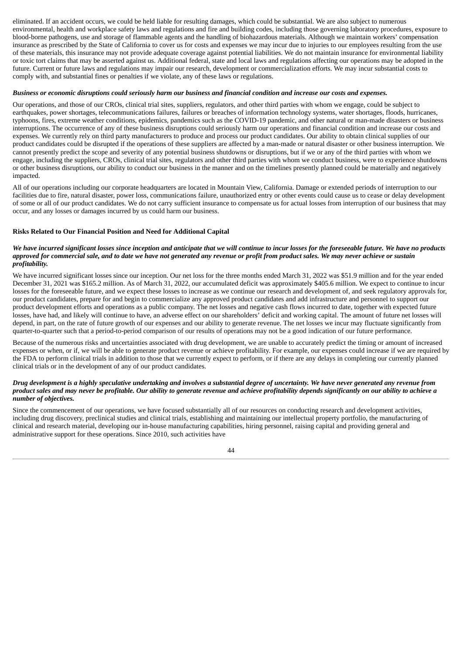eliminated. If an accident occurs, we could be held liable for resulting damages, which could be substantial. We are also subject to numerous environmental, health and workplace safety laws and regulations and fire and building codes, including those governing laboratory procedures, exposure to blood-borne pathogens, use and storage of flammable agents and the handling of biohazardous materials. Although we maintain workers' compensation insurance as prescribed by the State of California to cover us for costs and expenses we may incur due to injuries to our employees resulting from the use of these materials, this insurance may not provide adequate coverage against potential liabilities. We do not maintain insurance for environmental liability or toxic tort claims that may be asserted against us. Additional federal, state and local laws and regulations affecting our operations may be adopted in the future. Current or future laws and regulations may impair our research, development or commercialization efforts. We may incur substantial costs to comply with, and substantial fines or penalties if we violate, any of these laws or regulations.

## Business or economic disruptions could seriously harm our business and financial condition and increase our costs and expenses.

Our operations, and those of our CROs, clinical trial sites, suppliers, regulators, and other third parties with whom we engage, could be subject to earthquakes, power shortages, telecommunications failures, failures or breaches of information technology systems, water shortages, floods, hurricanes, typhoons, fires, extreme weather conditions, epidemics, pandemics such as the COVID-19 pandemic, and other natural or man-made disasters or business interruptions. The occurrence of any of these business disruptions could seriously harm our operations and financial condition and increase our costs and expenses. We currently rely on third party manufacturers to produce and process our product candidates. Our ability to obtain clinical supplies of our product candidates could be disrupted if the operations of these suppliers are affected by a man-made or natural disaster or other business interruption. We cannot presently predict the scope and severity of any potential business shutdowns or disruptions, but if we or any of the third parties with whom we engage, including the suppliers, CROs, clinical trial sites, regulators and other third parties with whom we conduct business, were to experience shutdowns or other business disruptions, our ability to conduct our business in the manner and on the timelines presently planned could be materially and negatively impacted.

All of our operations including our corporate headquarters are located in Mountain View, California. Damage or extended periods of interruption to our facilities due to fire, natural disaster, power loss, communications failure, unauthorized entry or other events could cause us to cease or delay development of some or all of our product candidates. We do not carry sufficient insurance to compensate us for actual losses from interruption of our business that may occur, and any losses or damages incurred by us could harm our business.

# **Risks Related to Our Financial Position and Need for Additional Capital**

#### We have incurred significant losses since inception and anticipate that we will continue to incur losses for the foreseeable future. We have no products approved for commercial sale, and to date we have not generated any revenue or profit from product sales. We may never achieve or sustain *profitability.*

We have incurred significant losses since our inception. Our net loss for the three months ended March 31, 2022 was \$51.9 million and for the year ended December 31, 2021 was \$165.2 million. As of March 31, 2022, our accumulated deficit was approximately \$405.6 million. We expect to continue to incur losses for the foreseeable future, and we expect these losses to increase as we continue our research and development of, and seek regulatory approvals for, our product candidates, prepare for and begin to commercialize any approved product candidates and add infrastructure and personnel to support our product development efforts and operations as a public company. The net losses and negative cash flows incurred to date, together with expected future losses, have had, and likely will continue to have, an adverse effect on our shareholders' deficit and working capital. The amount of future net losses will depend, in part, on the rate of future growth of our expenses and our ability to generate revenue. The net losses we incur may fluctuate significantly from quarter-to-quarter such that a period-to-period comparison of our results of operations may not be a good indication of our future performance.

Because of the numerous risks and uncertainties associated with drug development, we are unable to accurately predict the timing or amount of increased expenses or when, or if, we will be able to generate product revenue or achieve profitability. For example, our expenses could increase if we are required by the FDA to perform clinical trials in addition to those that we currently expect to perform, or if there are any delays in completing our currently planned clinical trials or in the development of any of our product candidates.

#### Drug development is a highly speculative undertaking and involves a substantial degree of uncertainty. We have never generated any revenue from product sales and may never be profitable. Our ability to generate revenue and achieve profitability depends significantly on our ability to achieve a *number of objectives.*

Since the commencement of our operations, we have focused substantially all of our resources on conducting research and development activities, including drug discovery, preclinical studies and clinical trials, establishing and maintaining our intellectual property portfolio, the manufacturing of clinical and research material, developing our in-house manufacturing capabilities, hiring personnel, raising capital and providing general and administrative support for these operations. Since 2010, such activities have

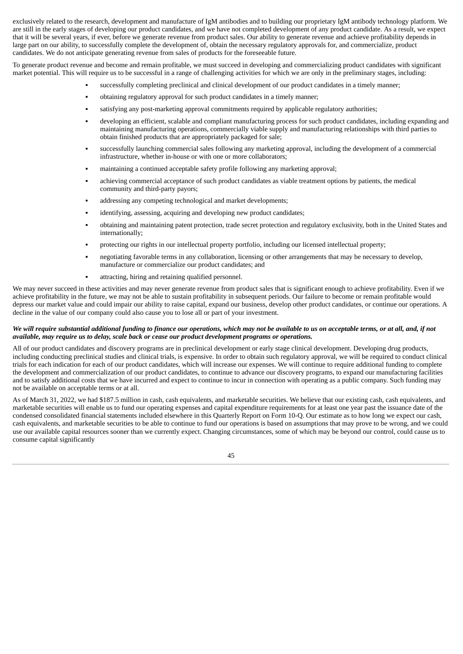exclusively related to the research, development and manufacture of IgM antibodies and to building our proprietary IgM antibody technology platform. We are still in the early stages of developing our product candidates, and we have not completed development of any product candidate. As a result, we expect that it will be several years, if ever, before we generate revenue from product sales. Our ability to generate revenue and achieve profitability depends in large part on our ability, to successfully complete the development of, obtain the necessary regulatory approvals for, and commercialize, product candidates. We do not anticipate generating revenue from sales of products for the foreseeable future.

To generate product revenue and become and remain profitable, we must succeed in developing and commercializing product candidates with significant market potential. This will require us to be successful in a range of challenging activities for which we are only in the preliminary stages, including:

- successfully completing preclinical and clinical development of our product candidates in a timely manner;
- obtaining regulatory approval for such product candidates in a timely manner;
- satisfying any post-marketing approval commitments required by applicable regulatory authorities;
- developing an efficient, scalable and compliant manufacturing process for such product candidates, including expanding and maintaining manufacturing operations, commercially viable supply and manufacturing relationships with third parties to obtain finished products that are appropriately packaged for sale;
- successfully launching commercial sales following any marketing approval, including the development of a commercial infrastructure, whether in-house or with one or more collaborators;
- maintaining a continued acceptable safety profile following any marketing approval;
- achieving commercial acceptance of such product candidates as viable treatment options by patients, the medical community and third-party payors;
- addressing any competing technological and market developments;
- identifying, assessing, acquiring and developing new product candidates;
- obtaining and maintaining patent protection, trade secret protection and regulatory exclusivity, both in the United States and internationally;
- protecting our rights in our intellectual property portfolio, including our licensed intellectual property;
- negotiating favorable terms in any collaboration, licensing or other arrangements that may be necessary to develop, manufacture or commercialize our product candidates; and
- attracting, hiring and retaining qualified personnel.

We may never succeed in these activities and may never generate revenue from product sales that is significant enough to achieve profitability. Even if we achieve profitability in the future, we may not be able to sustain profitability in subsequent periods. Our failure to become or remain profitable would depress our market value and could impair our ability to raise capital, expand our business, develop other product candidates, or continue our operations. A decline in the value of our company could also cause you to lose all or part of your investment.

## We will require substantial additional funding to finance our operations, which may not be available to us on acceptable terms, or at all, and, if not *available, may require us to delay, scale back or cease our product development programs or operations.*

All of our product candidates and discovery programs are in preclinical development or early stage clinical development. Developing drug products, including conducting preclinical studies and clinical trials, is expensive. In order to obtain such regulatory approval, we will be required to conduct clinical trials for each indication for each of our product candidates, which will increase our expenses. We will continue to require additional funding to complete the development and commercialization of our product candidates, to continue to advance our discovery programs, to expand our manufacturing facilities and to satisfy additional costs that we have incurred and expect to continue to incur in connection with operating as a public company. Such funding may not be available on acceptable terms or at all.

As of March 31, 2022, we had \$187.5 million in cash, cash equivalents, and marketable securities. We believe that our existing cash, cash equivalents, and marketable securities will enable us to fund our operating expenses and capital expenditure requirements for at least one year past the issuance date of the condensed consolidated financial statements included elsewhere in this Quarterly Report on Form 10-Q. Our estimate as to how long we expect our cash, cash equivalents, and marketable securities to be able to continue to fund our operations is based on assumptions that may prove to be wrong, and we could use our available capital resources sooner than we currently expect. Changing circumstances, some of which may be beyond our control, could cause us to consume capital significantly

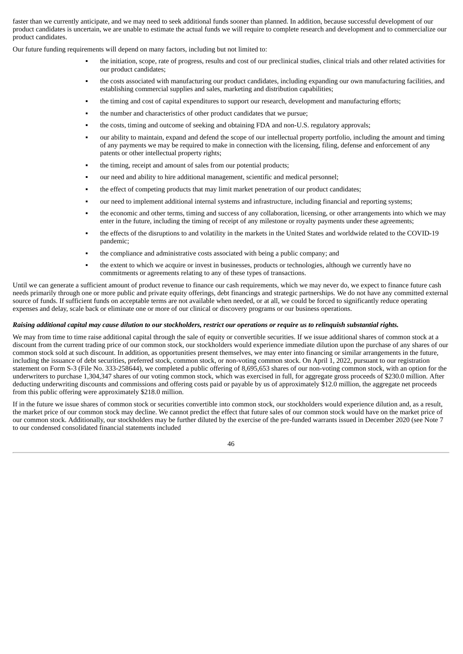faster than we currently anticipate, and we may need to seek additional funds sooner than planned. In addition, because successful development of our product candidates is uncertain, we are unable to estimate the actual funds we will require to complete research and development and to commercialize our product candidates.

Our future funding requirements will depend on many factors, including but not limited to:

- the initiation, scope, rate of progress, results and cost of our preclinical studies, clinical trials and other related activities for our product candidates;
- the costs associated with manufacturing our product candidates, including expanding our own manufacturing facilities, and establishing commercial supplies and sales, marketing and distribution capabilities;
- the timing and cost of capital expenditures to support our research, development and manufacturing efforts;
- the number and characteristics of other product candidates that we pursue;
- the costs, timing and outcome of seeking and obtaining FDA and non-U.S. regulatory approvals;
- our ability to maintain, expand and defend the scope of our intellectual property portfolio, including the amount and timing of any payments we may be required to make in connection with the licensing, filing, defense and enforcement of any patents or other intellectual property rights;
- the timing, receipt and amount of sales from our potential products;
- our need and ability to hire additional management, scientific and medical personnel;
- the effect of competing products that may limit market penetration of our product candidates;
- our need to implement additional internal systems and infrastructure, including financial and reporting systems;
- the economic and other terms, timing and success of any collaboration, licensing, or other arrangements into which we may enter in the future, including the timing of receipt of any milestone or royalty payments under these agreements;
- the effects of the disruptions to and volatility in the markets in the United States and worldwide related to the COVID-19 pandemic;
- the compliance and administrative costs associated with being a public company; and
- the extent to which we acquire or invest in businesses, products or technologies, although we currently have no commitments or agreements relating to any of these types of transactions.

Until we can generate a sufficient amount of product revenue to finance our cash requirements, which we may never do, we expect to finance future cash needs primarily through one or more public and private equity offerings, debt financings and strategic partnerships. We do not have any committed external source of funds. If sufficient funds on acceptable terms are not available when needed, or at all, we could be forced to significantly reduce operating expenses and delay, scale back or eliminate one or more of our clinical or discovery programs or our business operations.

#### Raising additional capital may cause dilution to our stockholders, restrict our operations or require us to relinquish substantial rights.

We may from time to time raise additional capital through the sale of equity or convertible securities. If we issue additional shares of common stock at a discount from the current trading price of our common stock, our stockholders would experience immediate dilution upon the purchase of any shares of our common stock sold at such discount. In addition, as opportunities present themselves, we may enter into financing or similar arrangements in the future, including the issuance of debt securities, preferred stock, common stock, or non-voting common stock. On April 1, 2022, pursuant to our registration statement on Form S-3 (File No. 333-258644), we completed a public offering of 8,695,653 shares of our non-voting common stock, with an option for the underwriters to purchase 1,304,347 shares of our voting common stock, which was exercised in full, for aggregate gross proceeds of \$230.0 million. After deducting underwriting discounts and commissions and offering costs paid or payable by us of approximately \$12.0 million, the aggregate net proceeds from this public offering were approximately \$218.0 million.

If in the future we issue shares of common stock or securities convertible into common stock, our stockholders would experience dilution and, as a result, the market price of our common stock may decline. We cannot predict the effect that future sales of our common stock would have on the market price of our common stock. Additionally, our stockholders may be further diluted by the exercise of the pre-funded warrants issued in December 2020 (see Note 7 to our condensed consolidated financial statements included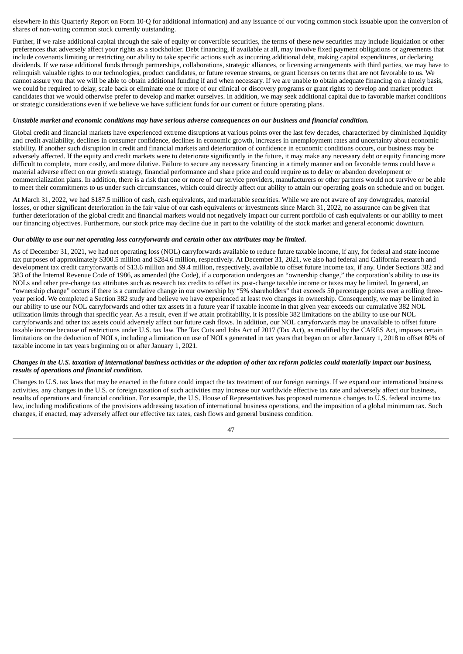elsewhere in this Quarterly Report on Form 10-Q for additional information) and any issuance of our voting common stock issuable upon the conversion of shares of non-voting common stock currently outstanding.

Further, if we raise additional capital through the sale of equity or convertible securities, the terms of these new securities may include liquidation or other preferences that adversely affect your rights as a stockholder. Debt financing, if available at all, may involve fixed payment obligations or agreements that include covenants limiting or restricting our ability to take specific actions such as incurring additional debt, making capital expenditures, or declaring dividends. If we raise additional funds through partnerships, collaborations, strategic alliances, or licensing arrangements with third parties, we may have to relinquish valuable rights to our technologies, product candidates, or future revenue streams, or grant licenses on terms that are not favorable to us. We cannot assure you that we will be able to obtain additional funding if and when necessary. If we are unable to obtain adequate financing on a timely basis, we could be required to delay, scale back or eliminate one or more of our clinical or discovery programs or grant rights to develop and market product candidates that we would otherwise prefer to develop and market ourselves. In addition, we may seek additional capital due to favorable market conditions or strategic considerations even if we believe we have sufficient funds for our current or future operating plans.

#### Unstable market and economic conditions may have serious adverse consequences on our business and financial condition.

Global credit and financial markets have experienced extreme disruptions at various points over the last few decades, characterized by diminished liquidity and credit availability, declines in consumer confidence, declines in economic growth, increases in unemployment rates and uncertainty about economic stability. If another such disruption in credit and financial markets and deterioration of confidence in economic conditions occurs, our business may be adversely affected. If the equity and credit markets were to deteriorate significantly in the future, it may make any necessary debt or equity financing more difficult to complete, more costly, and more dilutive. Failure to secure any necessary financing in a timely manner and on favorable terms could have a material adverse effect on our growth strategy, financial performance and share price and could require us to delay or abandon development or commercialization plans. In addition, there is a risk that one or more of our service providers, manufacturers or other partners would not survive or be able to meet their commitments to us under such circumstances, which could directly affect our ability to attain our operating goals on schedule and on budget.

At March 31, 2022, we had \$187.5 million of cash, cash equivalents, and marketable securities. While we are not aware of any downgrades, material losses, or other significant deterioration in the fair value of our cash equivalents or investments since March 31, 2022, no assurance can be given that further deterioration of the global credit and financial markets would not negatively impact our current portfolio of cash equivalents or our ability to meet our financing objectives. Furthermore, our stock price may decline due in part to the volatility of the stock market and general economic downturn.

#### *Our ability to use our net operating loss carryforwards and certain other tax attributes may be limited.*

As of December 31, 2021, we had net operating loss (NOL) carryforwards available to reduce future taxable income, if any, for federal and state income tax purposes of approximately \$300.5 million and \$284.6 million, respectively. At December 31, 2021, we also had federal and California research and development tax credit carryforwards of \$13.6 million and \$9.4 million, respectively, available to offset future income tax, if any. Under Sections 382 and 383 of the Internal Revenue Code of 1986, as amended (the Code), if a corporation undergoes an "ownership change," the corporation's ability to use its NOLs and other pre-change tax attributes such as research tax credits to offset its post-change taxable income or taxes may be limited. In general, an "ownership change" occurs if there is a cumulative change in our ownership by "5% shareholders" that exceeds 50 percentage points over a rolling threeyear period. We completed a Section 382 study and believe we have experienced at least two changes in ownership. Consequently, we may be limited in our ability to use our NOL carryforwards and other tax assets in a future year if taxable income in that given year exceeds our cumulative 382 NOL utilization limits through that specific year. As a result, even if we attain profitability, it is possible 382 limitations on the ability to use our NOL carryforwards and other tax assets could adversely affect our future cash flows. In addition, our NOL carryforwards may be unavailable to offset future taxable income because of restrictions under U.S. tax law. The Tax Cuts and Jobs Act of 2017 (Tax Act), as modified by the CARES Act, imposes certain limitations on the deduction of NOLs, including a limitation on use of NOLs generated in tax years that began on or after January 1, 2018 to offset 80% of taxable income in tax years beginning on or after January 1, 2021.

#### Changes in the U.S. taxation of international business activities or the adoption of other tax reform policies could materially impact our business, *results of operations and financial condition.*

Changes to U.S. tax laws that may be enacted in the future could impact the tax treatment of our foreign earnings. If we expand our international business activities, any changes in the U.S. or foreign taxation of such activities may increase our worldwide effective tax rate and adversely affect our business, results of operations and financial condition. For example, the U.S. House of Representatives has proposed numerous changes to U.S. federal income tax law, including modifications of the provisions addressing taxation of international business operations, and the imposition of a global minimum tax. Such changes, if enacted, may adversely affect our effective tax rates, cash flows and general business condition.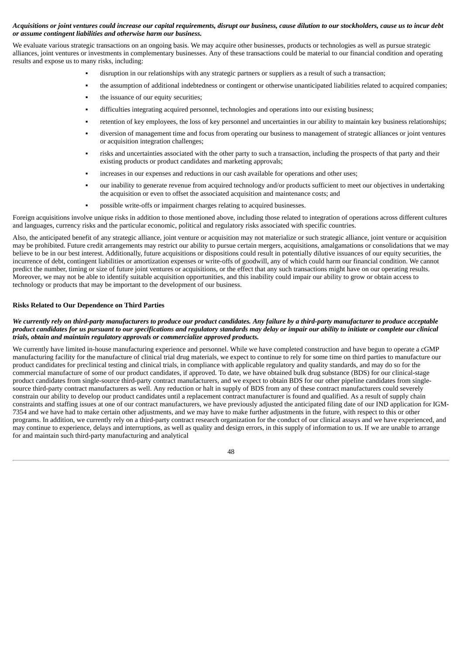# Acquisitions or joint ventures could increase our capital requirements, disrupt our business, cause dilution to our stockholders, cause us to incur debt *or assume contingent liabilities and otherwise harm our business.*

We evaluate various strategic transactions on an ongoing basis. We may acquire other businesses, products or technologies as well as pursue strategic alliances, joint ventures or investments in complementary businesses. Any of these transactions could be material to our financial condition and operating results and expose us to many risks, including:

- disruption in our relationships with any strategic partners or suppliers as a result of such a transaction;
- the assumption of additional indebtedness or contingent or otherwise unanticipated liabilities related to acquired companies;
- the issuance of our equity securities;
- difficulties integrating acquired personnel, technologies and operations into our existing business;
- retention of key employees, the loss of key personnel and uncertainties in our ability to maintain key business relationships;
- diversion of management time and focus from operating our business to management of strategic alliances or joint ventures or acquisition integration challenges;
- risks and uncertainties associated with the other party to such a transaction, including the prospects of that party and their existing products or product candidates and marketing approvals;
- increases in our expenses and reductions in our cash available for operations and other uses;
- our inability to generate revenue from acquired technology and/or products sufficient to meet our objectives in undertaking the acquisition or even to offset the associated acquisition and maintenance costs; and
- possible write-offs or impairment charges relating to acquired businesses.

Foreign acquisitions involve unique risks in addition to those mentioned above, including those related to integration of operations across different cultures and languages, currency risks and the particular economic, political and regulatory risks associated with specific countries.

Also, the anticipated benefit of any strategic alliance, joint venture or acquisition may not materialize or such strategic alliance, joint venture or acquisition may be prohibited. Future credit arrangements may restrict our ability to pursue certain mergers, acquisitions, amalgamations or consolidations that we may believe to be in our best interest. Additionally, future acquisitions or dispositions could result in potentially dilutive issuances of our equity securities, the incurrence of debt, contingent liabilities or amortization expenses or write-offs of goodwill, any of which could harm our financial condition. We cannot predict the number, timing or size of future joint ventures or acquisitions, or the effect that any such transactions might have on our operating results. Moreover, we may not be able to identify suitable acquisition opportunities, and this inability could impair our ability to grow or obtain access to technology or products that may be important to the development of our business.

## **Risks Related to Our Dependence on Third Parties**

#### We currently rely on third-party manufacturers to produce our product candidates. Any failure by a third-party manufacturer to produce acceptable product candidates for us pursuant to our specifications and regulatory standards may delay or impair our ability to initiate or complete our clinical *trials, obtain and maintain regulatory approvals or commercialize approved products.*

We currently have limited in-house manufacturing experience and personnel. While we have completed construction and have begun to operate a cGMP manufacturing facility for the manufacture of clinical trial drug materials, we expect to continue to rely for some time on third parties to manufacture our product candidates for preclinical testing and clinical trials, in compliance with applicable regulatory and quality standards, and may do so for the commercial manufacture of some of our product candidates, if approved. To date, we have obtained bulk drug substance (BDS) for our clinical-stage product candidates from single-source third-party contract manufacturers, and we expect to obtain BDS for our other pipeline candidates from singlesource third-party contract manufacturers as well. Any reduction or halt in supply of BDS from any of these contract manufacturers could severely constrain our ability to develop our product candidates until a replacement contract manufacturer is found and qualified. As a result of supply chain constraints and staffing issues at one of our contract manufacturers, we have previously adjusted the anticipated filing date of our IND application for IGM-7354 and we have had to make certain other adjustments, and we may have to make further adjustments in the future, with respect to this or other programs. In addition, we currently rely on a third-party contract research organization for the conduct of our clinical assays and we have experienced, and may continue to experience, delays and interruptions, as well as quality and design errors, in this supply of information to us. If we are unable to arrange for and maintain such third-party manufacturing and analytical

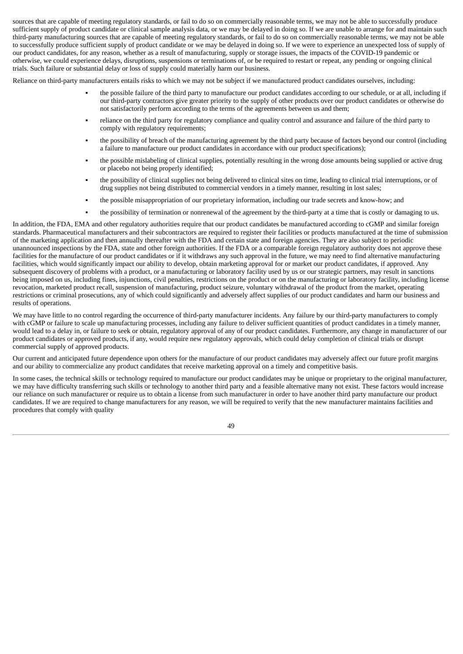sources that are capable of meeting regulatory standards, or fail to do so on commercially reasonable terms, we may not be able to successfully produce sufficient supply of product candidate or clinical sample analysis data, or we may be delayed in doing so. If we are unable to arrange for and maintain such third-party manufacturing sources that are capable of meeting regulatory standards, or fail to do so on commercially reasonable terms, we may not be able to successfully produce sufficient supply of product candidate or we may be delayed in doing so. If we were to experience an unexpected loss of supply of our product candidates, for any reason, whether as a result of manufacturing, supply or storage issues, the impacts of the COVID-19 pandemic or otherwise, we could experience delays, disruptions, suspensions or terminations of, or be required to restart or repeat, any pending or ongoing clinical trials. Such failure or substantial delay or loss of supply could materially harm our business.

Reliance on third-party manufacturers entails risks to which we may not be subject if we manufactured product candidates ourselves, including:

- the possible failure of the third party to manufacture our product candidates according to our schedule, or at all, including if our third-party contractors give greater priority to the supply of other products over our product candidates or otherwise do not satisfactorily perform according to the terms of the agreements between us and them;
- reliance on the third party for regulatory compliance and quality control and assurance and failure of the third party to comply with regulatory requirements;
- the possibility of breach of the manufacturing agreement by the third party because of factors beyond our control (including a failure to manufacture our product candidates in accordance with our product specifications);
- the possible mislabeling of clinical supplies, potentially resulting in the wrong dose amounts being supplied or active drug or placebo not being properly identified;
- the possibility of clinical supplies not being delivered to clinical sites on time, leading to clinical trial interruptions, or of drug supplies not being distributed to commercial vendors in a timely manner, resulting in lost sales;
- the possible misappropriation of our proprietary information, including our trade secrets and know-how; and
- the possibility of termination or nonrenewal of the agreement by the third-party at a time that is costly or damaging to us.

In addition, the FDA, EMA and other regulatory authorities require that our product candidates be manufactured according to cGMP and similar foreign standards. Pharmaceutical manufacturers and their subcontractors are required to register their facilities or products manufactured at the time of submission of the marketing application and then annually thereafter with the FDA and certain state and foreign agencies. They are also subject to periodic unannounced inspections by the FDA, state and other foreign authorities. If the FDA or a comparable foreign regulatory authority does not approve these facilities for the manufacture of our product candidates or if it withdraws any such approval in the future, we may need to find alternative manufacturing facilities, which would significantly impact our ability to develop, obtain marketing approval for or market our product candidates, if approved. Any subsequent discovery of problems with a product, or a manufacturing or laboratory facility used by us or our strategic partners, may result in sanctions being imposed on us, including fines, injunctions, civil penalties, restrictions on the product or on the manufacturing or laboratory facility, including license revocation, marketed product recall, suspension of manufacturing, product seizure, voluntary withdrawal of the product from the market, operating restrictions or criminal prosecutions, any of which could significantly and adversely affect supplies of our product candidates and harm our business and results of operations.

We may have little to no control regarding the occurrence of third-party manufacturer incidents. Any failure by our third-party manufacturers to comply with cGMP or failure to scale up manufacturing processes, including any failure to deliver sufficient quantities of product candidates in a timely manner, would lead to a delay in, or failure to seek or obtain, regulatory approval of any of our product candidates. Furthermore, any change in manufacturer of our product candidates or approved products, if any, would require new regulatory approvals, which could delay completion of clinical trials or disrupt commercial supply of approved products.

Our current and anticipated future dependence upon others for the manufacture of our product candidates may adversely affect our future profit margins and our ability to commercialize any product candidates that receive marketing approval on a timely and competitive basis.

In some cases, the technical skills or technology required to manufacture our product candidates may be unique or proprietary to the original manufacturer, we may have difficulty transferring such skills or technology to another third party and a feasible alternative many not exist. These factors would increase our reliance on such manufacturer or require us to obtain a license from such manufacturer in order to have another third party manufacture our product candidates. If we are required to change manufacturers for any reason, we will be required to verify that the new manufacturer maintains facilities and procedures that comply with quality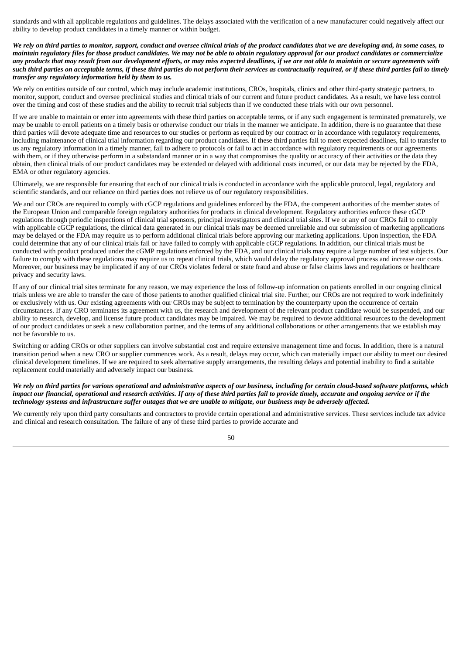standards and with all applicable regulations and guidelines. The delays associated with the verification of a new manufacturer could negatively affect our ability to develop product candidates in a timely manner or within budget.

We rely on third parties to monitor, support, conduct and oversee clinical trials of the product candidates that we are developing and, in some cases, to maintain regulatory files for those product candidates. We may not be able to obtain regulatory approval for our product candidates or commercialize any products that may result from our development efforts, or may miss expected deadlines, if we are not able to maintain or secure agreements with such third parties on acceptable terms, if these third parties do not perform their services as contractually required, or if these third parties fail to timely *transfer any regulatory information held by them to us.*

We rely on entities outside of our control, which may include academic institutions, CROs, hospitals, clinics and other third-party strategic partners, to monitor, support, conduct and oversee preclinical studies and clinical trials of our current and future product candidates. As a result, we have less control over the timing and cost of these studies and the ability to recruit trial subjects than if we conducted these trials with our own personnel.

If we are unable to maintain or enter into agreements with these third parties on acceptable terms, or if any such engagement is terminated prematurely, we may be unable to enroll patients on a timely basis or otherwise conduct our trials in the manner we anticipate. In addition, there is no guarantee that these third parties will devote adequate time and resources to our studies or perform as required by our contract or in accordance with regulatory requirements, including maintenance of clinical trial information regarding our product candidates. If these third parties fail to meet expected deadlines, fail to transfer to us any regulatory information in a timely manner, fail to adhere to protocols or fail to act in accordance with regulatory requirements or our agreements with them, or if they otherwise perform in a substandard manner or in a way that compromises the quality or accuracy of their activities or the data they obtain, then clinical trials of our product candidates may be extended or delayed with additional costs incurred, or our data may be rejected by the FDA, EMA or other regulatory agencies.

Ultimately, we are responsible for ensuring that each of our clinical trials is conducted in accordance with the applicable protocol, legal, regulatory and scientific standards, and our reliance on third parties does not relieve us of our regulatory responsibilities.

We and our CROs are required to comply with cGCP regulations and guidelines enforced by the FDA, the competent authorities of the member states of the European Union and comparable foreign regulatory authorities for products in clinical development. Regulatory authorities enforce these cGCP regulations through periodic inspections of clinical trial sponsors, principal investigators and clinical trial sites. If we or any of our CROs fail to comply with applicable cGCP regulations, the clinical data generated in our clinical trials may be deemed unreliable and our submission of marketing applications may be delayed or the FDA may require us to perform additional clinical trials before approving our marketing applications. Upon inspection, the FDA could determine that any of our clinical trials fail or have failed to comply with applicable cGCP regulations. In addition, our clinical trials must be conducted with product produced under the cGMP regulations enforced by the FDA, and our clinical trials may require a large number of test subjects. Our failure to comply with these regulations may require us to repeat clinical trials, which would delay the regulatory approval process and increase our costs. Moreover, our business may be implicated if any of our CROs violates federal or state fraud and abuse or false claims laws and regulations or healthcare privacy and security laws.

If any of our clinical trial sites terminate for any reason, we may experience the loss of follow-up information on patients enrolled in our ongoing clinical trials unless we are able to transfer the care of those patients to another qualified clinical trial site. Further, our CROs are not required to work indefinitely or exclusively with us. Our existing agreements with our CROs may be subject to termination by the counterparty upon the occurrence of certain circumstances. If any CRO terminates its agreement with us, the research and development of the relevant product candidate would be suspended, and our ability to research, develop, and license future product candidates may be impaired. We may be required to devote additional resources to the development of our product candidates or seek a new collaboration partner, and the terms of any additional collaborations or other arrangements that we establish may not be favorable to us.

Switching or adding CROs or other suppliers can involve substantial cost and require extensive management time and focus. In addition, there is a natural transition period when a new CRO or supplier commences work. As a result, delays may occur, which can materially impact our ability to meet our desired clinical development timelines. If we are required to seek alternative supply arrangements, the resulting delays and potential inability to find a suitable replacement could materially and adversely impact our business.

We rely on third parties for various operational and administrative aspects of our business, including for certain cloud-based software platforms, which impact our financial, operational and research activities. If any of these third parties fail to provide timely, accurate and ongoing service or if the technology systems and infrastructure suffer outages that we are unable to mitigate, our business may be adversely affected.

We currently rely upon third party consultants and contractors to provide certain operational and administrative services. These services include tax advice and clinical and research consultation. The failure of any of these third parties to provide accurate and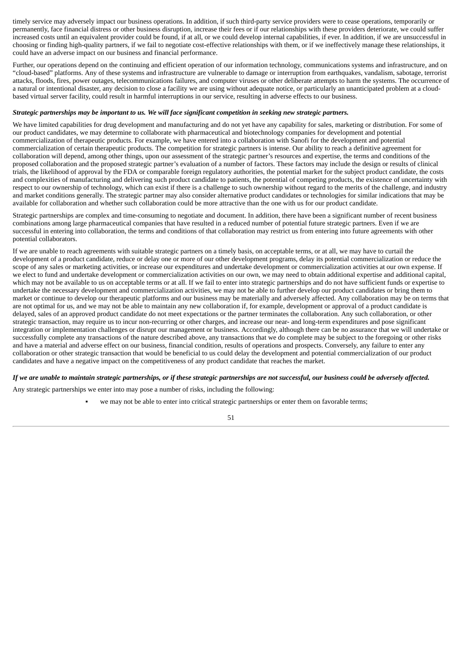timely service may adversely impact our business operations. In addition, if such third-party service providers were to cease operations, temporarily or permanently, face financial distress or other business disruption, increase their fees or if our relationships with these providers deteriorate, we could suffer increased costs until an equivalent provider could be found, if at all, or we could develop internal capabilities, if ever. In addition, if we are unsuccessful in choosing or finding high-quality partners, if we fail to negotiate cost-effective relationships with them, or if we ineffectively manage these relationships, it could have an adverse impact on our business and financial performance.

Further, our operations depend on the continuing and efficient operation of our information technology, communications systems and infrastructure, and on "cloud-based" platforms. Any of these systems and infrastructure are vulnerable to damage or interruption from earthquakes, vandalism, sabotage, terrorist attacks, floods, fires, power outages, telecommunications failures, and computer viruses or other deliberate attempts to harm the systems. The occurrence of a natural or intentional disaster, any decision to close a facility we are using without adequate notice, or particularly an unanticipated problem at a cloudbased virtual server facility, could result in harmful interruptions in our service, resulting in adverse effects to our business.

#### Strategic partnerships may be important to us. We will face significant competition in seeking new strategic partners.

We have limited capabilities for drug development and manufacturing and do not yet have any capability for sales, marketing or distribution. For some of our product candidates, we may determine to collaborate with pharmaceutical and biotechnology companies for development and potential commercialization of therapeutic products. For example, we have entered into a collaboration with Sanofi for the development and potential commercialization of certain therapeutic products. The competition for strategic partners is intense. Our ability to reach a definitive agreement for collaboration will depend, among other things, upon our assessment of the strategic partner's resources and expertise, the terms and conditions of the proposed collaboration and the proposed strategic partner's evaluation of a number of factors. These factors may include the design or results of clinical trials, the likelihood of approval by the FDA or comparable foreign regulatory authorities, the potential market for the subject product candidate, the costs and complexities of manufacturing and delivering such product candidate to patients, the potential of competing products, the existence of uncertainty with respect to our ownership of technology, which can exist if there is a challenge to such ownership without regard to the merits of the challenge, and industry and market conditions generally. The strategic partner may also consider alternative product candidates or technologies for similar indications that may be available for collaboration and whether such collaboration could be more attractive than the one with us for our product candidate.

Strategic partnerships are complex and time-consuming to negotiate and document. In addition, there have been a significant number of recent business combinations among large pharmaceutical companies that have resulted in a reduced number of potential future strategic partners. Even if we are successful in entering into collaboration, the terms and conditions of that collaboration may restrict us from entering into future agreements with other potential collaborators.

If we are unable to reach agreements with suitable strategic partners on a timely basis, on acceptable terms, or at all, we may have to curtail the development of a product candidate, reduce or delay one or more of our other development programs, delay its potential commercialization or reduce the scope of any sales or marketing activities, or increase our expenditures and undertake development or commercialization activities at our own expense. If we elect to fund and undertake development or commercialization activities on our own, we may need to obtain additional expertise and additional capital, which may not be available to us on acceptable terms or at all. If we fail to enter into strategic partnerships and do not have sufficient funds or expertise to undertake the necessary development and commercialization activities, we may not be able to further develop our product candidates or bring them to market or continue to develop our therapeutic platforms and our business may be materially and adversely affected. Any collaboration may be on terms that are not optimal for us, and we may not be able to maintain any new collaboration if, for example, development or approval of a product candidate is delayed, sales of an approved product candidate do not meet expectations or the partner terminates the collaboration. Any such collaboration, or other strategic transaction, may require us to incur non-recurring or other charges, and increase our near- and long-term expenditures and pose significant integration or implementation challenges or disrupt our management or business. Accordingly, although there can be no assurance that we will undertake or successfully complete any transactions of the nature described above, any transactions that we do complete may be subject to the foregoing or other risks and have a material and adverse effect on our business, financial condition, results of operations and prospects. Conversely, any failure to enter any collaboration or other strategic transaction that would be beneficial to us could delay the development and potential commercialization of our product candidates and have a negative impact on the competitiveness of any product candidate that reaches the market.

## If we are unable to maintain strategic partnerships, or if these strategic partnerships are not successful, our business could be adversely affected.

Any strategic partnerships we enter into may pose a number of risks, including the following:

we may not be able to enter into critical strategic partnerships or enter them on favorable terms;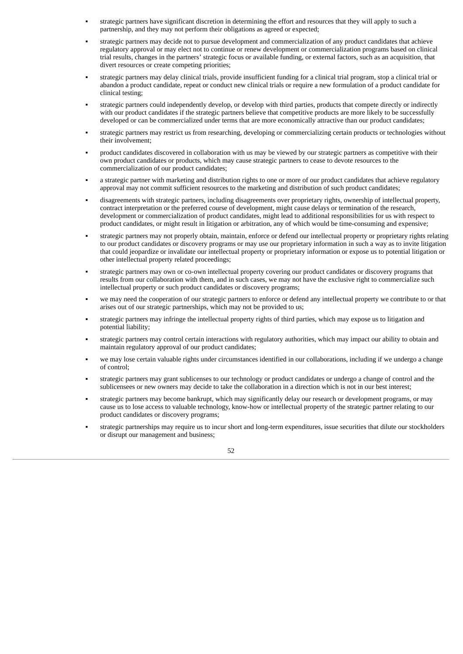- strategic partners have significant discretion in determining the effort and resources that they will apply to such a partnership, and they may not perform their obligations as agreed or expected;
- strategic partners may decide not to pursue development and commercialization of any product candidates that achieve regulatory approval or may elect not to continue or renew development or commercialization programs based on clinical trial results, changes in the partners' strategic focus or available funding, or external factors, such as an acquisition, that divert resources or create competing priorities;
- strategic partners may delay clinical trials, provide insufficient funding for a clinical trial program, stop a clinical trial or abandon a product candidate, repeat or conduct new clinical trials or require a new formulation of a product candidate for clinical testing;
- strategic partners could independently develop, or develop with third parties, products that compete directly or indirectly with our product candidates if the strategic partners believe that competitive products are more likely to be successfully developed or can be commercialized under terms that are more economically attractive than our product candidates;
- strategic partners may restrict us from researching, developing or commercializing certain products or technologies without their involvement;
- product candidates discovered in collaboration with us may be viewed by our strategic partners as competitive with their own product candidates or products, which may cause strategic partners to cease to devote resources to the commercialization of our product candidates;
- a strategic partner with marketing and distribution rights to one or more of our product candidates that achieve regulatory approval may not commit sufficient resources to the marketing and distribution of such product candidates;
- disagreements with strategic partners, including disagreements over proprietary rights, ownership of intellectual property, contract interpretation or the preferred course of development, might cause delays or termination of the research, development or commercialization of product candidates, might lead to additional responsibilities for us with respect to product candidates, or might result in litigation or arbitration, any of which would be time-consuming and expensive;
- strategic partners may not properly obtain, maintain, enforce or defend our intellectual property or proprietary rights relating to our product candidates or discovery programs or may use our proprietary information in such a way as to invite litigation that could jeopardize or invalidate our intellectual property or proprietary information or expose us to potential litigation or other intellectual property related proceedings;
- strategic partners may own or co-own intellectual property covering our product candidates or discovery programs that results from our collaboration with them, and in such cases, we may not have the exclusive right to commercialize such intellectual property or such product candidates or discovery programs;
- we may need the cooperation of our strategic partners to enforce or defend any intellectual property we contribute to or that arises out of our strategic partnerships, which may not be provided to us;
- strategic partners may infringe the intellectual property rights of third parties, which may expose us to litigation and potential liability;
- strategic partners may control certain interactions with regulatory authorities, which may impact our ability to obtain and maintain regulatory approval of our product candidates;
- we may lose certain valuable rights under circumstances identified in our collaborations, including if we undergo a change of control;
- strategic partners may grant sublicenses to our technology or product candidates or undergo a change of control and the sublicensees or new owners may decide to take the collaboration in a direction which is not in our best interest;
- strategic partners may become bankrupt, which may significantly delay our research or development programs, or may cause us to lose access to valuable technology, know-how or intellectual property of the strategic partner relating to our product candidates or discovery programs;
- strategic partnerships may require us to incur short and long-term expenditures, issue securities that dilute our stockholders or disrupt our management and business;

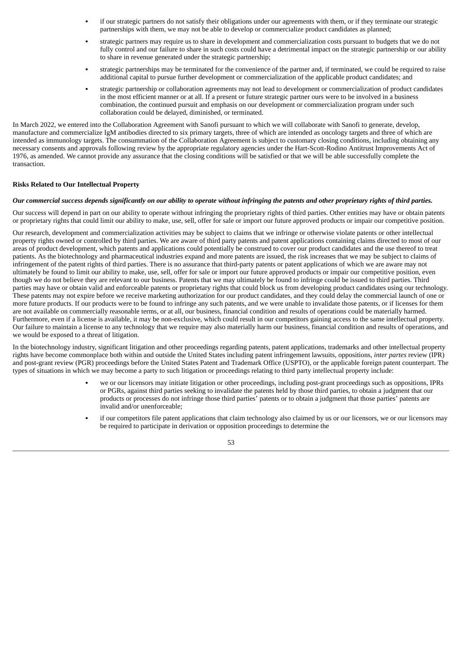- if our strategic partners do not satisfy their obligations under our agreements with them, or if they terminate our strategic partnerships with them, we may not be able to develop or commercialize product candidates as planned;
- strategic partners may require us to share in development and commercialization costs pursuant to budgets that we do not fully control and our failure to share in such costs could have a detrimental impact on the strategic partnership or our ability to share in revenue generated under the strategic partnership;
- strategic partnerships may be terminated for the convenience of the partner and, if terminated, we could be required to raise additional capital to pursue further development or commercialization of the applicable product candidates; and
- strategic partnership or collaboration agreements may not lead to development or commercialization of product candidates in the most efficient manner or at all. If a present or future strategic partner ours were to be involved in a business combination, the continued pursuit and emphasis on our development or commercialization program under such collaboration could be delayed, diminished, or terminated.

In March 2022, we entered into the Collaboration Agreement with Sanofi pursuant to which we will collaborate with Sanofi to generate, develop, manufacture and commercialize IgM antibodies directed to six primary targets, three of which are intended as oncology targets and three of which are intended as immunology targets. The consummation of the Collaboration Agreement is subject to customary closing conditions, including obtaining any necessary consents and approvals following review by the appropriate regulatory agencies under the Hart-Scott-Rodino Antitrust Improvements Act of 1976, as amended. We cannot provide any assurance that the closing conditions will be satisfied or that we will be able successfully complete the transaction.

# **Risks Related to Our Intellectual Property**

## Our commercial success depends significantly on our ability to operate without infringing the patents and other proprietary rights of third parties.

Our success will depend in part on our ability to operate without infringing the proprietary rights of third parties. Other entities may have or obtain patents or proprietary rights that could limit our ability to make, use, sell, offer for sale or import our future approved products or impair our competitive position.

Our research, development and commercialization activities may be subject to claims that we infringe or otherwise violate patents or other intellectual property rights owned or controlled by third parties. We are aware of third party patents and patent applications containing claims directed to most of our areas of product development, which patents and applications could potentially be construed to cover our product candidates and the use thereof to treat patients. As the biotechnology and pharmaceutical industries expand and more patents are issued, the risk increases that we may be subject to claims of infringement of the patent rights of third parties. There is no assurance that third-party patents or patent applications of which we are aware may not ultimately be found to limit our ability to make, use, sell, offer for sale or import our future approved products or impair our competitive position, even though we do not believe they are relevant to our business. Patents that we may ultimately be found to infringe could be issued to third parties. Third parties may have or obtain valid and enforceable patents or proprietary rights that could block us from developing product candidates using our technology. These patents may not expire before we receive marketing authorization for our product candidates, and they could delay the commercial launch of one or more future products. If our products were to be found to infringe any such patents, and we were unable to invalidate those patents, or if licenses for them are not available on commercially reasonable terms, or at all, our business, financial condition and results of operations could be materially harmed. Furthermore, even if a license is available, it may be non-exclusive, which could result in our competitors gaining access to the same intellectual property. Our failure to maintain a license to any technology that we require may also materially harm our business, financial condition and results of operations, and we would be exposed to a threat of litigation.

In the biotechnology industry, significant litigation and other proceedings regarding patents, patent applications, trademarks and other intellectual property rights have become commonplace both within and outside the United States including patent infringement lawsuits, oppositions, *inter partes* review (IPR) and post-grant review (PGR) proceedings before the United States Patent and Trademark Office (USPTO), or the applicable foreign patent counterpart. The types of situations in which we may become a party to such litigation or proceedings relating to third party intellectual property include:

- we or our licensors may initiate litigation or other proceedings, including post-grant proceedings such as oppositions, IPRs or PGRs, against third parties seeking to invalidate the patents held by those third parties, to obtain a judgment that our products or processes do not infringe those third parties' patents or to obtain a judgment that those parties' patents are invalid and/or unenforceable;
- if our competitors file patent applications that claim technology also claimed by us or our licensors, we or our licensors may be required to participate in derivation or opposition proceedings to determine the

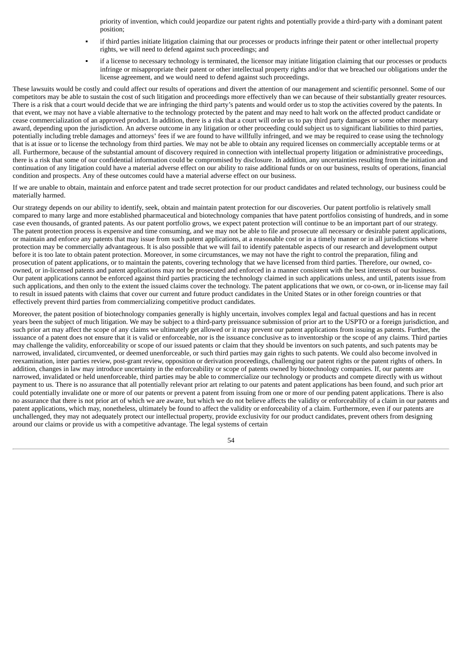priority of invention, which could jeopardize our patent rights and potentially provide a third-party with a dominant patent position;

- if third parties initiate litigation claiming that our processes or products infringe their patent or other intellectual property rights, we will need to defend against such proceedings; and
- if a license to necessary technology is terminated, the licensor may initiate litigation claiming that our processes or products infringe or misappropriate their patent or other intellectual property rights and/or that we breached our obligations under the license agreement, and we would need to defend against such proceedings.

These lawsuits would be costly and could affect our results of operations and divert the attention of our management and scientific personnel. Some of our competitors may be able to sustain the cost of such litigation and proceedings more effectively than we can because of their substantially greater resources. There is a risk that a court would decide that we are infringing the third party's patents and would order us to stop the activities covered by the patents. In that event, we may not have a viable alternative to the technology protected by the patent and may need to halt work on the affected product candidate or cease commercialization of an approved product. In addition, there is a risk that a court will order us to pay third party damages or some other monetary award, depending upon the jurisdiction. An adverse outcome in any litigation or other proceeding could subject us to significant liabilities to third parties, potentially including treble damages and attorneys' fees if we are found to have willfully infringed, and we may be required to cease using the technology that is at issue or to license the technology from third parties. We may not be able to obtain any required licenses on commercially acceptable terms or at all. Furthermore, because of the substantial amount of discovery required in connection with intellectual property litigation or administrative proceedings, there is a risk that some of our confidential information could be compromised by disclosure. In addition, any uncertainties resulting from the initiation and continuation of any litigation could have a material adverse effect on our ability to raise additional funds or on our business, results of operations, financial condition and prospects. Any of these outcomes could have a material adverse effect on our business.

If we are unable to obtain, maintain and enforce patent and trade secret protection for our product candidates and related technology, our business could be materially harmed.

Our strategy depends on our ability to identify, seek, obtain and maintain patent protection for our discoveries. Our patent portfolio is relatively small compared to many large and more established pharmaceutical and biotechnology companies that have patent portfolios consisting of hundreds, and in some case even thousands, of granted patents. As our patent portfolio grows, we expect patent protection will continue to be an important part of our strategy. The patent protection process is expensive and time consuming, and we may not be able to file and prosecute all necessary or desirable patent applications, or maintain and enforce any patents that may issue from such patent applications, at a reasonable cost or in a timely manner or in all jurisdictions where protection may be commercially advantageous. It is also possible that we will fail to identify patentable aspects of our research and development output before it is too late to obtain patent protection. Moreover, in some circumstances, we may not have the right to control the preparation, filing and prosecution of patent applications, or to maintain the patents, covering technology that we have licensed from third parties. Therefore, our owned, coowned, or in-licensed patents and patent applications may not be prosecuted and enforced in a manner consistent with the best interests of our business. Our patent applications cannot be enforced against third parties practicing the technology claimed in such applications unless, and until, patents issue from such applications, and then only to the extent the issued claims cover the technology. The patent applications that we own, or co-own, or in-license may fail to result in issued patents with claims that cover our current and future product candidates in the United States or in other foreign countries or that effectively prevent third parties from commercializing competitive product candidates.

Moreover, the patent position of biotechnology companies generally is highly uncertain, involves complex legal and factual questions and has in recent years been the subject of much litigation. We may be subject to a third-party preissuance submission of prior art to the USPTO or a foreign jurisdiction, and such prior art may affect the scope of any claims we ultimately get allowed or it may prevent our patent applications from issuing as patents. Further, the issuance of a patent does not ensure that it is valid or enforceable, nor is the issuance conclusive as to inventorship or the scope of any claims. Third parties may challenge the validity, enforceability or scope of our issued patents or claim that they should be inventors on such patents, and such patents may be narrowed, invalidated, circumvented, or deemed unenforceable, or such third parties may gain rights to such patents. We could also become involved in reexamination, inter parties review, post-grant review, opposition or derivation proceedings, challenging our patent rights or the patent rights of others. In addition, changes in law may introduce uncertainty in the enforceability or scope of patents owned by biotechnology companies. If, our patents are narrowed, invalidated or held unenforceable, third parties may be able to commercialize our technology or products and compete directly with us without payment to us. There is no assurance that all potentially relevant prior art relating to our patents and patent applications has been found, and such prior art could potentially invalidate one or more of our patents or prevent a patent from issuing from one or more of our pending patent applications. There is also no assurance that there is not prior art of which we are aware, but which we do not believe affects the validity or enforceability of a claim in our patents and patent applications, which may, nonetheless, ultimately be found to affect the validity or enforceability of a claim. Furthermore, even if our patents are unchallenged, they may not adequately protect our intellectual property, provide exclusivity for our product candidates, prevent others from designing around our claims or provide us with a competitive advantage. The legal systems of certain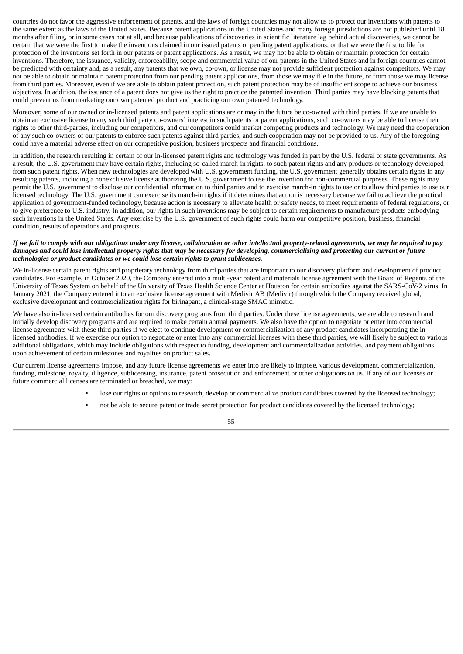countries do not favor the aggressive enforcement of patents, and the laws of foreign countries may not allow us to protect our inventions with patents to the same extent as the laws of the United States. Because patent applications in the United States and many foreign jurisdictions are not published until 18 months after filing, or in some cases not at all, and because publications of discoveries in scientific literature lag behind actual discoveries, we cannot be certain that we were the first to make the inventions claimed in our issued patents or pending patent applications, or that we were the first to file for protection of the inventions set forth in our patents or patent applications. As a result, we may not be able to obtain or maintain protection for certain inventions. Therefore, the issuance, validity, enforceability, scope and commercial value of our patents in the United States and in foreign countries cannot be predicted with certainty and, as a result, any patents that we own, co-own, or license may not provide sufficient protection against competitors. We may not be able to obtain or maintain patent protection from our pending patent applications, from those we may file in the future, or from those we may license from third parties. Moreover, even if we are able to obtain patent protection, such patent protection may be of insufficient scope to achieve our business objectives. In addition, the issuance of a patent does not give us the right to practice the patented invention. Third parties may have blocking patents that could prevent us from marketing our own patented product and practicing our own patented technology.

Moreover, some of our owned or in-licensed patents and patent applications are or may in the future be co-owned with third parties. If we are unable to obtain an exclusive license to any such third party co-owners' interest in such patents or patent applications, such co-owners may be able to license their rights to other third-parties, including our competitors, and our competitors could market competing products and technology. We may need the cooperation of any such co-owners of our patents to enforce such patents against third parties, and such cooperation may not be provided to us. Any of the foregoing could have a material adverse effect on our competitive position, business prospects and financial conditions.

In addition, the research resulting in certain of our in-licensed patent rights and technology was funded in part by the U.S. federal or state governments. As a result, the U.S. government may have certain rights, including so-called march-in rights, to such patent rights and any products or technology developed from such patent rights. When new technologies are developed with U.S. government funding, the U.S. government generally obtains certain rights in any resulting patents, including a nonexclusive license authorizing the U.S. government to use the invention for non-commercial purposes. These rights may permit the U.S. government to disclose our confidential information to third parties and to exercise march-in rights to use or to allow third parties to use our licensed technology. The U.S. government can exercise its march-in rights if it determines that action is necessary because we fail to achieve the practical application of government-funded technology, because action is necessary to alleviate health or safety needs, to meet requirements of federal regulations, or to give preference to U.S. industry. In addition, our rights in such inventions may be subject to certain requirements to manufacture products embodying such inventions in the United States. Any exercise by the U.S. government of such rights could harm our competitive position, business, financial condition, results of operations and prospects.

# If we fail to comply with our obligations under any license, collaboration or other intellectual property-related agreements, we may be required to pay damages and could lose intellectual property rights that may be necessary for developing, commercializing and protecting our current or future *technologies or product candidates or we could lose certain rights to grant sublicenses.*

We in-license certain patent rights and proprietary technology from third parties that are important to our discovery platform and development of product candidates. For example, in October 2020, the Company entered into a multi-year patent and materials license agreement with the Board of Regents of the University of Texas System on behalf of the University of Texas Health Science Center at Houston for certain antibodies against the SARS-CoV-2 virus. In January 2021, the Company entered into an exclusive license agreement with Medivir AB (Medivir) through which the Company received global, exclusive development and commercialization rights for birinapant, a clinical-stage SMAC mimetic.

We have also in-licensed certain antibodies for our discovery programs from third parties. Under these license agreements, we are able to research and initially develop discovery programs and are required to make certain annual payments. We also have the option to negotiate or enter into commercial license agreements with these third parties if we elect to continue development or commercialization of any product candidates incorporating the inlicensed antibodies. If we exercise our option to negotiate or enter into any commercial licenses with these third parties, we will likely be subject to various additional obligations, which may include obligations with respect to funding, development and commercialization activities, and payment obligations upon achievement of certain milestones and royalties on product sales.

Our current license agreements impose, and any future license agreements we enter into are likely to impose, various development, commercialization, funding, milestone, royalty, diligence, sublicensing, insurance, patent prosecution and enforcement or other obligations on us. If any of our licenses or future commercial licenses are terminated or breached, we may:

- lose our rights or options to research, develop or commercialize product candidates covered by the licensed technology;
- not be able to secure patent or trade secret protection for product candidates covered by the licensed technology;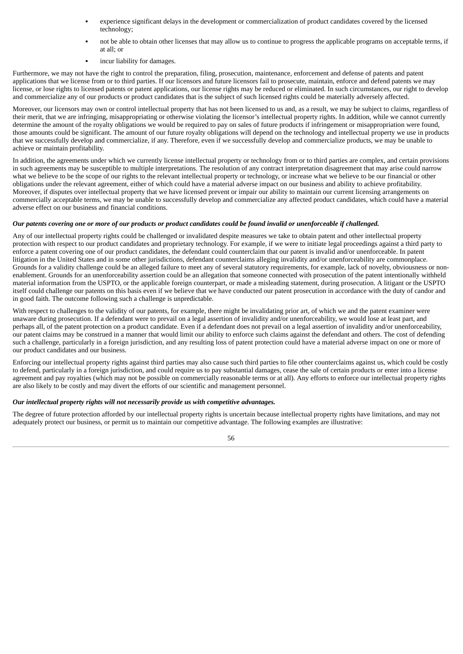- experience significant delays in the development or commercialization of product candidates covered by the licensed technology;
- not be able to obtain other licenses that may allow us to continue to progress the applicable programs on acceptable terms, if at all; or
- incur liability for damages.

Furthermore, we may not have the right to control the preparation, filing, prosecution, maintenance, enforcement and defense of patents and patent applications that we license from or to third parties. If our licensors and future licensors fail to prosecute, maintain, enforce and defend patents we may license, or lose rights to licensed patents or patent applications, our license rights may be reduced or eliminated. In such circumstances, our right to develop and commercialize any of our products or product candidates that is the subject of such licensed rights could be materially adversely affected.

Moreover, our licensors may own or control intellectual property that has not been licensed to us and, as a result, we may be subject to claims, regardless of their merit, that we are infringing, misappropriating or otherwise violating the licensor's intellectual property rights. In addition, while we cannot currently determine the amount of the royalty obligations we would be required to pay on sales of future products if infringement or misappropriation were found, those amounts could be significant. The amount of our future royalty obligations will depend on the technology and intellectual property we use in products that we successfully develop and commercialize, if any. Therefore, even if we successfully develop and commercialize products, we may be unable to achieve or maintain profitability.

In addition, the agreements under which we currently license intellectual property or technology from or to third parties are complex, and certain provisions in such agreements may be susceptible to multiple interpretations. The resolution of any contract interpretation disagreement that may arise could narrow what we believe to be the scope of our rights to the relevant intellectual property or technology, or increase what we believe to be our financial or other obligations under the relevant agreement, either of which could have a material adverse impact on our business and ability to achieve profitability. Moreover, if disputes over intellectual property that we have licensed prevent or impair our ability to maintain our current licensing arrangements on commercially acceptable terms, we may be unable to successfully develop and commercialize any affected product candidates, which could have a material adverse effect on our business and financial conditions.

# Our patents covering one or more of our products or product candidates could be found invalid or unenforceable if challenged.

Any of our intellectual property rights could be challenged or invalidated despite measures we take to obtain patent and other intellectual property protection with respect to our product candidates and proprietary technology. For example, if we were to initiate legal proceedings against a third party to enforce a patent covering one of our product candidates, the defendant could counterclaim that our patent is invalid and/or unenforceable. In patent litigation in the United States and in some other jurisdictions, defendant counterclaims alleging invalidity and/or unenforceability are commonplace. Grounds for a validity challenge could be an alleged failure to meet any of several statutory requirements, for example, lack of novelty, obviousness or nonenablement. Grounds for an unenforceability assertion could be an allegation that someone connected with prosecution of the patent intentionally withheld material information from the USPTO, or the applicable foreign counterpart, or made a misleading statement, during prosecution. A litigant or the USPTO itself could challenge our patents on this basis even if we believe that we have conducted our patent prosecution in accordance with the duty of candor and in good faith. The outcome following such a challenge is unpredictable.

With respect to challenges to the validity of our patents, for example, there might be invalidating prior art, of which we and the patent examiner were unaware during prosecution. If a defendant were to prevail on a legal assertion of invalidity and/or unenforceability, we would lose at least part, and perhaps all, of the patent protection on a product candidate. Even if a defendant does not prevail on a legal assertion of invalidity and/or unenforceability, our patent claims may be construed in a manner that would limit our ability to enforce such claims against the defendant and others. The cost of defending such a challenge, particularly in a foreign jurisdiction, and any resulting loss of patent protection could have a material adverse impact on one or more of our product candidates and our business.

Enforcing our intellectual property rights against third parties may also cause such third parties to file other counterclaims against us, which could be costly to defend, particularly in a foreign jurisdiction, and could require us to pay substantial damages, cease the sale of certain products or enter into a license agreement and pay royalties (which may not be possible on commercially reasonable terms or at all). Any efforts to enforce our intellectual property rights are also likely to be costly and may divert the efforts of our scientific and management personnel.

# *Our intellectual property rights will not necessarily provide us with competitive advantages.*

The degree of future protection afforded by our intellectual property rights is uncertain because intellectual property rights have limitations, and may not adequately protect our business, or permit us to maintain our competitive advantage. The following examples are illustrative: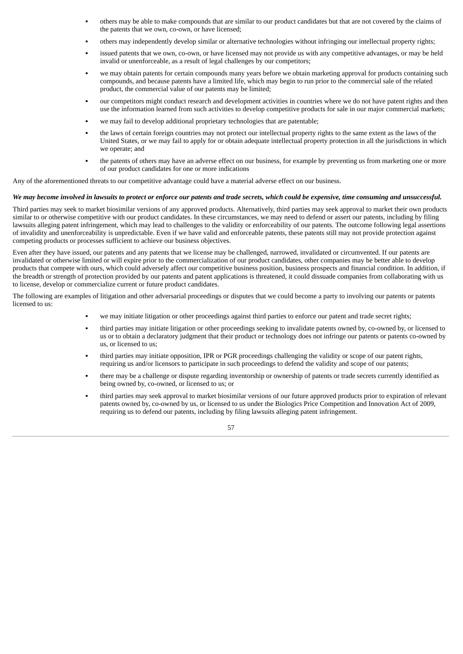- others may be able to make compounds that are similar to our product candidates but that are not covered by the claims of the patents that we own, co-own, or have licensed;
- others may independently develop similar or alternative technologies without infringing our intellectual property rights;
- issued patents that we own, co-own, or have licensed may not provide us with any competitive advantages, or may be held invalid or unenforceable, as a result of legal challenges by our competitors;
- we may obtain patents for certain compounds many years before we obtain marketing approval for products containing such compounds, and because patents have a limited life, which may begin to run prior to the commercial sale of the related product, the commercial value of our patents may be limited;
- our competitors might conduct research and development activities in countries where we do not have patent rights and then use the information learned from such activities to develop competitive products for sale in our major commercial markets;
- we may fail to develop additional proprietary technologies that are patentable;
- the laws of certain foreign countries may not protect our intellectual property rights to the same extent as the laws of the United States, or we may fail to apply for or obtain adequate intellectual property protection in all the jurisdictions in which we operate; and
- the patents of others may have an adverse effect on our business, for example by preventing us from marketing one or more of our product candidates for one or more indications

Any of the aforementioned threats to our competitive advantage could have a material adverse effect on our business.

## We may become involved in lawsuits to protect or enforce our patents and trade secrets, which could be expensive, time consuming and unsuccessful.

Third parties may seek to market biosimilar versions of any approved products. Alternatively, third parties may seek approval to market their own products similar to or otherwise competitive with our product candidates. In these circumstances, we may need to defend or assert our patents, including by filing lawsuits alleging patent infringement, which may lead to challenges to the validity or enforceability of our patents. The outcome following legal assertions of invalidity and unenforceability is unpredictable. Even if we have valid and enforceable patents, these patents still may not provide protection against competing products or processes sufficient to achieve our business objectives.

Even after they have issued, our patents and any patents that we license may be challenged, narrowed, invalidated or circumvented. If our patents are invalidated or otherwise limited or will expire prior to the commercialization of our product candidates, other companies may be better able to develop products that compete with ours, which could adversely affect our competitive business position, business prospects and financial condition. In addition, if the breadth or strength of protection provided by our patents and patent applications is threatened, it could dissuade companies from collaborating with us to license, develop or commercialize current or future product candidates.

The following are examples of litigation and other adversarial proceedings or disputes that we could become a party to involving our patents or patents licensed to us:

- we may initiate litigation or other proceedings against third parties to enforce our patent and trade secret rights;
- third parties may initiate litigation or other proceedings seeking to invalidate patents owned by, co-owned by, or licensed to us or to obtain a declaratory judgment that their product or technology does not infringe our patents or patents co-owned by us, or licensed to us;
- third parties may initiate opposition, IPR or PGR proceedings challenging the validity or scope of our patent rights, requiring us and/or licensors to participate in such proceedings to defend the validity and scope of our patents;
- there may be a challenge or dispute regarding inventorship or ownership of patents or trade secrets currently identified as being owned by, co-owned, or licensed to us; or
- third parties may seek approval to market biosimilar versions of our future approved products prior to expiration of relevant patents owned by, co-owned by us, or licensed to us under the Biologics Price Competition and Innovation Act of 2009, requiring us to defend our patents, including by filing lawsuits alleging patent infringement.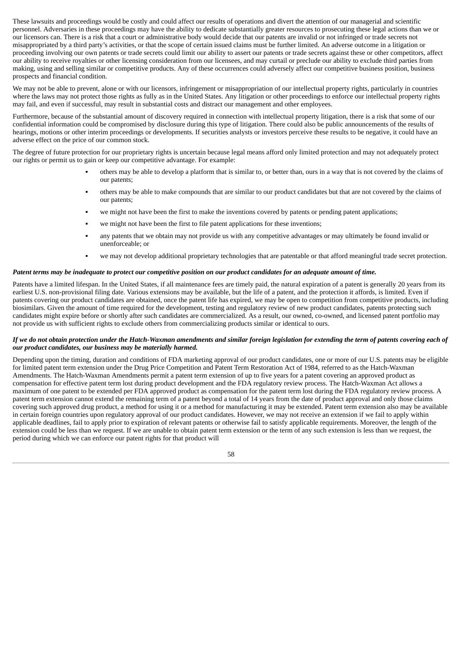These lawsuits and proceedings would be costly and could affect our results of operations and divert the attention of our managerial and scientific personnel. Adversaries in these proceedings may have the ability to dedicate substantially greater resources to prosecuting these legal actions than we or our licensors can. There is a risk that a court or administrative body would decide that our patents are invalid or not infringed or trade secrets not misappropriated by a third party's activities, or that the scope of certain issued claims must be further limited. An adverse outcome in a litigation or proceeding involving our own patents or trade secrets could limit our ability to assert our patents or trade secrets against these or other competitors, affect our ability to receive royalties or other licensing consideration from our licensees, and may curtail or preclude our ability to exclude third parties from making, using and selling similar or competitive products. Any of these occurrences could adversely affect our competitive business position, business prospects and financial condition.

We may not be able to prevent, alone or with our licensors, infringement or misappropriation of our intellectual property rights, particularly in countries where the laws may not protect those rights as fully as in the United States. Any litigation or other proceedings to enforce our intellectual property rights may fail, and even if successful, may result in substantial costs and distract our management and other employees.

Furthermore, because of the substantial amount of discovery required in connection with intellectual property litigation, there is a risk that some of our confidential information could be compromised by disclosure during this type of litigation. There could also be public announcements of the results of hearings, motions or other interim proceedings or developments. If securities analysts or investors perceive these results to be negative, it could have an adverse effect on the price of our common stock.

The degree of future protection for our proprietary rights is uncertain because legal means afford only limited protection and may not adequately protect our rights or permit us to gain or keep our competitive advantage. For example:

- others may be able to develop a platform that is similar to, or better than, ours in a way that is not covered by the claims of our patents;
- others may be able to make compounds that are similar to our product candidates but that are not covered by the claims of our patents;
- we might not have been the first to make the inventions covered by patents or pending patent applications;
- we might not have been the first to file patent applications for these inventions;
- any patents that we obtain may not provide us with any competitive advantages or may ultimately be found invalid or unenforceable; or
- we may not develop additional proprietary technologies that are patentable or that afford meaningful trade secret protection.

#### Patent terms may be inadequate to protect our competitive position on our product candidates for an adequate amount of time.

Patents have a limited lifespan. In the United States, if all maintenance fees are timely paid, the natural expiration of a patent is generally 20 years from its earliest U.S. non-provisional filing date. Various extensions may be available, but the life of a patent, and the protection it affords, is limited. Even if patents covering our product candidates are obtained, once the patent life has expired, we may be open to competition from competitive products, including biosimilars. Given the amount of time required for the development, testing and regulatory review of new product candidates, patents protecting such candidates might expire before or shortly after such candidates are commercialized. As a result, our owned, co-owned, and licensed patent portfolio may not provide us with sufficient rights to exclude others from commercializing products similar or identical to ours.

#### If we do not obtain protection under the Hatch-Waxman amendments and similar foreign legislation for extending the term of patents covering each of *our product candidates, our business may be materially harmed.*

Depending upon the timing, duration and conditions of FDA marketing approval of our product candidates, one or more of our U.S. patents may be eligible for limited patent term extension under the Drug Price Competition and Patent Term Restoration Act of 1984, referred to as the Hatch-Waxman Amendments. The Hatch-Waxman Amendments permit a patent term extension of up to five years for a patent covering an approved product as compensation for effective patent term lost during product development and the FDA regulatory review process. The Hatch-Waxman Act allows a maximum of one patent to be extended per FDA approved product as compensation for the patent term lost during the FDA regulatory review process. A patent term extension cannot extend the remaining term of a patent beyond a total of 14 years from the date of product approval and only those claims covering such approved drug product, a method for using it or a method for manufacturing it may be extended. Patent term extension also may be available in certain foreign countries upon regulatory approval of our product candidates. However, we may not receive an extension if we fail to apply within applicable deadlines, fail to apply prior to expiration of relevant patents or otherwise fail to satisfy applicable requirements. Moreover, the length of the extension could be less than we request. If we are unable to obtain patent term extension or the term of any such extension is less than we request, the period during which we can enforce our patent rights for that product will

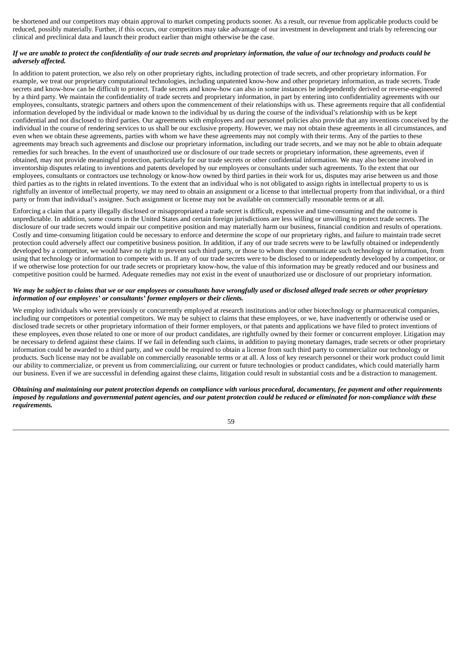be shortened and our competitors may obtain approval to market competing products sooner. As a result, our revenue from applicable products could be reduced, possibly materially. Further, if this occurs, our competitors may take advantage of our investment in development and trials by referencing our clinical and preclinical data and launch their product earlier than might otherwise be the case.

## If we are unable to protect the confidentiality of our trade secrets and proprietary information, the value of our technology and products could be *adversely affected.*

In addition to patent protection, we also rely on other proprietary rights, including protection of trade secrets, and other proprietary information. For example, we treat our proprietary computational technologies, including unpatented know-how and other proprietary information, as trade secrets. Trade secrets and know-how can be difficult to protect. Trade secrets and know-how can also in some instances be independently derived or reverse-engineered by a third party. We maintain the confidentiality of trade secrets and proprietary information, in part by entering into confidentiality agreements with our employees, consultants, strategic partners and others upon the commencement of their relationships with us. These agreements require that all confidential information developed by the individual or made known to the individual by us during the course of the individual's relationship with us be kept confidential and not disclosed to third parties. Our agreements with employees and our personnel policies also provide that any inventions conceived by the individual in the course of rendering services to us shall be our exclusive property. However, we may not obtain these agreements in all circumstances, and even when we obtain these agreements, parties with whom we have these agreements may not comply with their terms. Any of the parties to these agreements may breach such agreements and disclose our proprietary information, including our trade secrets, and we may not be able to obtain adequate remedies for such breaches. In the event of unauthorized use or disclosure of our trade secrets or proprietary information, these agreements, even if obtained, may not provide meaningful protection, particularly for our trade secrets or other confidential information. We may also become involved in inventorship disputes relating to inventions and patents developed by our employees or consultants under such agreements. To the extent that our employees, consultants or contractors use technology or know-how owned by third parties in their work for us, disputes may arise between us and those third parties as to the rights in related inventions. To the extent that an individual who is not obligated to assign rights in intellectual property to us is rightfully an inventor of intellectual property, we may need to obtain an assignment or a license to that intellectual property from that individual, or a third party or from that individual's assignee. Such assignment or license may not be available on commercially reasonable terms or at all.

Enforcing a claim that a party illegally disclosed or misappropriated a trade secret is difficult, expensive and time-consuming and the outcome is unpredictable. In addition, some courts in the United States and certain foreign jurisdictions are less willing or unwilling to protect trade secrets. The disclosure of our trade secrets would impair our competitive position and may materially harm our business, financial condition and results of operations. Costly and time-consuming litigation could be necessary to enforce and determine the scope of our proprietary rights, and failure to maintain trade secret protection could adversely affect our competitive business position. In addition, if any of our trade secrets were to be lawfully obtained or independently developed by a competitor, we would have no right to prevent such third party, or those to whom they communicate such technology or information, from using that technology or information to compete with us. If any of our trade secrets were to be disclosed to or independently developed by a competitor, or if we otherwise lose protection for our trade secrets or proprietary know-how, the value of this information may be greatly reduced and our business and competitive position could be harmed. Adequate remedies may not exist in the event of unauthorized use or disclosure of our proprietary information.

## We may be subject to claims that we or our employees or consultants have wrongfully used or disclosed alleged trade secrets or other proprietary *information of our employees' or consultants' former employers or their clients.*

We employ individuals who were previously or concurrently employed at research institutions and/or other biotechnology or pharmaceutical companies, including our competitors or potential competitors. We may be subject to claims that these employees, or we, have inadvertently or otherwise used or disclosed trade secrets or other proprietary information of their former employers, or that patents and applications we have filed to protect inventions of these employees, even those related to one or more of our product candidates, are rightfully owned by their former or concurrent employer. Litigation may be necessary to defend against these claims. If we fail in defending such claims, in addition to paying monetary damages, trade secrets or other proprietary information could be awarded to a third party, and we could be required to obtain a license from such third party to commercialize our technology or products. Such license may not be available on commercially reasonable terms or at all. A loss of key research personnel or their work product could limit our ability to commercialize, or prevent us from commercializing, our current or future technologies or product candidates, which could materially harm our business. Even if we are successful in defending against these claims, litigation could result in substantial costs and be a distraction to management.

Obtaining and maintaining our patent protection depends on compliance with various procedural, documentary, fee payment and other requirements imposed by reaulations and aovernmental patent agencies, and our patent protection could be reduced or eliminated for non-compliance with these *requirements.*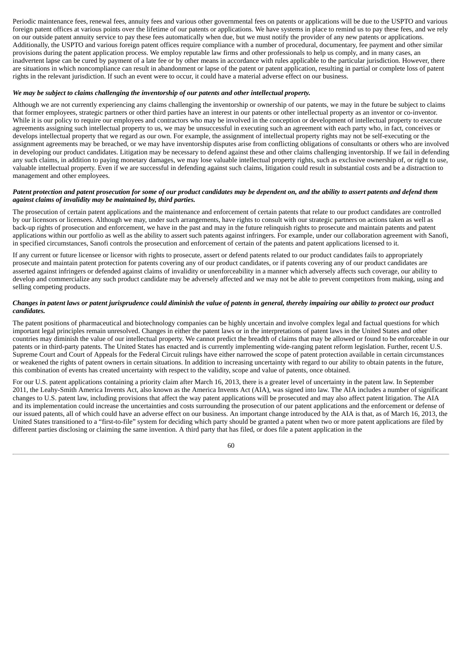Periodic maintenance fees, renewal fees, annuity fees and various other governmental fees on patents or applications will be due to the USPTO and various foreign patent offices at various points over the lifetime of our patents or applications. We have systems in place to remind us to pay these fees, and we rely on our outside patent annuity service to pay these fees automatically when due, but we must notify the provider of any new patents or applications. Additionally, the USPTO and various foreign patent offices require compliance with a number of procedural, documentary, fee payment and other similar provisions during the patent application process. We employ reputable law firms and other professionals to help us comply, and in many cases, an inadvertent lapse can be cured by payment of a late fee or by other means in accordance with rules applicable to the particular jurisdiction. However, there are situations in which noncompliance can result in abandonment or lapse of the patent or patent application, resulting in partial or complete loss of patent rights in the relevant jurisdiction. If such an event were to occur, it could have a material adverse effect on our business.

#### *We may be subject to claims challenging the inventorship of our patents and other intellectual property.*

Although we are not currently experiencing any claims challenging the inventorship or ownership of our patents, we may in the future be subject to claims that former employees, strategic partners or other third parties have an interest in our patents or other intellectual property as an inventor or co-inventor. While it is our policy to require our employees and contractors who may be involved in the conception or development of intellectual property to execute agreements assigning such intellectual property to us, we may be unsuccessful in executing such an agreement with each party who, in fact, conceives or develops intellectual property that we regard as our own. For example, the assignment of intellectual property rights may not be self-executing or the assignment agreements may be breached, or we may have inventorship disputes arise from conflicting obligations of consultants or others who are involved in developing our product candidates. Litigation may be necessary to defend against these and other claims challenging inventorship. If we fail in defending any such claims, in addition to paying monetary damages, we may lose valuable intellectual property rights, such as exclusive ownership of, or right to use, valuable intellectual property. Even if we are successful in defending against such claims, litigation could result in substantial costs and be a distraction to management and other employees.

# Patent protection and patent prosecution for some of our product candidates may be dependent on, and the ability to assert patents and defend them *against claims of invalidity may be maintained by, third parties.*

The prosecution of certain patent applications and the maintenance and enforcement of certain patents that relate to our product candidates are controlled by our licensors or licensees. Although we may, under such arrangements, have rights to consult with our strategic partners on actions taken as well as back-up rights of prosecution and enforcement, we have in the past and may in the future relinquish rights to prosecute and maintain patents and patent applications within our portfolio as well as the ability to assert such patents against infringers. For example, under our collaboration agreement with Sanofi, in specified circumstances, Sanofi controls the prosecution and enforcement of certain of the patents and patent applications licensed to it.

If any current or future licensee or licensor with rights to prosecute, assert or defend patents related to our product candidates fails to appropriately prosecute and maintain patent protection for patents covering any of our product candidates, or if patents covering any of our product candidates are asserted against infringers or defended against claims of invalidity or unenforceability in a manner which adversely affects such coverage, our ability to develop and commercialize any such product candidate may be adversely affected and we may not be able to prevent competitors from making, using and selling competing products.

# Changes in patent laws or patent jurisprudence could diminish the value of patents in general, thereby impairing our ability to protect our product *candidates.*

The patent positions of pharmaceutical and biotechnology companies can be highly uncertain and involve complex legal and factual questions for which important legal principles remain unresolved. Changes in either the patent laws or in the interpretations of patent laws in the United States and other countries may diminish the value of our intellectual property. We cannot predict the breadth of claims that may be allowed or found to be enforceable in our patents or in third-party patents. The United States has enacted and is currently implementing wide-ranging patent reform legislation. Further, recent U.S. Supreme Court and Court of Appeals for the Federal Circuit rulings have either narrowed the scope of patent protection available in certain circumstances or weakened the rights of patent owners in certain situations. In addition to increasing uncertainty with regard to our ability to obtain patents in the future, this combination of events has created uncertainty with respect to the validity, scope and value of patents, once obtained.

For our U.S. patent applications containing a priority claim after March 16, 2013, there is a greater level of uncertainty in the patent law. In September 2011, the Leahy-Smith America Invents Act, also known as the America Invents Act (AIA), was signed into law. The AIA includes a number of significant changes to U.S. patent law, including provisions that affect the way patent applications will be prosecuted and may also affect patent litigation. The AIA and its implementation could increase the uncertainties and costs surrounding the prosecution of our patent applications and the enforcement or defense of our issued patents, all of which could have an adverse effect on our business. An important change introduced by the AIA is that, as of March 16, 2013, the United States transitioned to a "first-to-file" system for deciding which party should be granted a patent when two or more patent applications are filed by different parties disclosing or claiming the same invention. A third party that has filed, or does file a patent application in the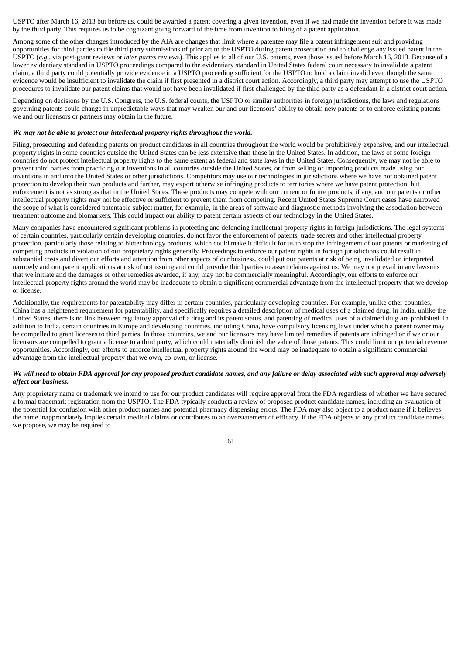USPTO after March 16, 2013 but before us, could be awarded a patent covering a given invention, even if we had made the invention before it was made by the third party. This requires us to be cognizant going forward of the time from invention to filing of a patent application.

Among some of the other changes introduced by the AIA are changes that limit where a patentee may file a patent infringement suit and providing opportunities for third parties to file third party submissions of prior art to the USPTO during patent prosecution and to challenge any issued patent in the USPTO (*e.g.*, via post-grant reviews or *inter partes* reviews). This applies to all of our U.S. patents, even those issued before March 16, 2013. Because of a lower evidentiary standard in USPTO proceedings compared to the evidentiary standard in United States federal court necessary to invalidate a patent claim, a third party could potentially provide evidence in a USPTO proceeding sufficient for the USPTO to hold a claim invalid even though the same evidence would be insufficient to invalidate the claim if first presented in a district court action. Accordingly, a third party may attempt to use the USPTO procedures to invalidate our patent claims that would not have been invalidated if first challenged by the third party as a defendant in a district court action.

Depending on decisions by the U.S. Congress, the U.S. federal courts, the USPTO or similar authorities in foreign jurisdictions, the laws and regulations governing patents could change in unpredictable ways that may weaken our and our licensors' ability to obtain new patents or to enforce existing patents we and our licensors or partners may obtain in the future.

## *We may not be able to protect our intellectual property rights throughout the world.*

Filing, prosecuting and defending patents on product candidates in all countries throughout the world would be prohibitively expensive, and our intellectual property rights in some countries outside the United States can be less extensive than those in the United States. In addition, the laws of some foreign countries do not protect intellectual property rights to the same extent as federal and state laws in the United States. Consequently, we may not be able to prevent third parties from practicing our inventions in all countries outside the United States, or from selling or importing products made using our inventions in and into the United States or other jurisdictions. Competitors may use our technologies in jurisdictions where we have not obtained patent protection to develop their own products and further, may export otherwise infringing products to territories where we have patent protection, but enforcement is not as strong as that in the United States. These products may compete with our current or future products, if any, and our patents or other intellectual property rights may not be effective or sufficient to prevent them from competing. Recent United States Supreme Court cases have narrowed the scope of what is considered patentable subject matter, for example, in the areas of software and diagnostic methods involving the association between treatment outcome and biomarkers. This could impact our ability to patent certain aspects of our technology in the United States.

Many companies have encountered significant problems in protecting and defending intellectual property rights in foreign jurisdictions. The legal systems of certain countries, particularly certain developing countries, do not favor the enforcement of patents, trade secrets and other intellectual property protection, particularly those relating to biotechnology products, which could make it difficult for us to stop the infringement of our patents or marketing of competing products in violation of our proprietary rights generally. Proceedings to enforce our patent rights in foreign jurisdictions could result in substantial costs and divert our efforts and attention from other aspects of our business, could put our patents at risk of being invalidated or interpreted narrowly and our patent applications at risk of not issuing and could provoke third parties to assert claims against us. We may not prevail in any lawsuits that we initiate and the damages or other remedies awarded, if any, may not be commercially meaningful. Accordingly, our efforts to enforce our intellectual property rights around the world may be inadequate to obtain a significant commercial advantage from the intellectual property that we develop or license.

Additionally, the requirements for patentability may differ in certain countries, particularly developing countries. For example, unlike other countries, China has a heightened requirement for patentability, and specifically requires a detailed description of medical uses of a claimed drug. In India, unlike the United States, there is no link between regulatory approval of a drug and its patent status, and patenting of medical uses of a claimed drug are prohibited. In addition to India, certain countries in Europe and developing countries, including China, have compulsory licensing laws under which a patent owner may be compelled to grant licenses to third parties. In those countries, we and our licensors may have limited remedies if patents are infringed or if we or our licensors are compelled to grant a license to a third party, which could materially diminish the value of those patents. This could limit our potential revenue opportunities. Accordingly, our efforts to enforce intellectual property rights around the world may be inadequate to obtain a significant commercial advantage from the intellectual property that we own, co-own, or license.

## We will need to obtain FDA approval for any proposed product candidate names, and any failure or delay associated with such approval may adversely *affect our business.*

Any proprietary name or trademark we intend to use for our product candidates will require approval from the FDA regardless of whether we have secured a formal trademark registration from the USPTO. The FDA typically conducts a review of proposed product candidate names, including an evaluation of the potential for confusion with other product names and potential pharmacy dispensing errors. The FDA may also object to a product name if it believes the name inappropriately implies certain medical claims or contributes to an overstatement of efficacy. If the FDA objects to any product candidate names we propose, we may be required to

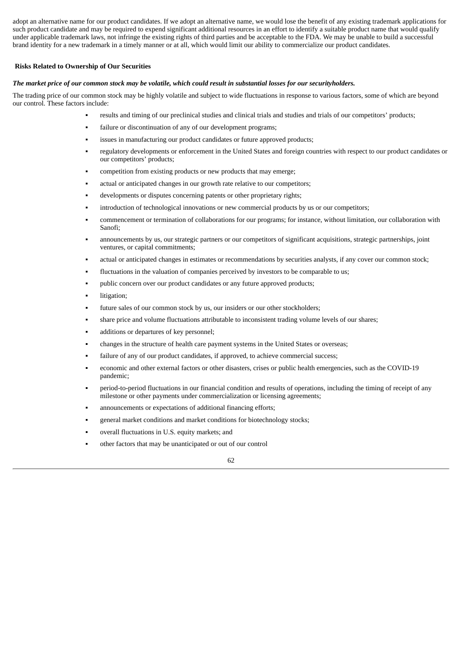adopt an alternative name for our product candidates. If we adopt an alternative name, we would lose the benefit of any existing trademark applications for such product candidate and may be required to expend significant additional resources in an effort to identify a suitable product name that would qualify under applicable trademark laws, not infringe the existing rights of third parties and be acceptable to the FDA. We may be unable to build a successful brand identity for a new trademark in a timely manner or at all, which would limit our ability to commercialize our product candidates.

## **Risks Related to Ownership of Our Securities**

#### The market price of our common stock may be volatile, which could result in substantial losses for our securityholders.

The trading price of our common stock may be highly volatile and subject to wide fluctuations in response to various factors, some of which are beyond our control. These factors include:

- results and timing of our preclinical studies and clinical trials and studies and trials of our competitors' products;
- failure or discontinuation of any of our development programs;
- issues in manufacturing our product candidates or future approved products;
- regulatory developments or enforcement in the United States and foreign countries with respect to our product candidates or our competitors' products;
- competition from existing products or new products that may emerge;
- actual or anticipated changes in our growth rate relative to our competitors;
- developments or disputes concerning patents or other proprietary rights;
- introduction of technological innovations or new commercial products by us or our competitors;
- commencement or termination of collaborations for our programs; for instance, without limitation, our collaboration with Sanofi;
- announcements by us, our strategic partners or our competitors of significant acquisitions, strategic partnerships, joint ventures, or capital commitments;
- actual or anticipated changes in estimates or recommendations by securities analysts, if any cover our common stock;
- fluctuations in the valuation of companies perceived by investors to be comparable to us;
- public concern over our product candidates or any future approved products;
- litigation;
- future sales of our common stock by us, our insiders or our other stockholders;
- share price and volume fluctuations attributable to inconsistent trading volume levels of our shares;
- additions or departures of key personnel;
- changes in the structure of health care payment systems in the United States or overseas;
- failure of any of our product candidates, if approved, to achieve commercial success;
- economic and other external factors or other disasters, crises or public health emergencies, such as the COVID-19 pandemic;
- period-to-period fluctuations in our financial condition and results of operations, including the timing of receipt of any milestone or other payments under commercialization or licensing agreements;
- announcements or expectations of additional financing efforts;
- general market conditions and market conditions for biotechnology stocks;
- overall fluctuations in U.S. equity markets; and
- other factors that may be unanticipated or out of our control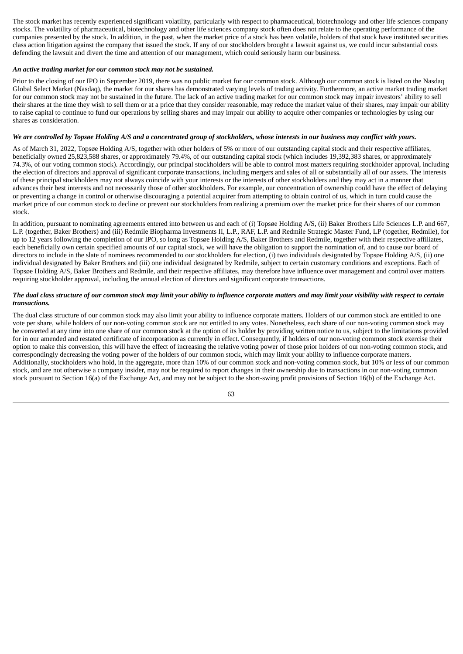The stock market has recently experienced significant volatility, particularly with respect to pharmaceutical, biotechnology and other life sciences company stocks. The volatility of pharmaceutical, biotechnology and other life sciences company stock often does not relate to the operating performance of the companies presented by the stock. In addition, in the past, when the market price of a stock has been volatile, holders of that stock have instituted securities class action litigation against the company that issued the stock. If any of our stockholders brought a lawsuit against us, we could incur substantial costs defending the lawsuit and divert the time and attention of our management, which could seriously harm our business.

#### *An active trading market for our common stock may not be sustained.*

Prior to the closing of our IPO in September 2019, there was no public market for our common stock. Although our common stock is listed on the Nasdaq Global Select Market (Nasdaq), the market for our shares has demonstrated varying levels of trading activity. Furthermore, an active market trading market for our common stock may not be sustained in the future. The lack of an active trading market for our common stock may impair investors' ability to sell their shares at the time they wish to sell them or at a price that they consider reasonable, may reduce the market value of their shares, may impair our ability to raise capital to continue to fund our operations by selling shares and may impair our ability to acquire other companies or technologies by using our shares as consideration.

## We are controlled by Topsøe Holding A/S and a concentrated group of stockholders, whose interests in our business may conflict with yours.

As of March 31, 2022, Topsøe Holding A/S, together with other holders of 5% or more of our outstanding capital stock and their respective affiliates, beneficially owned 25,823,588 shares, or approximately 79.4%, of our outstanding capital stock (which includes 19,392,383 shares, or approximately 74.3%, of our voting common stock). Accordingly, our principal stockholders will be able to control most matters requiring stockholder approval, including the election of directors and approval of significant corporate transactions, including mergers and sales of all or substantially all of our assets. The interests of these principal stockholders may not always coincide with your interests or the interests of other stockholders and they may act in a manner that advances their best interests and not necessarily those of other stockholders. For example, our concentration of ownership could have the effect of delaying or preventing a change in control or otherwise discouraging a potential acquirer from attempting to obtain control of us, which in turn could cause the market price of our common stock to decline or prevent our stockholders from realizing a premium over the market price for their shares of our common stock.

In addition, pursuant to nominating agreements entered into between us and each of (i) Topsøe Holding A/S, (ii) Baker Brothers Life Sciences L.P. and 667, L.P. (together, Baker Brothers) and (iii) Redmile Biopharma Investments II, L.P., RAF, L.P. and Redmile Strategic Master Fund, LP (together, Redmile), for up to 12 years following the completion of our IPO, so long as Topsøe Holding A/S, Baker Brothers and Redmile, together with their respective affiliates, each beneficially own certain specified amounts of our capital stock, we will have the obligation to support the nomination of, and to cause our board of directors to include in the slate of nominees recommended to our stockholders for election, (i) two individuals designated by Topsøe Holding A/S, (ii) one individual designated by Baker Brothers and (iii) one individual designated by Redmile, subject to certain customary conditions and exceptions. Each of Topsøe Holding A/S, Baker Brothers and Redmile, and their respective affiliates, may therefore have influence over management and control over matters requiring stockholder approval, including the annual election of directors and significant corporate transactions.

## The dual class structure of our common stock may limit your ability to influence corporate matters and may limit your visibility with respect to certain *transactions.*

The dual class structure of our common stock may also limit your ability to influence corporate matters. Holders of our common stock are entitled to one vote per share, while holders of our non-voting common stock are not entitled to any votes. Nonetheless, each share of our non-voting common stock may be converted at any time into one share of our common stock at the option of its holder by providing written notice to us, subject to the limitations provided for in our amended and restated certificate of incorporation as currently in effect. Consequently, if holders of our non-voting common stock exercise their option to make this conversion, this will have the effect of increasing the relative voting power of those prior holders of our non-voting common stock, and correspondingly decreasing the voting power of the holders of our common stock, which may limit your ability to influence corporate matters. Additionally, stockholders who hold, in the aggregate, more than 10% of our common stock and non-voting common stock, but 10% or less of our common stock, and are not otherwise a company insider, may not be required to report changes in their ownership due to transactions in our non-voting common stock pursuant to Section 16(a) of the Exchange Act, and may not be subject to the short-swing profit provisions of Section 16(b) of the Exchange Act.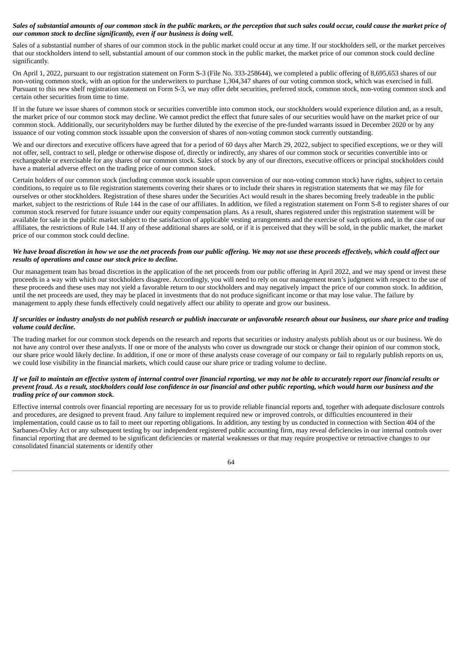# Sales of substantial amounts of our common stock in the public markets, or the perception that such sales could occur, could cause the market price of *our common stock to decline significantly, even if our business is doing well.*

Sales of a substantial number of shares of our common stock in the public market could occur at any time. If our stockholders sell, or the market perceives that our stockholders intend to sell, substantial amount of our common stock in the public market, the market price of our common stock could decline significantly.

On April 1, 2022, pursuant to our registration statement on Form S-3 (File No. 333-258644), we completed a public offering of 8,695,653 shares of our non-voting common stock, with an option for the underwriters to purchase 1,304,347 shares of our voting common stock, which was exercised in full. Pursuant to this new shelf registration statement on Form S-3, we may offer debt securities, preferred stock, common stock, non-voting common stock and certain other securities from time to time.

If in the future we issue shares of common stock or securities convertible into common stock, our stockholders would experience dilution and, as a result, the market price of our common stock may decline. We cannot predict the effect that future sales of our securities would have on the market price of our common stock. Additionally, our securityholders may be further diluted by the exercise of the pre-funded warrants issued in December 2020 or by any issuance of our voting common stock issuable upon the conversion of shares of non-voting common stock currently outstanding.

We and our directors and executive officers have agreed that for a period of 60 days after March 29, 2022, subject to specified exceptions, we or they will not offer, sell, contract to sell, pledge or otherwise dispose of, directly or indirectly, any shares of our common stock or securities convertible into or exchangeable or exercisable for any shares of our common stock. Sales of stock by any of our directors, executive officers or principal stockholders could have a material adverse effect on the trading price of our common stock.

Certain holders of our common stock (including common stock issuable upon conversion of our non-voting common stock) have rights, subject to certain conditions, to require us to file registration statements covering their shares or to include their shares in registration statements that we may file for ourselves or other stockholders. Registration of these shares under the Securities Act would result in the shares becoming freely tradeable in the public market, subject to the restrictions of Rule 144 in the case of our affiliates. In addition, we filed a registration statement on Form S-8 to register shares of our common stock reserved for future issuance under our equity compensation plans. As a result, shares registered under this registration statement will be available for sale in the public market subject to the satisfaction of applicable vesting arrangements and the exercise of such options and, in the case of our affiliates, the restrictions of Rule 144. If any of these additional shares are sold, or if it is perceived that they will be sold, in the public market, the market price of our common stock could decline.

## We have broad discretion in how we use the net proceeds from our public offering. We may not use these proceeds effectively, which could affect our *results of operations and cause our stock price to decline.*

Our management team has broad discretion in the application of the net proceeds from our public offering in April 2022, and we may spend or invest these proceeds in a way with which our stockholders disagree. Accordingly, you will need to rely on our management team's judgment with respect to the use of these proceeds and these uses may not yield a favorable return to our stockholders and may negatively impact the price of our common stock. In addition, until the net proceeds are used, they may be placed in investments that do not produce significant income or that may lose value. The failure by management to apply these funds effectively could negatively affect our ability to operate and grow our business.

# If securities or industry analysts do not publish research or publish inaccurate or unfavorable research about our business, our share price and trading *volume could decline.*

The trading market for our common stock depends on the research and reports that securities or industry analysts publish about us or our business. We do not have any control over these analysts. If one or more of the analysts who cover us downgrade our stock or change their opinion of our common stock, our share price would likely decline. In addition, if one or more of these analysts cease coverage of our company or fail to regularly publish reports on us, we could lose visibility in the financial markets, which could cause our share price or trading volume to decline.

### If we fail to maintain an effective system of internal control over financial reporting, we may not be able to accurately report our financial results or prevent fraud. As a result, stockholders could lose confidence in our financial and other public reporting, which would harm our business and the *trading price of our common stock.*

Effective internal controls over financial reporting are necessary for us to provide reliable financial reports and, together with adequate disclosure controls and procedures, are designed to prevent fraud. Any failure to implement required new or improved controls, or difficulties encountered in their implementation, could cause us to fail to meet our reporting obligations. In addition, any testing by us conducted in connection with Section 404 of the Sarbanes-Oxley Act or any subsequent testing by our independent registered public accounting firm, may reveal deficiencies in our internal controls over financial reporting that are deemed to be significant deficiencies or material weaknesses or that may require prospective or retroactive changes to our consolidated financial statements or identify other

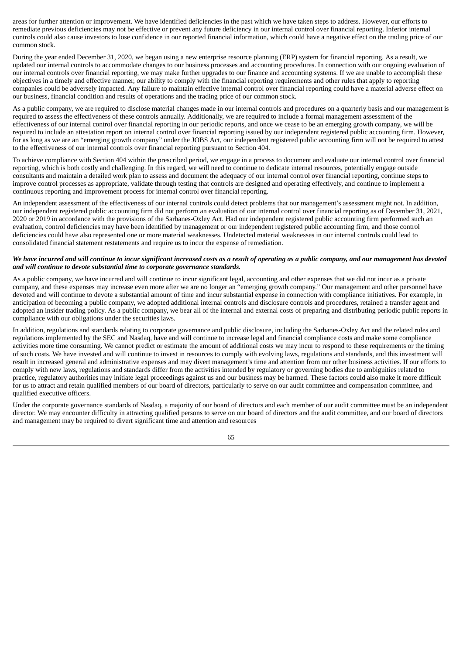areas for further attention or improvement. We have identified deficiencies in the past which we have taken steps to address. However, our efforts to remediate previous deficiencies may not be effective or prevent any future deficiency in our internal control over financial reporting. Inferior internal controls could also cause investors to lose confidence in our reported financial information, which could have a negative effect on the trading price of our common stock.

During the year ended December 31, 2020, we began using a new enterprise resource planning (ERP) system for financial reporting. As a result, we updated our internal controls to accommodate changes to our business processes and accounting procedures. In connection with our ongoing evaluation of our internal controls over financial reporting, we may make further upgrades to our finance and accounting systems. If we are unable to accomplish these objectives in a timely and effective manner, our ability to comply with the financial reporting requirements and other rules that apply to reporting companies could be adversely impacted. Any failure to maintain effective internal control over financial reporting could have a material adverse effect on our business, financial condition and results of operations and the trading price of our common stock.

As a public company, we are required to disclose material changes made in our internal controls and procedures on a quarterly basis and our management is required to assess the effectiveness of these controls annually. Additionally, we are required to include a formal management assessment of the effectiveness of our internal control over financial reporting in our periodic reports, and once we cease to be an emerging growth company, we will be required to include an attestation report on internal control over financial reporting issued by our independent registered public accounting firm. However, for as long as we are an "emerging growth company" under the JOBS Act, our independent registered public accounting firm will not be required to attest to the effectiveness of our internal controls over financial reporting pursuant to Section 404.

To achieve compliance with Section 404 within the prescribed period, we engage in a process to document and evaluate our internal control over financial reporting, which is both costly and challenging. In this regard, we will need to continue to dedicate internal resources, potentially engage outside consultants and maintain a detailed work plan to assess and document the adequacy of our internal control over financial reporting, continue steps to improve control processes as appropriate, validate through testing that controls are designed and operating effectively, and continue to implement a continuous reporting and improvement process for internal control over financial reporting.

An independent assessment of the effectiveness of our internal controls could detect problems that our management's assessment might not. In addition, our independent registered public accounting firm did not perform an evaluation of our internal control over financial reporting as of December 31, 2021, 2020 or 2019 in accordance with the provisions of the Sarbanes-Oxley Act. Had our independent registered public accounting firm performed such an evaluation, control deficiencies may have been identified by management or our independent registered public accounting firm, and those control deficiencies could have also represented one or more material weaknesses. Undetected material weaknesses in our internal controls could lead to consolidated financial statement restatements and require us to incur the expense of remediation.

#### We have incurred and will continue to incur significant increased costs as a result of operating as a public company, and our management has devoted *and will continue to devote substantial time to corporate governance standards.*

As a public company, we have incurred and will continue to incur significant legal, accounting and other expenses that we did not incur as a private company, and these expenses may increase even more after we are no longer an "emerging growth company." Our management and other personnel have devoted and will continue to devote a substantial amount of time and incur substantial expense in connection with compliance initiatives. For example, in anticipation of becoming a public company, we adopted additional internal controls and disclosure controls and procedures, retained a transfer agent and adopted an insider trading policy. As a public company, we bear all of the internal and external costs of preparing and distributing periodic public reports in compliance with our obligations under the securities laws.

In addition, regulations and standards relating to corporate governance and public disclosure, including the Sarbanes-Oxley Act and the related rules and regulations implemented by the SEC and Nasdaq, have and will continue to increase legal and financial compliance costs and make some compliance activities more time consuming. We cannot predict or estimate the amount of additional costs we may incur to respond to these requirements or the timing of such costs. We have invested and will continue to invest in resources to comply with evolving laws, regulations and standards, and this investment will result in increased general and administrative expenses and may divert management's time and attention from our other business activities. If our efforts to comply with new laws, regulations and standards differ from the activities intended by regulatory or governing bodies due to ambiguities related to practice, regulatory authorities may initiate legal proceedings against us and our business may be harmed. These factors could also make it more difficult for us to attract and retain qualified members of our board of directors, particularly to serve on our audit committee and compensation committee, and qualified executive officers.

Under the corporate governance standards of Nasdaq, a majority of our board of directors and each member of our audit committee must be an independent director. We may encounter difficulty in attracting qualified persons to serve on our board of directors and the audit committee, and our board of directors and management may be required to divert significant time and attention and resources

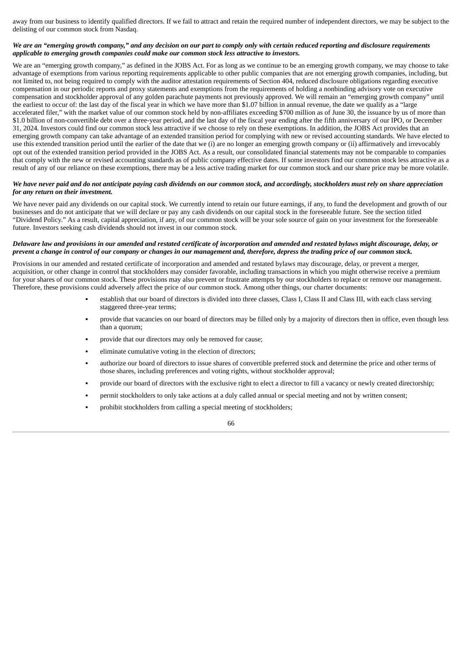away from our business to identify qualified directors. If we fail to attract and retain the required number of independent directors, we may be subject to the delisting of our common stock from Nasdaq.

# We are an "emerging growth company," and any decision on our part to comply only with certain reduced reporting and disclosure requirements *applicable to emerging growth companies could make our common stock less attractive to investors.*

We are an "emerging growth company," as defined in the JOBS Act. For as long as we continue to be an emerging growth company, we may choose to take advantage of exemptions from various reporting requirements applicable to other public companies that are not emerging growth companies, including, but not limited to, not being required to comply with the auditor attestation requirements of Section 404, reduced disclosure obligations regarding executive compensation in our periodic reports and proxy statements and exemptions from the requirements of holding a nonbinding advisory vote on executive compensation and stockholder approval of any golden parachute payments not previously approved. We will remain an "emerging growth company" until the earliest to occur of: the last day of the fiscal year in which we have more than \$1.07 billion in annual revenue, the date we qualify as a "large accelerated filer," with the market value of our common stock held by non-affiliates exceeding \$700 million as of June 30, the issuance by us of more than \$1.0 billion of non-convertible debt over a three-year period, and the last day of the fiscal year ending after the fifth anniversary of our IPO, or December 31, 2024. Investors could find our common stock less attractive if we choose to rely on these exemptions. In addition, the JOBS Act provides that an emerging growth company can take advantage of an extended transition period for complying with new or revised accounting standards. We have elected to use this extended transition period until the earlier of the date that we (i) are no longer an emerging growth company or (ii) affirmatively and irrevocably opt out of the extended transition period provided in the JOBS Act. As a result, our consolidated financial statements may not be comparable to companies that comply with the new or revised accounting standards as of public company effective dates. If some investors find our common stock less attractive as a result of any of our reliance on these exemptions, there may be a less active trading market for our common stock and our share price may be more volatile.

## We have never paid and do not anticipate paying cash dividends on our common stock, and accordingly, stockholders must rely on share appreciation *for any return on their investment.*

We have never paid any dividends on our capital stock. We currently intend to retain our future earnings, if any, to fund the development and growth of our businesses and do not anticipate that we will declare or pay any cash dividends on our capital stock in the foreseeable future. See the section titled "Dividend Policy." As a result, capital appreciation, if any, of our common stock will be your sole source of gain on your investment for the foreseeable future. Investors seeking cash dividends should not invest in our common stock.

# Delaware law and provisions in our amended and restated certificate of incorporation and amended and restated bylaws might discourage, delay, or prevent a change in control of our company or changes in our management and, therefore, depress the trading price of our common stock.

Provisions in our amended and restated certificate of incorporation and amended and restated bylaws may discourage, delay, or prevent a merger, acquisition, or other change in control that stockholders may consider favorable, including transactions in which you might otherwise receive a premium for your shares of our common stock. These provisions may also prevent or frustrate attempts by our stockholders to replace or remove our management. Therefore, these provisions could adversely affect the price of our common stock. Among other things, our charter documents:

- establish that our board of directors is divided into three classes, Class I, Class II and Class III, with each class serving staggered three-year terms;
- provide that vacancies on our board of directors may be filled only by a majority of directors then in office, even though less than a quorum;
- provide that our directors may only be removed for cause;
- eliminate cumulative voting in the election of directors;
- authorize our board of directors to issue shares of convertible preferred stock and determine the price and other terms of those shares, including preferences and voting rights, without stockholder approval;
- provide our board of directors with the exclusive right to elect a director to fill a vacancy or newly created directorship;
- permit stockholders to only take actions at a duly called annual or special meeting and not by written consent;
- prohibit stockholders from calling a special meeting of stockholders;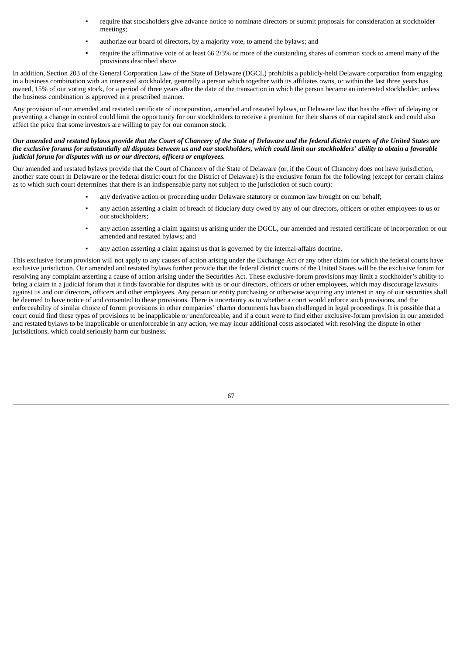- require that stockholders give advance notice to nominate directors or submit proposals for consideration at stockholder meetings;
- authorize our board of directors, by a majority vote, to amend the bylaws; and
- require the affirmative vote of at least 66 2/3% or more of the outstanding shares of common stock to amend many of the provisions described above.

In addition, Section 203 of the General Corporation Law of the State of Delaware (DGCL) prohibits a publicly-held Delaware corporation from engaging in a business combination with an interested stockholder, generally a person which together with its affiliates owns, or within the last three years has owned, 15% of our voting stock, for a period of three years after the date of the transaction in which the person became an interested stockholder, unless the business combination is approved in a prescribed manner.

Any provision of our amended and restated certificate of incorporation, amended and restated bylaws, or Delaware law that has the effect of delaying or preventing a change in control could limit the opportunity for our stockholders to receive a premium for their shares of our capital stock and could also affect the price that some investors are willing to pay for our common stock.

## Our amended and restated bylaws provide that the Court of Chancery of the State of Delaware and the federal district courts of the United States are the exclusive forums for substantially all disputes between us and our stockholders, which could limit our stockholders' ability to obtain a favorable *judicial forum for disputes with us or our directors, officers or employees.*

Our amended and restated bylaws provide that the Court of Chancery of the State of Delaware (or, if the Court of Chancery does not have jurisdiction, another state court in Delaware or the federal district court for the District of Delaware) is the exclusive forum for the following (except for certain claims as to which such court determines that there is an indispensable party not subject to the jurisdiction of such court):

- any derivative action or proceeding under Delaware statutory or common law brought on our behalf;
- any action asserting a claim of breach of fiduciary duty owed by any of our directors, officers or other employees to us or our stockholders;
- any action asserting a claim against us arising under the DGCL, our amended and restated certificate of incorporation or our amended and restated bylaws; and
- any action asserting a claim against us that is governed by the internal-affairs doctrine.

This exclusive forum provision will not apply to any causes of action arising under the Exchange Act or any other claim for which the federal courts have exclusive jurisdiction. Our amended and restated bylaws further provide that the federal district courts of the United States will be the exclusive forum for resolving any complaint asserting a cause of action arising under the Securities Act. These exclusive-forum provisions may limit a stockholder's ability to bring a claim in a judicial forum that it finds favorable for disputes with us or our directors, officers or other employees, which may discourage lawsuits against us and our directors, officers and other employees. Any person or entity purchasing or otherwise acquiring any interest in any of our securities shall be deemed to have notice of and consented to these provisions. There is uncertainty as to whether a court would enforce such provisions, and the enforceability of similar choice of forum provisions in other companies' charter documents has been challenged in legal proceedings. It is possible that a court could find these types of provisions to be inapplicable or unenforceable, and if a court were to find either exclusive-forum provision in our amended and restated bylaws to be inapplicable or unenforceable in any action, we may incur additional costs associated with resolving the dispute in other jurisdictions, which could seriously harm our business.

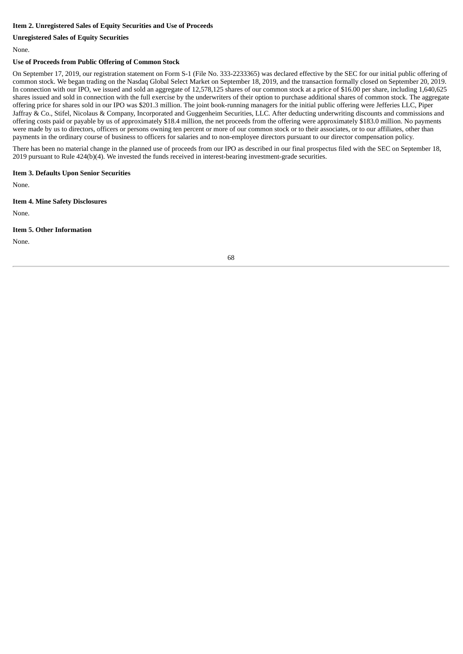# **Item 2. Unregistered Sales of Equity Securities and Use of Proceeds**

# **Unregistered Sales of Equity Securities**

None.

# **Use of Proceeds from Public Offering of Common Stock**

On September 17, 2019, our registration statement on Form S-1 (File No. 333-2233365) was declared effective by the SEC for our initial public offering of common stock. We began trading on the Nasdaq Global Select Market on September 18, 2019, and the transaction formally closed on September 20, 2019. In connection with our IPO, we issued and sold an aggregate of 12,578,125 shares of our common stock at a price of \$16.00 per share, including 1,640,625 shares issued and sold in connection with the full exercise by the underwriters of their option to purchase additional shares of common stock. The aggregate offering price for shares sold in our IPO was \$201.3 million. The joint book-running managers for the initial public offering were Jefferies LLC, Piper Jaffray & Co., Stifel, Nicolaus & Company, Incorporated and Guggenheim Securities, LLC. After deducting underwriting discounts and commissions and offering costs paid or payable by us of approximately \$18.4 million, the net proceeds from the offering were approximately \$183.0 million. No payments were made by us to directors, officers or persons owning ten percent or more of our common stock or to their associates, or to our affiliates, other than payments in the ordinary course of business to officers for salaries and to non-employee directors pursuant to our director compensation policy.

There has been no material change in the planned use of proceeds from our IPO as described in our final prospectus filed with the SEC on September 18, 2019 pursuant to Rule 424(b)(4). We invested the funds received in interest-bearing investment-grade securities.

## **Item 3. Defaults Upon Senior Securities**

None.

#### **Item 4. Mine Safety Disclosures**

None.

#### **Item 5. Other Information**

None.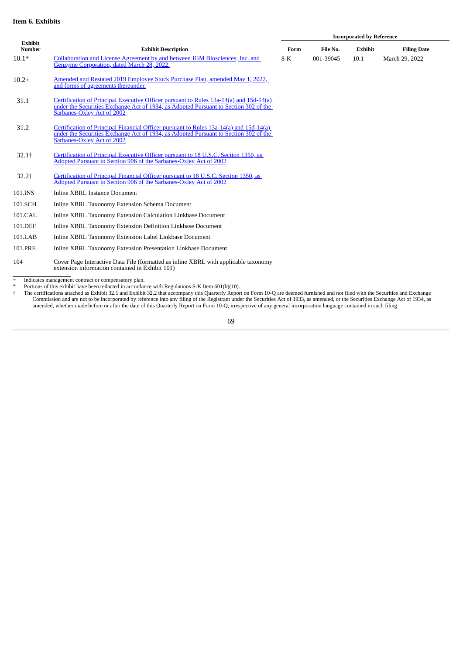# **Item 6. Exhibits**

**Incorporated by Reference**

| Exhibit<br><b>Number</b> | <b>Exhibit Description</b>                                                                                                                                                                                   | Form  | File No.  | <b>Exhibit</b> | <b>Filing Date</b> |
|--------------------------|--------------------------------------------------------------------------------------------------------------------------------------------------------------------------------------------------------------|-------|-----------|----------------|--------------------|
| $10.1*$                  | Collaboration and License Agreement by and between IGM Biosciences, Inc. and<br>Genzyme Corporation, dated March 28, 2022.                                                                                   | $8-K$ | 001-39045 | 10.1           | March 29, 2022     |
| $10.2+$                  | Amended and Restated 2019 Employee Stock Purchase Plan, amended May 1, 2022,<br>and forms of agreements thereunder.                                                                                          |       |           |                |                    |
| 31.1                     | Certification of Principal Executive Officer pursuant to Rules 13a-14(a) and 15d-14(a)<br>under the Securities Exchange Act of 1934, as Adopted Pursuant to Section 302 of the<br>Sarbanes-Oxley Act of 2002 |       |           |                |                    |
| 31.2                     | Certification of Principal Financial Officer pursuant to Rules 13a-14(a) and 15d-14(a)<br>under the Securities Exchange Act of 1934, as Adopted Pursuant to Section 302 of the<br>Sarbanes-Oxley Act of 2002 |       |           |                |                    |
| $32.1+$                  | Certification of Principal Executive Officer pursuant to 18 U.S.C. Section 1350, as<br>Adopted Pursuant to Section 906 of the Sarbanes-Oxley Act of 2002                                                     |       |           |                |                    |
| $32.2+$                  | Certification of Principal Financial Officer pursuant to 18 U.S.C. Section 1350, as<br>Adopted Pursuant to Section 906 of the Sarbanes-Oxley Act of 2002                                                     |       |           |                |                    |
| 101.INS                  | <b>Inline XBRL Instance Document</b>                                                                                                                                                                         |       |           |                |                    |
| 101.SCH                  | Inline XBRL Taxonomy Extension Schema Document                                                                                                                                                               |       |           |                |                    |
| 101.CAL                  | Inline XBRL Taxonomy Extension Calculation Linkbase Document                                                                                                                                                 |       |           |                |                    |
| 101.DEF                  | Inline XBRL Taxonomy Extension Definition Linkbase Document                                                                                                                                                  |       |           |                |                    |
| 101.LAB                  | Inline XBRL Taxonomy Extension Label Linkbase Document                                                                                                                                                       |       |           |                |                    |
| 101.PRE                  | Inline XBRL Taxonomy Extension Presentation Linkbase Document                                                                                                                                                |       |           |                |                    |
| 104                      | Cover Page Interactive Data File (formatted as inline XBRL with applicable taxonomy<br>extension information contained in Exhibit 101)                                                                       |       |           |                |                    |

+ Indicates management contract or compensatory plan.

\* Portions of this exhibit have been redacted in accordance with Regulations S-K Item 601(b)(10).<br>† The certifications attached as Exhibit 32.1 and Exhibit 32.2 that accompany this Quarterly Report on Form 10-Q are deemed Commission and are not to be incorporated by reference into any filing of the Registrant under the Securities Act of 1933, as amended, or the Securities Exchange Act of 1934, as amended, whether made before or after the date of this Quarterly Report on Form 10-Q, irrespective of any general incorporation language contained in such filing.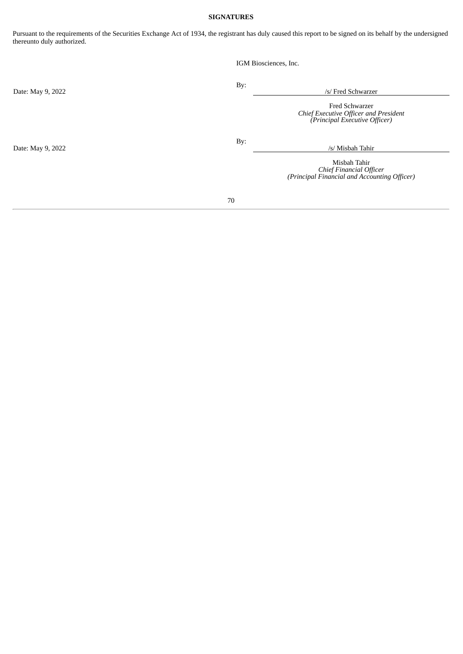# **SIGNATURES**

Pursuant to the requirements of the Securities Exchange Act of 1934, the registrant has duly caused this report to be signed on its behalf by the undersigned thereunto duly authorized.

|                   | IGM Biosciences, Inc. |                                                                                                 |
|-------------------|-----------------------|-------------------------------------------------------------------------------------------------|
| Date: May 9, 2022 | By:                   | /s/ Fred Schwarzer                                                                              |
|                   |                       | <b>Fred Schwarzer</b><br>Chief Executive Officer and President<br>(Principal Executive Officer) |
| Date: May 9, 2022 | By:                   | /s/ Misbah Tahir                                                                                |
|                   |                       | Misbah Tahir<br>Chief Financial Officer<br>(Principal Financial and Accounting Officer)         |
|                   | 70                    |                                                                                                 |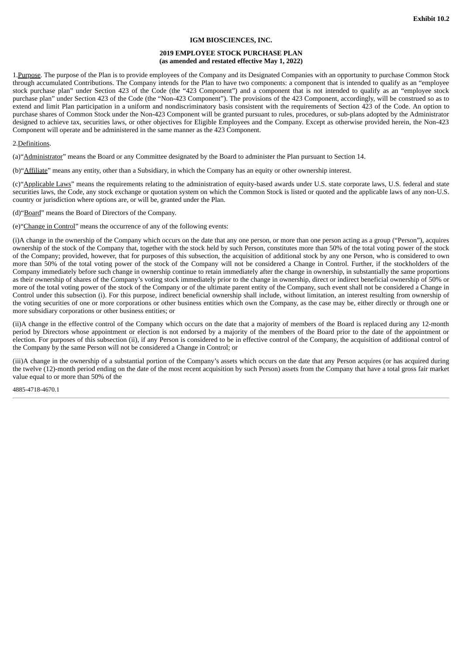## **IGM BIOSCIENCES, INC.**

### **2019 EMPLOYEE STOCK PURCHASE PLAN (as amended and restated effective May 1, 2022)**

1. Purpose. The purpose of the Plan is to provide employees of the Company and its Designated Companies with an opportunity to purchase Common Stock through accumulated Contributions. The Company intends for the Plan to have two components: a component that is intended to qualify as an "employee stock purchase plan" under Section 423 of the Code (the "423 Component") and a component that is not intended to qualify as an "employee stock purchase plan" under Section 423 of the Code (the "Non-423 Component"). The provisions of the 423 Component, accordingly, will be construed so as to extend and limit Plan participation in a uniform and nondiscriminatory basis consistent with the requirements of Section 423 of the Code. An option to purchase shares of Common Stock under the Non-423 Component will be granted pursuant to rules, procedures, or sub-plans adopted by the Administrator designed to achieve tax, securities laws, or other objectives for Eligible Employees and the Company. Except as otherwise provided herein, the Non-423 Component will operate and be administered in the same manner as the 423 Component.

### 2.Definitions.

(a)"Administrator" means the Board or any Committee designated by the Board to administer the Plan pursuant to Section 14.

(b)"Affiliate" means any entity, other than a Subsidiary, in which the Company has an equity or other ownership interest.

(c)"Applicable Laws" means the requirements relating to the administration of equity-based awards under U.S. state corporate laws, U.S. federal and state securities laws, the Code, any stock exchange or quotation system on which the Common Stock is listed or quoted and the applicable laws of any non-U.S. country or jurisdiction where options are, or will be, granted under the Plan.

(d)"Board" means the Board of Directors of the Company.

(e)"Change in Control" means the occurrence of any of the following events:

(i)A change in the ownership of the Company which occurs on the date that any one person, or more than one person acting as a group ("Person"), acquires ownership of the stock of the Company that, together with the stock held by such Person, constitutes more than 50% of the total voting power of the stock of the Company; provided, however, that for purposes of this subsection, the acquisition of additional stock by any one Person, who is considered to own more than 50% of the total voting power of the stock of the Company will not be considered a Change in Control. Further, if the stockholders of the Company immediately before such change in ownership continue to retain immediately after the change in ownership, in substantially the same proportions as their ownership of shares of the Company's voting stock immediately prior to the change in ownership, direct or indirect beneficial ownership of 50% or more of the total voting power of the stock of the Company or of the ultimate parent entity of the Company, such event shall not be considered a Change in Control under this subsection (i). For this purpose, indirect beneficial ownership shall include, without limitation, an interest resulting from ownership of the voting securities of one or more corporations or other business entities which own the Company, as the case may be, either directly or through one or more subsidiary corporations or other business entities; or

(ii)A change in the effective control of the Company which occurs on the date that a majority of members of the Board is replaced during any 12‑month period by Directors whose appointment or election is not endorsed by a majority of the members of the Board prior to the date of the appointment or election. For purposes of this subsection (ii), if any Person is considered to be in effective control of the Company, the acquisition of additional control of the Company by the same Person will not be considered a Change in Control; or

(iii)A change in the ownership of a substantial portion of the Company's assets which occurs on the date that any Person acquires (or has acquired during the twelve (12)‑month period ending on the date of the most recent acquisition by such Person) assets from the Company that have a total gross fair market value equal to or more than 50% of the

4885-4718-4670.1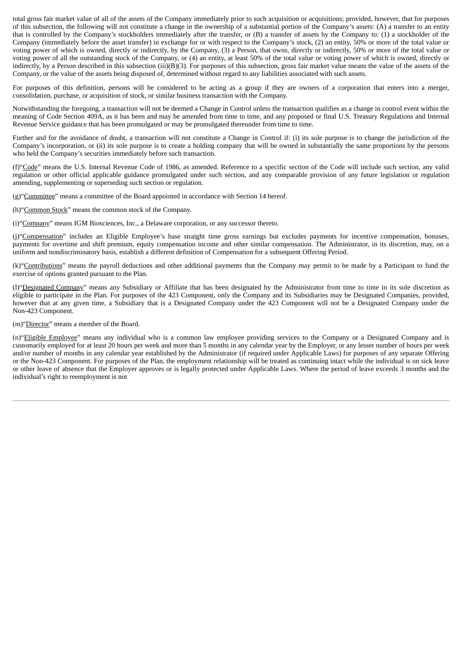total gross fair market value of all of the assets of the Company immediately prior to such acquisition or acquisitions; provided, however, that for purposes of this subsection, the following will not constitute a change in the ownership of a substantial portion of the Company's assets: (A) a transfer to an entity that is controlled by the Company's stockholders immediately after the transfer, or (B) a transfer of assets by the Company to: (1) a stockholder of the Company (immediately before the asset transfer) in exchange for or with respect to the Company's stock, (2) an entity, 50% or more of the total value or voting power of which is owned, directly or indirectly, by the Company, (3) a Person, that owns, directly or indirectly, 50% or more of the total value or voting power of all the outstanding stock of the Company, or (4) an entity, at least 50% of the total value or voting power of which is owned, directly or indirectly, by a Person described in this subsection (iii)(B)(3). For purposes of this subsection, gross fair market value means the value of the assets of the Company, or the value of the assets being disposed of, determined without regard to any liabilities associated with such assets.

For purposes of this definition, persons will be considered to be acting as a group if they are owners of a corporation that enters into a merger, consolidation, purchase, or acquisition of stock, or similar business transaction with the Company.

Notwithstanding the foregoing, a transaction will not be deemed a Change in Control unless the transaction qualifies as a change in control event within the meaning of Code Section 409A, as it has been and may be amended from time to time, and any proposed or final U.S. Treasury Regulations and Internal Revenue Service guidance that has been promulgated or may be promulgated thereunder from time to time.

Further and for the avoidance of doubt, a transaction will not constitute a Change in Control if: (i) its sole purpose is to change the jurisdiction of the Company's incorporation, or (ii) its sole purpose is to create a holding company that will be owned in substantially the same proportions by the persons who held the Company's securities immediately before such transaction.

(f)"Code" means the U.S. Internal Revenue Code of 1986, as amended. Reference to a specific section of the Code will include such section, any valid regulation or other official applicable guidance promulgated under such section, and any comparable provision of any future legislation or regulation amending, supplementing or superseding such section or regulation.

(g)"Committee" means a committee of the Board appointed in accordance with Section 14 hereof.

(h)"Common Stock" means the common stock of the Company.

(i)"Company" means IGM Biosciences, Inc., a Delaware corporation, or any successor thereto.

(j)"Compensation" includes an Eligible Employee's base straight time gross earnings but excludes payments for incentive compensation, bonuses, payments for overtime and shift premium, equity compensation income and other similar compensation. The Administrator, in its discretion, may, on a uniform and nondiscriminatory basis, establish a different definition of Compensation for a subsequent Offering Period.

(k)"Contributions" means the payroll deductions and other additional payments that the Company may permit to be made by a Participant to fund the exercise of options granted pursuant to the Plan.

(l)"Designated Company" means any Subsidiary or Affiliate that has been designated by the Administrator from time to time in its sole discretion as eligible to participate in the Plan. For purposes of the 423 Component, only the Company and its Subsidiaries may be Designated Companies, provided, however that at any given time, a Subsidiary that is a Designated Company under the 423 Component will not be a Designated Company under the Non‑423 Component.

(m)"Director" means a member of the Board.

(n)"Eligible Employee" means any individual who is a common law employee providing services to the Company or a Designated Company and is customarily employed for at least 20 hours per week and more than 5 months in any calendar year by the Employer, or any lesser number of hours per week and/or number of months in any calendar year established by the Administrator (if required under Applicable Laws) for purposes of any separate Offering or the Non-423 Component. For purposes of the Plan, the employment relationship will be treated as continuing intact while the individual is on sick leave or other leave of absence that the Employer approves or is legally protected under Applicable Laws. Where the period of leave exceeds 3 months and the individual's right to reemployment is not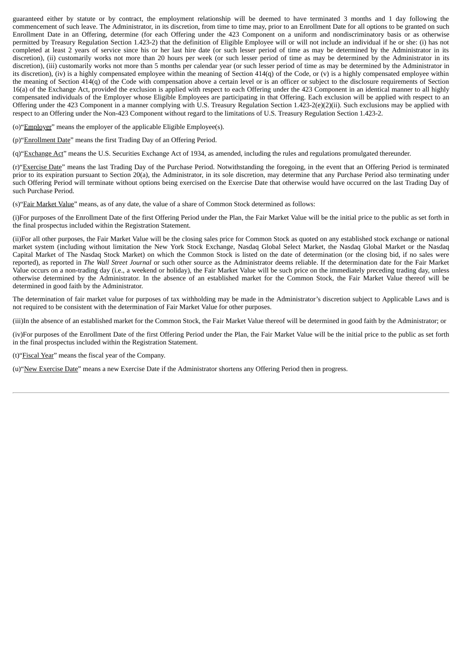guaranteed either by statute or by contract, the employment relationship will be deemed to have terminated 3 months and 1 day following the commencement of such leave. The Administrator, in its discretion, from time to time may, prior to an Enrollment Date for all options to be granted on such Enrollment Date in an Offering, determine (for each Offering under the 423 Component on a uniform and nondiscriminatory basis or as otherwise permitted by Treasury Regulation Section 1.423‑2) that the definition of Eligible Employee will or will not include an individual if he or she: (i) has not completed at least 2 years of service since his or her last hire date (or such lesser period of time as may be determined by the Administrator in its discretion), (ii) customarily works not more than 20 hours per week (or such lesser period of time as may be determined by the Administrator in its discretion), (iii) customarily works not more than 5 months per calendar year (or such lesser period of time as may be determined by the Administrator in its discretion), (iv) is a highly compensated employee within the meaning of Section  $414(q)$  of the Code, or (v) is a highly compensated employee within the meaning of Section 414(q) of the Code with compensation above a certain level or is an officer or subject to the disclosure requirements of Section 16(a) of the Exchange Act, provided the exclusion is applied with respect to each Offering under the 423 Component in an identical manner to all highly compensated individuals of the Employer whose Eligible Employees are participating in that Offering. Each exclusion will be applied with respect to an Offering under the 423 Component in a manner complying with U.S. Treasury Regulation Section 1.423‑2(e)(2)(ii). Such exclusions may be applied with respect to an Offering under the Non-423 Component without regard to the limitations of U.S. Treasury Regulation Section 1.423‑2.

(o)"Employer" means the employer of the applicable Eligible Employee(s).

(p)"Enrollment Date" means the first Trading Day of an Offering Period.

(q) "Exchange Act" means the U.S. Securities Exchange Act of 1934, as amended, including the rules and regulations promulgated thereunder.

(r)"Exercise Date" means the last Trading Day of the Purchase Period. Notwithstanding the foregoing, in the event that an Offering Period is terminated prior to its expiration pursuant to Section 20(a), the Administrator, in its sole discretion, may determine that any Purchase Period also terminating under such Offering Period will terminate without options being exercised on the Exercise Date that otherwise would have occurred on the last Trading Day of such Purchase Period.

(s)"Fair Market Value" means, as of any date, the value of a share of Common Stock determined as follows:

(i)For purposes of the Enrollment Date of the first Offering Period under the Plan, the Fair Market Value will be the initial price to the public as set forth in the final prospectus included within the Registration Statement.

(ii)For all other purposes, the Fair Market Value will be the closing sales price for Common Stock as quoted on any established stock exchange or national market system (including without limitation the New York Stock Exchange, Nasdaq Global Select Market, the Nasdaq Global Market or the Nasdaq Capital Market of The Nasdaq Stock Market) on which the Common Stock is listed on the date of determination (or the closing bid, if no sales were reported), as reported in *The Wall Street Journal* or such other source as the Administrator deems reliable. If the determination date for the Fair Market Value occurs on a non-trading day (i.e., a weekend or holiday), the Fair Market Value will be such price on the immediately preceding trading day, unless otherwise determined by the Administrator. In the absence of an established market for the Common Stock, the Fair Market Value thereof will be determined in good faith by the Administrator.

The determination of fair market value for purposes of tax withholding may be made in the Administrator's discretion subject to Applicable Laws and is not required to be consistent with the determination of Fair Market Value for other purposes.

(iii)In the absence of an established market for the Common Stock, the Fair Market Value thereof will be determined in good faith by the Administrator; or

(iv)For purposes of the Enrollment Date of the first Offering Period under the Plan, the Fair Market Value will be the initial price to the public as set forth in the final prospectus included within the Registration Statement.

(t)"Fiscal Year" means the fiscal year of the Company.

(u)"New Exercise Date" means a new Exercise Date if the Administrator shortens any Offering Period then in progress.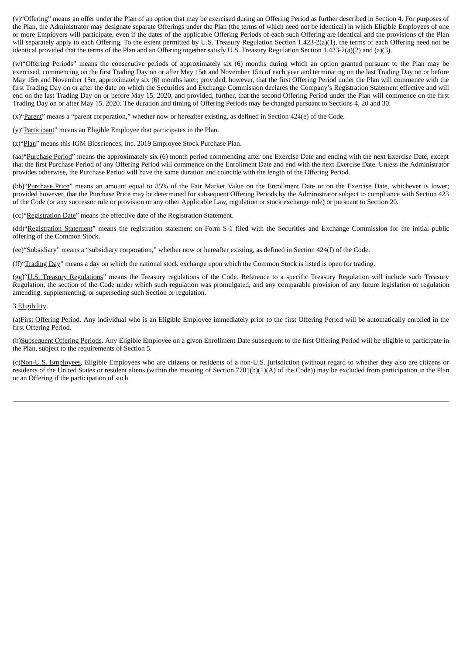(v)"Offering" means an offer under the Plan of an option that may be exercised during an Offering Period as further described in Section 4. For purposes of the Plan, the Administrator may designate separate Offerings under the Plan (the terms of which need not be identical) in which Eligible Employees of one or more Employers will participate, even if the dates of the applicable Offering Periods of each such Offering are identical and the provisions of the Plan will separately apply to each Offering. To the extent permitted by U.S. Treasury Regulation Section 1.423-2(a)(1), the terms of each Offering need not be identical provided that the terms of the Plan and an Offering together satisfy U.S. Treasury Regulation Section 1.423‑2(a)(2) and (a)(3).

(w) "Offering Periods" means the consecutive periods of approximately six (6) months during which an option granted pursuant to the Plan may be exercised, commencing on the first Trading Day on or after May 15th and November 15th of each year and terminating on the last Trading Day on or before May 15th and November 15th, approximately six (6) months later; provided, however, that the first Offering Period under the Plan will commence with the first Trading Day on or after the date on which the Securities and Exchange Commission declares the Company's Registration Statement effective and will end on the last Trading Day on or before May 15, 2020, and provided, further, that the second Offering Period under the Plan will commence on the first Trading Day on or after May 15, 2020. The duration and timing of Offering Periods may be changed pursuant to Sections 4, 20 and 30.

 $(x)$ "Parent" means a "parent corporation," whether now or hereafter existing, as defined in Section 424(e) of the Code.

(y)"Participant" means an Eligible Employee that participates in the Plan.

(z)"Plan" means this IGM Biosciences, Inc. 2019 Employee Stock Purchase Plan.

(aa)"Purchase Period" means the approximately six (6) month period commencing after one Exercise Date and ending with the next Exercise Date, except that the first Purchase Period of any Offering Period will commence on the Enrollment Date and end with the next Exercise Date. Unless the Administrator provides otherwise, the Purchase Period will have the same duration and coincide with the length of the Offering Period.

(bb)"Purchase Price" means an amount equal to 85% of the Fair Market Value on the Enrollment Date or on the Exercise Date, whichever is lower; provided however, that the Purchase Price may be determined for subsequent Offering Periods by the Administrator subject to compliance with Section 423 of the Code (or any successor rule or provision or any other Applicable Law, regulation or stock exchange rule) or pursuant to Section 20.

(cc)"Registration Date" means the effective date of the Registration Statement.

(dd)"Registration Statement" means the registration statement on Form S-1 filed with the Securities and Exchange Commission for the initial public offering of the Common Stock.

(ee)"Subsidiary" means a "subsidiary corporation," whether now or hereafter existing, as defined in Section 424(f) of the Code.

(ff)"Trading Day" means a day on which the national stock exchange upon which the Common Stock is listed is open for trading.

(gg)"U.S. Treasury Regulations" means the Treasury regulations of the Code. Reference to a specific Treasury Regulation will include such Treasury Regulation, the section of the Code under which such regulation was promulgated, and any comparable provision of any future legislation or regulation amending, supplementing, or superseding such Section or regulation.

#### 3.Eligibility.

(a)First Offering Period. Any individual who is an Eligible Employee immediately prior to the first Offering Period will be automatically enrolled in the first Offering Period.

(b)Subsequent Offering Periods. Any Eligible Employee on a given Enrollment Date subsequent to the first Offering Period will be eligible to participate in the Plan, subject to the requirements of Section 5.

(c)Non-U.S. Employees. Eligible Employees who are citizens or residents of a non-U.S. jurisdiction (without regard to whether they also are citizens or residents of the United States or resident aliens (within the meaning of Section 7701(b)(1)(A) of the Code)) may be excluded from participation in the Plan or an Offering if the participation of such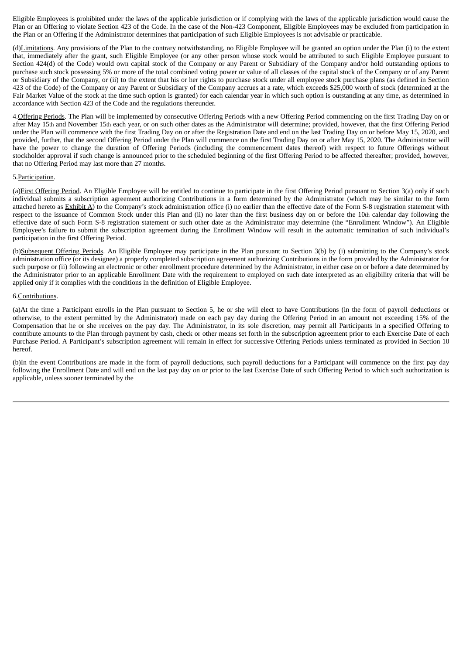Eligible Employees is prohibited under the laws of the applicable jurisdiction or if complying with the laws of the applicable jurisdiction would cause the Plan or an Offering to violate Section 423 of the Code. In the case of the Non-423 Component, Eligible Employees may be excluded from participation in the Plan or an Offering if the Administrator determines that participation of such Eligible Employees is not advisable or practicable.

(d)Limitations. Any provisions of the Plan to the contrary notwithstanding, no Eligible Employee will be granted an option under the Plan (i) to the extent that, immediately after the grant, such Eligible Employee (or any other person whose stock would be attributed to such Eligible Employee pursuant to Section 424(d) of the Code) would own capital stock of the Company or any Parent or Subsidiary of the Company and/or hold outstanding options to purchase such stock possessing 5% or more of the total combined voting power or value of all classes of the capital stock of the Company or of any Parent or Subsidiary of the Company, or (ii) to the extent that his or her rights to purchase stock under all employee stock purchase plans (as defined in Section 423 of the Code) of the Company or any Parent or Subsidiary of the Company accrues at a rate, which exceeds \$25,000 worth of stock (determined at the Fair Market Value of the stock at the time such option is granted) for each calendar year in which such option is outstanding at any time, as determined in accordance with Section 423 of the Code and the regulations thereunder.

4. Offering Periods. The Plan will be implemented by consecutive Offering Periods with a new Offering Period commencing on the first Trading Day on or after May 15th and November 15th each year, or on such other dates as the Administrator will determine; provided, however, that the first Offering Period under the Plan will commence with the first Trading Day on or after the Registration Date and end on the last Trading Day on or before May 15, 2020, and provided, further, that the second Offering Period under the Plan will commence on the first Trading Day on or after May 15, 2020. The Administrator will have the power to change the duration of Offering Periods (including the commencement dates thereof) with respect to future Offerings without stockholder approval if such change is announced prior to the scheduled beginning of the first Offering Period to be affected thereafter; provided, however, that no Offering Period may last more than 27 months.

#### 5.Participation.

(a) First Offering Period. An Eligible Employee will be entitled to continue to participate in the first Offering Period pursuant to Section 3(a) only if such individual submits a subscription agreement authorizing Contributions in a form determined by the Administrator (which may be similar to the form attached hereto as  $Exhibit A$ ) to the Company's stock administration office (i) no earlier than the effective date of the Form S-8 registration statement with respect to the issuance of Common Stock under this Plan and (ii) no later than the first business day on or before the 10th calendar day following the effective date of such Form S-8 registration statement or such other date as the Administrator may determine (the "Enrollment Window"). An Eligible Employee's failure to submit the subscription agreement during the Enrollment Window will result in the automatic termination of such individual's participation in the first Offering Period.

(b)Subsequent Offering Periods. An Eligible Employee may participate in the Plan pursuant to Section 3(b) by (i) submitting to the Company's stock administration office (or its designee) a properly completed subscription agreement authorizing Contributions in the form provided by the Administrator for such purpose or (ii) following an electronic or other enrollment procedure determined by the Administrator, in either case on or before a date determined by the Administrator prior to an applicable Enrollment Date with the requirement to employed on such date interpreted as an eligibility criteria that will be applied only if it complies with the conditions in the definition of Eligible Employee.

### 6.Contributions.

(a)At the time a Participant enrolls in the Plan pursuant to Section 5, he or she will elect to have Contributions (in the form of payroll deductions or otherwise, to the extent permitted by the Administrator) made on each pay day during the Offering Period in an amount not exceeding 15% of the Compensation that he or she receives on the pay day. The Administrator, in its sole discretion, may permit all Participants in a specified Offering to contribute amounts to the Plan through payment by cash, check or other means set forth in the subscription agreement prior to each Exercise Date of each Purchase Period. A Participant's subscription agreement will remain in effect for successive Offering Periods unless terminated as provided in Section 10 hereof.

(b)In the event Contributions are made in the form of payroll deductions, such payroll deductions for a Participant will commence on the first pay day following the Enrollment Date and will end on the last pay day on or prior to the last Exercise Date of such Offering Period to which such authorization is applicable, unless sooner terminated by the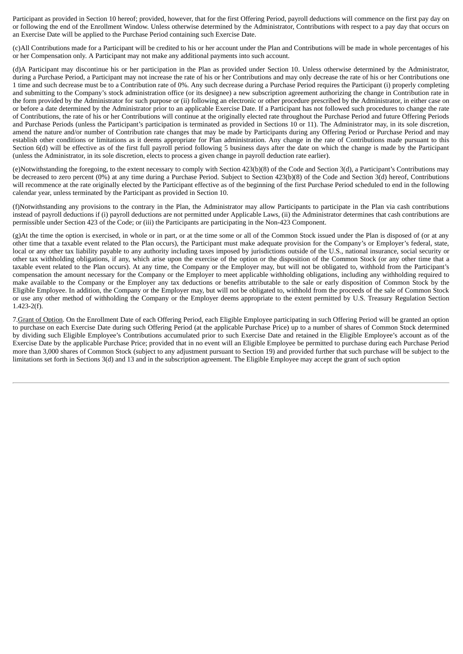Participant as provided in Section 10 hereof; provided, however, that for the first Offering Period, payroll deductions will commence on the first pay day on or following the end of the Enrollment Window. Unless otherwise determined by the Administrator, Contributions with respect to a pay day that occurs on an Exercise Date will be applied to the Purchase Period containing such Exercise Date.

(c)All Contributions made for a Participant will be credited to his or her account under the Plan and Contributions will be made in whole percentages of his or her Compensation only. A Participant may not make any additional payments into such account.

(d)A Participant may discontinue his or her participation in the Plan as provided under Section 10. Unless otherwise determined by the Administrator, during a Purchase Period, a Participant may not increase the rate of his or her Contributions and may only decrease the rate of his or her Contributions one 1 time and such decrease must be to a Contribution rate of 0%. Any such decrease during a Purchase Period requires the Participant (i) properly completing and submitting to the Company's stock administration office (or its designee) a new subscription agreement authorizing the change in Contribution rate in the form provided by the Administrator for such purpose or (ii) following an electronic or other procedure prescribed by the Administrator, in either case on or before a date determined by the Administrator prior to an applicable Exercise Date. If a Participant has not followed such procedures to change the rate of Contributions, the rate of his or her Contributions will continue at the originally elected rate throughout the Purchase Period and future Offering Periods and Purchase Periods (unless the Participant's participation is terminated as provided in Sections 10 or 11). The Administrator may, in its sole discretion, amend the nature and/or number of Contribution rate changes that may be made by Participants during any Offering Period or Purchase Period and may establish other conditions or limitations as it deems appropriate for Plan administration. Any change in the rate of Contributions made pursuant to this Section 6(d) will be effective as of the first full payroll period following 5 business days after the date on which the change is made by the Participant (unless the Administrator, in its sole discretion, elects to process a given change in payroll deduction rate earlier).

(e)Notwithstanding the foregoing, to the extent necessary to comply with Section 423(b)(8) of the Code and Section 3(d), a Participant's Contributions may be decreased to zero percent (0%) at any time during a Purchase Period. Subject to Section 423(b)(8) of the Code and Section 3(d) hereof, Contributions will recommence at the rate originally elected by the Participant effective as of the beginning of the first Purchase Period scheduled to end in the following calendar year, unless terminated by the Participant as provided in Section 10.

(f)Notwithstanding any provisions to the contrary in the Plan, the Administrator may allow Participants to participate in the Plan via cash contributions instead of payroll deductions if (i) payroll deductions are not permitted under Applicable Laws, (ii) the Administrator determines that cash contributions are permissible under Section 423 of the Code; or (iii) the Participants are participating in the Non-423 Component.

(g)At the time the option is exercised, in whole or in part, or at the time some or all of the Common Stock issued under the Plan is disposed of (or at any other time that a taxable event related to the Plan occurs), the Participant must make adequate provision for the Company's or Employer's federal, state, local or any other tax liability payable to any authority including taxes imposed by jurisdictions outside of the U.S., national insurance, social security or other tax withholding obligations, if any, which arise upon the exercise of the option or the disposition of the Common Stock (or any other time that a taxable event related to the Plan occurs). At any time, the Company or the Employer may, but will not be obligated to, withhold from the Participant's compensation the amount necessary for the Company or the Employer to meet applicable withholding obligations, including any withholding required to make available to the Company or the Employer any tax deductions or benefits attributable to the sale or early disposition of Common Stock by the Eligible Employee. In addition, the Company or the Employer may, but will not be obligated to, withhold from the proceeds of the sale of Common Stock or use any other method of withholding the Company or the Employer deems appropriate to the extent permitted by U.S. Treasury Regulation Section  $1.423 - 2(f)$ .

7. Grant of Option. On the Enrollment Date of each Offering Period, each Eligible Employee participating in such Offering Period will be granted an option to purchase on each Exercise Date during such Offering Period (at the applicable Purchase Price) up to a number of shares of Common Stock determined by dividing such Eligible Employee's Contributions accumulated prior to such Exercise Date and retained in the Eligible Employee's account as of the Exercise Date by the applicable Purchase Price; provided that in no event will an Eligible Employee be permitted to purchase during each Purchase Period more than 3,000 shares of Common Stock (subject to any adjustment pursuant to Section 19) and provided further that such purchase will be subject to the limitations set forth in Sections 3(d) and 13 and in the subscription agreement. The Eligible Employee may accept the grant of such option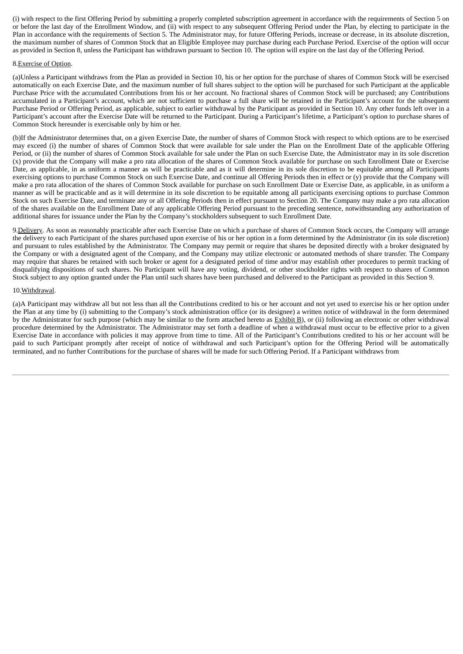(i) with respect to the first Offering Period by submitting a properly completed subscription agreement in accordance with the requirements of Section 5 on or before the last day of the Enrollment Window, and (ii) with respect to any subsequent Offering Period under the Plan, by electing to participate in the Plan in accordance with the requirements of Section 5. The Administrator may, for future Offering Periods, increase or decrease, in its absolute discretion, the maximum number of shares of Common Stock that an Eligible Employee may purchase during each Purchase Period. Exercise of the option will occur as provided in Section 8, unless the Participant has withdrawn pursuant to Section 10. The option will expire on the last day of the Offering Period.

## 8.Exercise of Option.

(a)Unless a Participant withdraws from the Plan as provided in Section 10, his or her option for the purchase of shares of Common Stock will be exercised automatically on each Exercise Date, and the maximum number of full shares subject to the option will be purchased for such Participant at the applicable Purchase Price with the accumulated Contributions from his or her account. No fractional shares of Common Stock will be purchased; any Contributions accumulated in a Participant's account, which are not sufficient to purchase a full share will be retained in the Participant's account for the subsequent Purchase Period or Offering Period, as applicable, subject to earlier withdrawal by the Participant as provided in Section 10. Any other funds left over in a Participant's account after the Exercise Date will be returned to the Participant. During a Participant's lifetime, a Participant's option to purchase shares of Common Stock hereunder is exercisable only by him or her.

(b)If the Administrator determines that, on a given Exercise Date, the number of shares of Common Stock with respect to which options are to be exercised may exceed (i) the number of shares of Common Stock that were available for sale under the Plan on the Enrollment Date of the applicable Offering Period, or (ii) the number of shares of Common Stock available for sale under the Plan on such Exercise Date, the Administrator may in its sole discretion (x) provide that the Company will make a pro rata allocation of the shares of Common Stock available for purchase on such Enrollment Date or Exercise Date, as applicable, in as uniform a manner as will be practicable and as it will determine in its sole discretion to be equitable among all Participants exercising options to purchase Common Stock on such Exercise Date, and continue all Offering Periods then in effect or (y) provide that the Company will make a pro rata allocation of the shares of Common Stock available for purchase on such Enrollment Date or Exercise Date, as applicable, in as uniform a manner as will be practicable and as it will determine in its sole discretion to be equitable among all participants exercising options to purchase Common Stock on such Exercise Date, and terminate any or all Offering Periods then in effect pursuant to Section 20. The Company may make a pro rata allocation of the shares available on the Enrollment Date of any applicable Offering Period pursuant to the preceding sentence, notwithstanding any authorization of additional shares for issuance under the Plan by the Company's stockholders subsequent to such Enrollment Date.

9. Delivery. As soon as reasonably practicable after each Exercise Date on which a purchase of shares of Common Stock occurs, the Company will arrange the delivery to each Participant of the shares purchased upon exercise of his or her option in a form determined by the Administrator (in its sole discretion) and pursuant to rules established by the Administrator. The Company may permit or require that shares be deposited directly with a broker designated by the Company or with a designated agent of the Company, and the Company may utilize electronic or automated methods of share transfer. The Company may require that shares be retained with such broker or agent for a designated period of time and/or may establish other procedures to permit tracking of disqualifying dispositions of such shares. No Participant will have any voting, dividend, or other stockholder rights with respect to shares of Common Stock subject to any option granted under the Plan until such shares have been purchased and delivered to the Participant as provided in this Section 9.

# 10.Withdrawal.

(a)A Participant may withdraw all but not less than all the Contributions credited to his or her account and not yet used to exercise his or her option under the Plan at any time by (i) submitting to the Company's stock administration office (or its designee) a written notice of withdrawal in the form determined by the Administrator for such purpose (which may be similar to the form attached hereto as **Exhibit B**), or (ii) following an electronic or other withdrawal procedure determined by the Administrator. The Administrator may set forth a deadline of when a withdrawal must occur to be effective prior to a given Exercise Date in accordance with policies it may approve from time to time. All of the Participant's Contributions credited to his or her account will be paid to such Participant promptly after receipt of notice of withdrawal and such Participant's option for the Offering Period will be automatically terminated, and no further Contributions for the purchase of shares will be made for such Offering Period. If a Participant withdraws from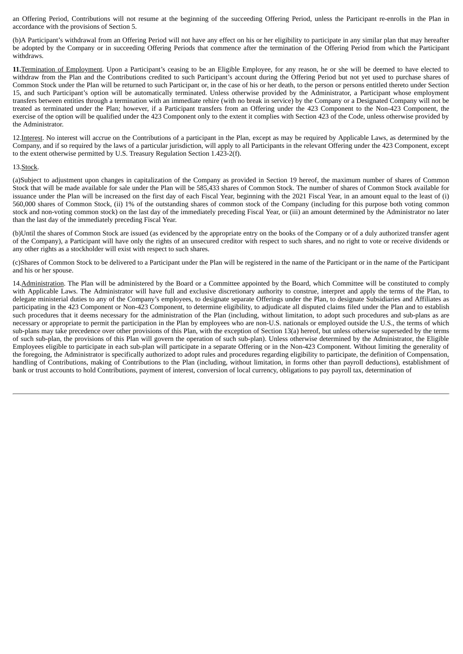an Offering Period, Contributions will not resume at the beginning of the succeeding Offering Period, unless the Participant re-enrolls in the Plan in accordance with the provisions of Section 5.

(b)A Participant's withdrawal from an Offering Period will not have any effect on his or her eligibility to participate in any similar plan that may hereafter be adopted by the Company or in succeeding Offering Periods that commence after the termination of the Offering Period from which the Participant withdraws.

**11.**Termination of Employment. Upon a Participant's ceasing to be an Eligible Employee, for any reason, he or she will be deemed to have elected to withdraw from the Plan and the Contributions credited to such Participant's account during the Offering Period but not yet used to purchase shares of Common Stock under the Plan will be returned to such Participant or, in the case of his or her death, to the person or persons entitled thereto under Section 15, and such Participant's option will be automatically terminated. Unless otherwise provided by the Administrator, a Participant whose employment transfers between entities through a termination with an immediate rehire (with no break in service) by the Company or a Designated Company will not be treated as terminated under the Plan; however, if a Participant transfers from an Offering under the 423 Component to the Non-423 Component, the exercise of the option will be qualified under the 423 Component only to the extent it complies with Section 423 of the Code, unless otherwise provided by the Administrator.

12. Interest. No interest will accrue on the Contributions of a participant in the Plan, except as may be required by Applicable Laws, as determined by the Company, and if so required by the laws of a particular jurisdiction, will apply to all Participants in the relevant Offering under the 423 Component, except to the extent otherwise permitted by U.S. Treasury Regulation Section 1.423-2(f).

### 13.Stock.

(a)Subject to adjustment upon changes in capitalization of the Company as provided in Section 19 hereof, the maximum number of shares of Common Stock that will be made available for sale under the Plan will be 585,433 shares of Common Stock. The number of shares of Common Stock available for issuance under the Plan will be increased on the first day of each Fiscal Year, beginning with the 2021 Fiscal Year, in an amount equal to the least of (i) 560,000 shares of Common Stock, (ii) 1% of the outstanding shares of common stock of the Company (including for this purpose both voting common stock and non-voting common stock) on the last day of the immediately preceding Fiscal Year, or (iii) an amount determined by the Administrator no later than the last day of the immediately preceding Fiscal Year.

(b)Until the shares of Common Stock are issued (as evidenced by the appropriate entry on the books of the Company or of a duly authorized transfer agent of the Company), a Participant will have only the rights of an unsecured creditor with respect to such shares, and no right to vote or receive dividends or any other rights as a stockholder will exist with respect to such shares.

(c)Shares of Common Stock to be delivered to a Participant under the Plan will be registered in the name of the Participant or in the name of the Participant and his or her spouse.

14.Administration. The Plan will be administered by the Board or a Committee appointed by the Board, which Committee will be constituted to comply with Applicable Laws. The Administrator will have full and exclusive discretionary authority to construe, interpret and apply the terms of the Plan, to delegate ministerial duties to any of the Company's employees, to designate separate Offerings under the Plan, to designate Subsidiaries and Affiliates as participating in the 423 Component or Non-423 Component, to determine eligibility, to adjudicate all disputed claims filed under the Plan and to establish such procedures that it deems necessary for the administration of the Plan (including, without limitation, to adopt such procedures and sub-plans as are necessary or appropriate to permit the participation in the Plan by employees who are non‑U.S. nationals or employed outside the U.S., the terms of which sub-plans may take precedence over other provisions of this Plan, with the exception of Section 13(a) hereof, but unless otherwise superseded by the terms of such sub-plan, the provisions of this Plan will govern the operation of such sub-plan). Unless otherwise determined by the Administrator, the Eligible Employees eligible to participate in each sub-plan will participate in a separate Offering or in the Non-423 Component. Without limiting the generality of the foregoing, the Administrator is specifically authorized to adopt rules and procedures regarding eligibility to participate, the definition of Compensation, handling of Contributions, making of Contributions to the Plan (including, without limitation, in forms other than payroll deductions), establishment of bank or trust accounts to hold Contributions, payment of interest, conversion of local currency, obligations to pay payroll tax, determination of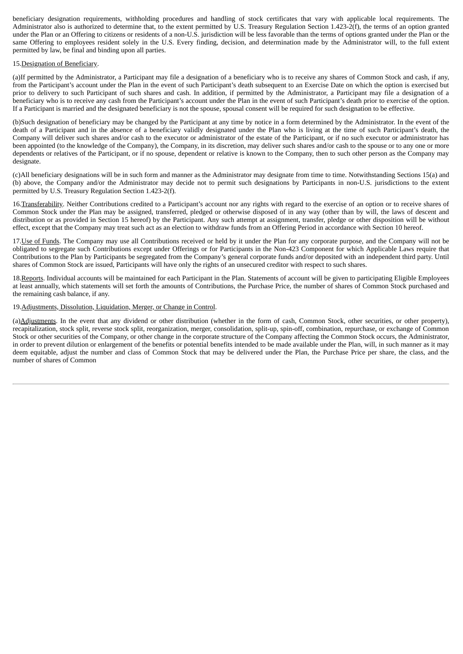beneficiary designation requirements, withholding procedures and handling of stock certificates that vary with applicable local requirements. The Administrator also is authorized to determine that, to the extent permitted by U.S. Treasury Regulation Section 1.423-2(f), the terms of an option granted under the Plan or an Offering to citizens or residents of a non-U.S. jurisdiction will be less favorable than the terms of options granted under the Plan or the same Offering to employees resident solely in the U.S. Every finding, decision, and determination made by the Administrator will, to the full extent permitted by law, be final and binding upon all parties.

## 15.Designation of Beneficiary.

(a)If permitted by the Administrator, a Participant may file a designation of a beneficiary who is to receive any shares of Common Stock and cash, if any, from the Participant's account under the Plan in the event of such Participant's death subsequent to an Exercise Date on which the option is exercised but prior to delivery to such Participant of such shares and cash. In addition, if permitted by the Administrator, a Participant may file a designation of a beneficiary who is to receive any cash from the Participant's account under the Plan in the event of such Participant's death prior to exercise of the option. If a Participant is married and the designated beneficiary is not the spouse, spousal consent will be required for such designation to be effective.

(b)Such designation of beneficiary may be changed by the Participant at any time by notice in a form determined by the Administrator. In the event of the death of a Participant and in the absence of a beneficiary validly designated under the Plan who is living at the time of such Participant's death, the Company will deliver such shares and/or cash to the executor or administrator of the estate of the Participant, or if no such executor or administrator has been appointed (to the knowledge of the Company), the Company, in its discretion, may deliver such shares and/or cash to the spouse or to any one or more dependents or relatives of the Participant, or if no spouse, dependent or relative is known to the Company, then to such other person as the Company may designate.

(c)All beneficiary designations will be in such form and manner as the Administrator may designate from time to time. Notwithstanding Sections 15(a) and (b) above, the Company and/or the Administrator may decide not to permit such designations by Participants in non-U.S. jurisdictions to the extent permitted by U.S. Treasury Regulation Section 1.423-2(f).

16.Transferability. Neither Contributions credited to a Participant's account nor any rights with regard to the exercise of an option or to receive shares of Common Stock under the Plan may be assigned, transferred, pledged or otherwise disposed of in any way (other than by will, the laws of descent and distribution or as provided in Section 15 hereof) by the Participant. Any such attempt at assignment, transfer, pledge or other disposition will be without effect, except that the Company may treat such act as an election to withdraw funds from an Offering Period in accordance with Section 10 hereof.

17. Use of Funds. The Company may use all Contributions received or held by it under the Plan for any corporate purpose, and the Company will not be obligated to segregate such Contributions except under Offerings or for Participants in the Non-423 Component for which Applicable Laws require that Contributions to the Plan by Participants be segregated from the Company's general corporate funds and/or deposited with an independent third party. Until shares of Common Stock are issued, Participants will have only the rights of an unsecured creditor with respect to such shares.

18.Reports. Individual accounts will be maintained for each Participant in the Plan. Statements of account will be given to participating Eligible Employees at least annually, which statements will set forth the amounts of Contributions, the Purchase Price, the number of shares of Common Stock purchased and the remaining cash balance, if any.

### 19.Adjustments, Dissolution, Liquidation, Merger, or Change in Control.

(a)Adjustments. In the event that any dividend or other distribution (whether in the form of cash, Common Stock, other securities, or other property), recapitalization, stock split, reverse stock split, reorganization, merger, consolidation, split-up, spin-off, combination, repurchase, or exchange of Common Stock or other securities of the Company, or other change in the corporate structure of the Company affecting the Common Stock occurs, the Administrator, in order to prevent dilution or enlargement of the benefits or potential benefits intended to be made available under the Plan, will, in such manner as it may deem equitable, adjust the number and class of Common Stock that may be delivered under the Plan, the Purchase Price per share, the class, and the number of shares of Common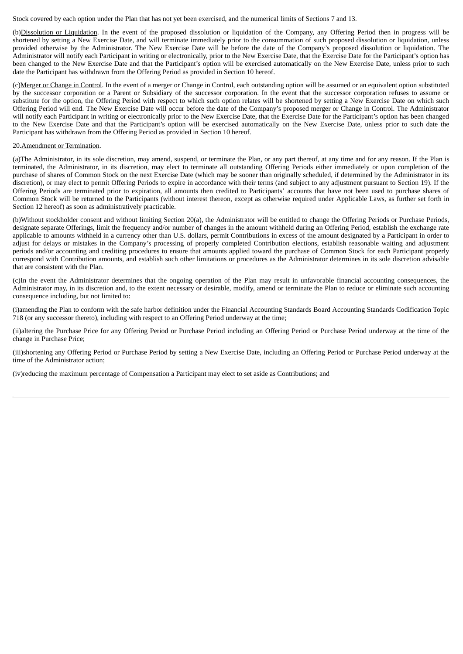Stock covered by each option under the Plan that has not yet been exercised, and the numerical limits of Sections 7 and 13.

(b)Dissolution or Liquidation. In the event of the proposed dissolution or liquidation of the Company, any Offering Period then in progress will be shortened by setting a New Exercise Date, and will terminate immediately prior to the consummation of such proposed dissolution or liquidation, unless provided otherwise by the Administrator. The New Exercise Date will be before the date of the Company's proposed dissolution or liquidation. The Administrator will notify each Participant in writing or electronically, prior to the New Exercise Date, that the Exercise Date for the Participant's option has been changed to the New Exercise Date and that the Participant's option will be exercised automatically on the New Exercise Date, unless prior to such date the Participant has withdrawn from the Offering Period as provided in Section 10 hereof.

(c)Merger or Change in Control. In the event of a merger or Change in Control, each outstanding option will be assumed or an equivalent option substituted by the successor corporation or a Parent or Subsidiary of the successor corporation. In the event that the successor corporation refuses to assume or substitute for the option, the Offering Period with respect to which such option relates will be shortened by setting a New Exercise Date on which such Offering Period will end. The New Exercise Date will occur before the date of the Company's proposed merger or Change in Control. The Administrator will notify each Participant in writing or electronically prior to the New Exercise Date, that the Exercise Date for the Participant's option has been changed to the New Exercise Date and that the Participant's option will be exercised automatically on the New Exercise Date, unless prior to such date the Participant has withdrawn from the Offering Period as provided in Section 10 hereof.

#### 20.Amendment or Termination.

(a)The Administrator, in its sole discretion, may amend, suspend, or terminate the Plan, or any part thereof, at any time and for any reason. If the Plan is terminated, the Administrator, in its discretion, may elect to terminate all outstanding Offering Periods either immediately or upon completion of the purchase of shares of Common Stock on the next Exercise Date (which may be sooner than originally scheduled, if determined by the Administrator in its discretion), or may elect to permit Offering Periods to expire in accordance with their terms (and subject to any adjustment pursuant to Section 19). If the Offering Periods are terminated prior to expiration, all amounts then credited to Participants' accounts that have not been used to purchase shares of Common Stock will be returned to the Participants (without interest thereon, except as otherwise required under Applicable Laws, as further set forth in Section 12 hereof) as soon as administratively practicable.

(b)Without stockholder consent and without limiting Section 20(a), the Administrator will be entitled to change the Offering Periods or Purchase Periods, designate separate Offerings, limit the frequency and/or number of changes in the amount withheld during an Offering Period, establish the exchange rate applicable to amounts withheld in a currency other than U.S. dollars, permit Contributions in excess of the amount designated by a Participant in order to adjust for delays or mistakes in the Company's processing of properly completed Contribution elections, establish reasonable waiting and adjustment periods and/or accounting and crediting procedures to ensure that amounts applied toward the purchase of Common Stock for each Participant properly correspond with Contribution amounts, and establish such other limitations or procedures as the Administrator determines in its sole discretion advisable that are consistent with the Plan.

(c)In the event the Administrator determines that the ongoing operation of the Plan may result in unfavorable financial accounting consequences, the Administrator may, in its discretion and, to the extent necessary or desirable, modify, amend or terminate the Plan to reduce or eliminate such accounting consequence including, but not limited to:

(i)amending the Plan to conform with the safe harbor definition under the Financial Accounting Standards Board Accounting Standards Codification Topic 718 (or any successor thereto), including with respect to an Offering Period underway at the time;

(ii)altering the Purchase Price for any Offering Period or Purchase Period including an Offering Period or Purchase Period underway at the time of the change in Purchase Price;

(iii)shortening any Offering Period or Purchase Period by setting a New Exercise Date, including an Offering Period or Purchase Period underway at the time of the Administrator action;

(iv)reducing the maximum percentage of Compensation a Participant may elect to set aside as Contributions; and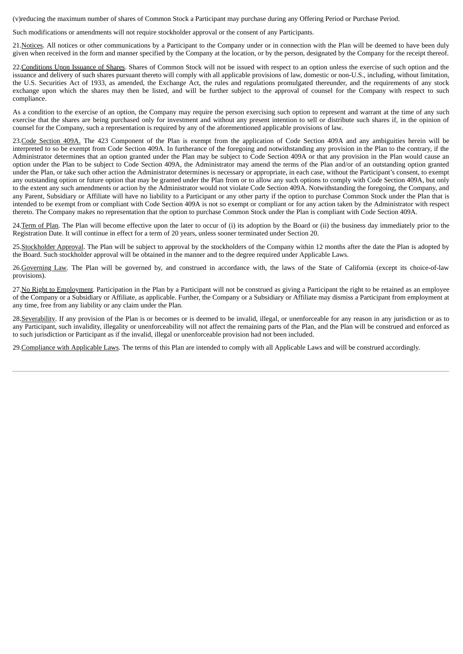(v)reducing the maximum number of shares of Common Stock a Participant may purchase during any Offering Period or Purchase Period.

Such modifications or amendments will not require stockholder approval or the consent of any Participants.

21. Notices. All notices or other communications by a Participant to the Company under or in connection with the Plan will be deemed to have been duly given when received in the form and manner specified by the Company at the location, or by the person, designated by the Company for the receipt thereof.

22.Conditions Upon Issuance of Shares. Shares of Common Stock will not be issued with respect to an option unless the exercise of such option and the issuance and delivery of such shares pursuant thereto will comply with all applicable provisions of law, domestic or non‑U.S., including, without limitation, the U.S. Securities Act of 1933, as amended, the Exchange Act, the rules and regulations promulgated thereunder, and the requirements of any stock exchange upon which the shares may then be listed, and will be further subject to the approval of counsel for the Company with respect to such compliance.

As a condition to the exercise of an option, the Company may require the person exercising such option to represent and warrant at the time of any such exercise that the shares are being purchased only for investment and without any present intention to sell or distribute such shares if, in the opinion of counsel for the Company, such a representation is required by any of the aforementioned applicable provisions of law.

23.Code Section 409A. The 423 Component of the Plan is exempt from the application of Code Section 409A and any ambiguities herein will be interpreted to so be exempt from Code Section 409A. In furtherance of the foregoing and notwithstanding any provision in the Plan to the contrary, if the Administrator determines that an option granted under the Plan may be subject to Code Section 409A or that any provision in the Plan would cause an option under the Plan to be subject to Code Section 409A, the Administrator may amend the terms of the Plan and/or of an outstanding option granted under the Plan, or take such other action the Administrator determines is necessary or appropriate, in each case, without the Participant's consent, to exempt any outstanding option or future option that may be granted under the Plan from or to allow any such options to comply with Code Section 409A, but only to the extent any such amendments or action by the Administrator would not violate Code Section 409A. Notwithstanding the foregoing, the Company, and any Parent, Subsidiary or Affiliate will have no liability to a Participant or any other party if the option to purchase Common Stock under the Plan that is intended to be exempt from or compliant with Code Section 409A is not so exempt or compliant or for any action taken by the Administrator with respect thereto. The Company makes no representation that the option to purchase Common Stock under the Plan is compliant with Code Section 409A.

24.Term of Plan. The Plan will become effective upon the later to occur of (i) its adoption by the Board or (ii) the business day immediately prior to the Registration Date. It will continue in effect for a term of 20 years, unless sooner terminated under Section 20.

25.Stockholder Approval. The Plan will be subject to approval by the stockholders of the Company within 12 months after the date the Plan is adopted by the Board. Such stockholder approval will be obtained in the manner and to the degree required under Applicable Laws.

26.Governing Law. The Plan will be governed by, and construed in accordance with, the laws of the State of California (except its choice-of-law provisions).

27.No Right to Employment. Participation in the Plan by a Participant will not be construed as giving a Participant the right to be retained as an employee of the Company or a Subsidiary or Affiliate, as applicable. Further, the Company or a Subsidiary or Affiliate may dismiss a Participant from employment at any time, free from any liability or any claim under the Plan.

28.Severability. If any provision of the Plan is or becomes or is deemed to be invalid, illegal, or unenforceable for any reason in any jurisdiction or as to any Participant, such invalidity, illegality or unenforceability will not affect the remaining parts of the Plan, and the Plan will be construed and enforced as to such jurisdiction or Participant as if the invalid, illegal or unenforceable provision had not been included.

29. Compliance with Applicable Laws. The terms of this Plan are intended to comply with all Applicable Laws and will be construed accordingly.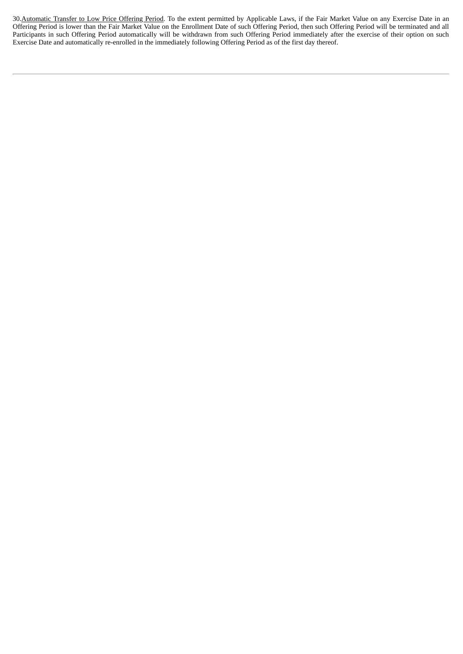30. Automatic Transfer to Low Price Offering Period. To the extent permitted by Applicable Laws, if the Fair Market Value on any Exercise Date in an Offering Period is lower than the Fair Market Value on the Enrollment Date of such Offering Period, then such Offering Period will be terminated and all Participants in such Offering Period automatically will be withdrawn from such Offering Period immediately after the exercise of their option on such Exercise Date and automatically re-enrolled in the immediately following Offering Period as of the first day thereof.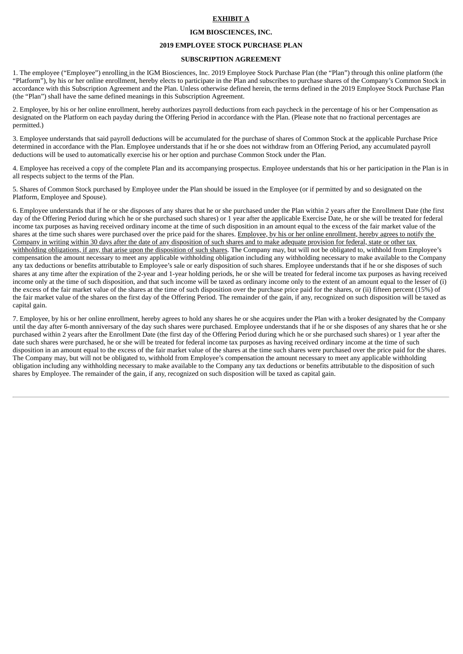### **EXHIBIT A**

### **IGM BIOSCIENCES, INC.**

#### **2019 EMPLOYEE STOCK PURCHASE PLAN**

#### **SUBSCRIPTION AGREEMENT**

1. The employee ("Employee") enrolling in the IGM Biosciences, Inc. 2019 Employee Stock Purchase Plan (the "Plan") through this online platform (the "Platform"), by his or her online enrollment, hereby elects to participate in the Plan and subscribes to purchase shares of the Company's Common Stock in accordance with this Subscription Agreement and the Plan. Unless otherwise defined herein, the terms defined in the 2019 Employee Stock Purchase Plan (the "Plan") shall have the same defined meanings in this Subscription Agreement.

2. Employee, by his or her online enrollment, hereby authorizes payroll deductions from each paycheck in the percentage of his or her Compensation as designated on the Platform on each payday during the Offering Period in accordance with the Plan. (Please note that no fractional percentages are permitted.)

3. Employee understands that said payroll deductions will be accumulated for the purchase of shares of Common Stock at the applicable Purchase Price determined in accordance with the Plan. Employee understands that if he or she does not withdraw from an Offering Period, any accumulated payroll deductions will be used to automatically exercise his or her option and purchase Common Stock under the Plan.

4. Employee has received a copy of the complete Plan and its accompanying prospectus. Employee understands that his or her participation in the Plan is in all respects subject to the terms of the Plan.

5. Shares of Common Stock purchased by Employee under the Plan should be issued in the Employee (or if permitted by and so designated on the Platform, Employee and Spouse).

6. Employee understands that if he or she disposes of any shares that he or she purchased under the Plan within 2 years after the Enrollment Date (the first day of the Offering Period during which he or she purchased such shares) or 1 year after the applicable Exercise Date, he or she will be treated for federal income tax purposes as having received ordinary income at the time of such disposition in an amount equal to the excess of the fair market value of the shares at the time such shares were purchased over the price paid for the shares. Employee, by his or her online enrollment, hereby agrees to notify the Company in writing within 30 days after the date of any disposition of such shares and to make adequate provision for federal, state or other tax withholding obligations, if any, that arise upon the disposition of such shares. The Company may, but will not be obligated to, withhold from Employee's compensation the amount necessary to meet any applicable withholding obligation including any withholding necessary to make available to the Company any tax deductions or benefits attributable to Employee's sale or early disposition of such shares. Employee understands that if he or she disposes of such shares at any time after the expiration of the 2-year and 1-year holding periods, he or she will be treated for federal income tax purposes as having received income only at the time of such disposition, and that such income will be taxed as ordinary income only to the extent of an amount equal to the lesser of (i) the excess of the fair market value of the shares at the time of such disposition over the purchase price paid for the shares, or (ii) fifteen percent (15%) of the fair market value of the shares on the first day of the Offering Period. The remainder of the gain, if any, recognized on such disposition will be taxed as capital gain.

7. Employee, by his or her online enrollment, hereby agrees to hold any shares he or she acquires under the Plan with a broker designated by the Company until the day after 6-month anniversary of the day such shares were purchased. Employee understands that if he or she disposes of any shares that he or she purchased within 2 years after the Enrollment Date (the first day of the Offering Period during which he or she purchased such shares) or 1 year after the date such shares were purchased, he or she will be treated for federal income tax purposes as having received ordinary income at the time of such disposition in an amount equal to the excess of the fair market value of the shares at the time such shares were purchased over the price paid for the shares. The Company may, but will not be obligated to, withhold from Employee's compensation the amount necessary to meet any applicable withholding obligation including any withholding necessary to make available to the Company any tax deductions or benefits attributable to the disposition of such shares by Employee. The remainder of the gain, if any, recognized on such disposition will be taxed as capital gain.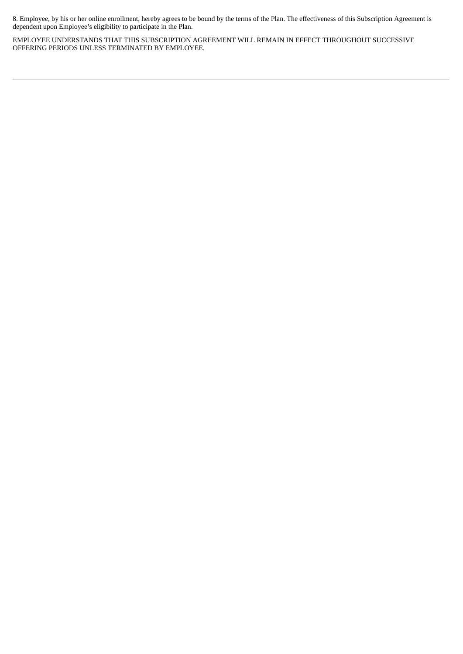8. Employee, by his or her online enrollment, hereby agrees to be bound by the terms of the Plan. The effectiveness of this Subscription Agreement is dependent upon Employee's eligibility to participate in the Plan.

EMPLOYEE UNDERSTANDS THAT THIS SUBSCRIPTION AGREEMENT WILL REMAIN IN EFFECT THROUGHOUT SUCCESSIVE OFFERING PERIODS UNLESS TERMINATED BY EMPLOYEE.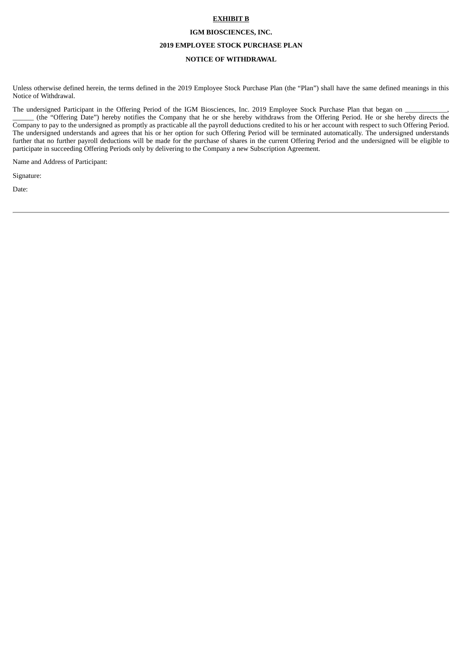#### **EXHIBIT B**

#### **IGM BIOSCIENCES, INC.**

### **2019 EMPLOYEE STOCK PURCHASE PLAN**

# **NOTICE OF WITHDRAWAL**

Unless otherwise defined herein, the terms defined in the 2019 Employee Stock Purchase Plan (the "Plan") shall have the same defined meanings in this Notice of Withdrawal.

The undersigned Participant in the Offering Period of the IGM Biosciences, Inc. 2019 Employee Stock Purchase Plan that began on

\_\_\_\_\_\_ (the "Offering Date") hereby notifies the Company that he or she hereby withdraws from the Offering Period. He or she hereby directs the Company to pay to the undersigned as promptly as practicable all the payroll deductions credited to his or her account with respect to such Offering Period. The undersigned understands and agrees that his or her option for such Offering Period will be terminated automatically. The undersigned understands further that no further payroll deductions will be made for the purchase of shares in the current Offering Period and the undersigned will be eligible to participate in succeeding Offering Periods only by delivering to the Company a new Subscription Agreement.

Name and Address of Participant:

Signature:

Date: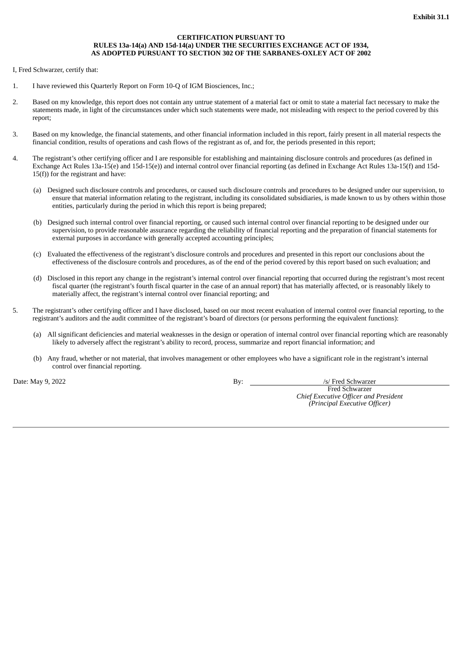# **CERTIFICATION PURSUANT TO RULES 13a-14(a) AND 15d-14(a) UNDER THE SECURITIES EXCHANGE ACT OF 1934, AS ADOPTED PURSUANT TO SECTION 302 OF THE SARBANES-OXLEY ACT OF 2002**

I, Fred Schwarzer, certify that:

- 1. I have reviewed this Quarterly Report on Form 10-Q of IGM Biosciences, Inc.;
- 2. Based on my knowledge, this report does not contain any untrue statement of a material fact or omit to state a material fact necessary to make the statements made, in light of the circumstances under which such statements were made, not misleading with respect to the period covered by this report;
- 3. Based on my knowledge, the financial statements, and other financial information included in this report, fairly present in all material respects the financial condition, results of operations and cash flows of the registrant as of, and for, the periods presented in this report;
- 4. The registrant's other certifying officer and I are responsible for establishing and maintaining disclosure controls and procedures (as defined in Exchange Act Rules 13a-15(e) and 15d-15(e)) and internal control over financial reporting (as defined in Exchange Act Rules 13a-15(f) and 15d-15(f)) for the registrant and have:
	- (a) Designed such disclosure controls and procedures, or caused such disclosure controls and procedures to be designed under our supervision, to ensure that material information relating to the registrant, including its consolidated subsidiaries, is made known to us by others within those entities, particularly during the period in which this report is being prepared;
	- (b) Designed such internal control over financial reporting, or caused such internal control over financial reporting to be designed under our supervision, to provide reasonable assurance regarding the reliability of financial reporting and the preparation of financial statements for external purposes in accordance with generally accepted accounting principles;
	- (c) Evaluated the effectiveness of the registrant's disclosure controls and procedures and presented in this report our conclusions about the effectiveness of the disclosure controls and procedures, as of the end of the period covered by this report based on such evaluation; and
	- (d) Disclosed in this report any change in the registrant's internal control over financial reporting that occurred during the registrant's most recent fiscal quarter (the registrant's fourth fiscal quarter in the case of an annual report) that has materially affected, or is reasonably likely to materially affect, the registrant's internal control over financial reporting; and
- 5. The registrant's other certifying officer and I have disclosed, based on our most recent evaluation of internal control over financial reporting, to the registrant's auditors and the audit committee of the registrant's board of directors (or persons performing the equivalent functions):
	- (a) All significant deficiencies and material weaknesses in the design or operation of internal control over financial reporting which are reasonably likely to adversely affect the registrant's ability to record, process, summarize and report financial information; and
	- (b) Any fraud, whether or not material, that involves management or other employees who have a significant role in the registrant's internal control over financial reporting.

Date: May 9, 2022 **By:** /s/ Fred Schwarzer

Fred Schwarzer *Chief Executive Officer and President (Principal Executive Officer)*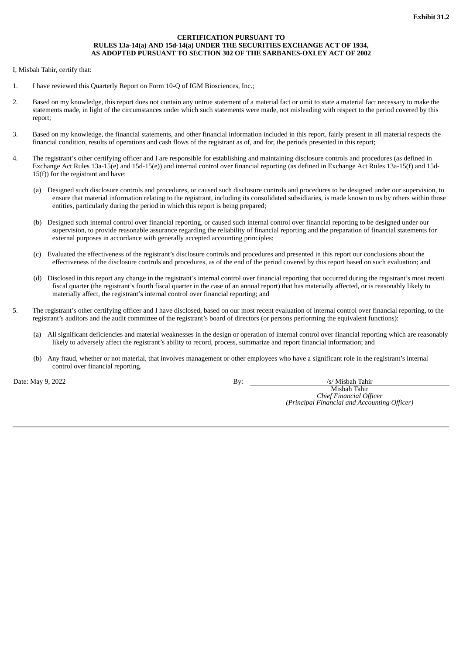# **CERTIFICATION PURSUANT TO RULES 13a-14(a) AND 15d-14(a) UNDER THE SECURITIES EXCHANGE ACT OF 1934, AS ADOPTED PURSUANT TO SECTION 302 OF THE SARBANES-OXLEY ACT OF 2002**

I, Misbah Tahir, certify that:

- 1. I have reviewed this Quarterly Report on Form 10-Q of IGM Biosciences, Inc.;
- 2. Based on my knowledge, this report does not contain any untrue statement of a material fact or omit to state a material fact necessary to make the statements made, in light of the circumstances under which such statements were made, not misleading with respect to the period covered by this report;
- 3. Based on my knowledge, the financial statements, and other financial information included in this report, fairly present in all material respects the financial condition, results of operations and cash flows of the registrant as of, and for, the periods presented in this report;
- 4. The registrant's other certifying officer and I are responsible for establishing and maintaining disclosure controls and procedures (as defined in Exchange Act Rules 13a-15(e) and 15d-15(e)) and internal control over financial reporting (as defined in Exchange Act Rules 13a-15(f) and 15d-15(f)) for the registrant and have:
	- (a) Designed such disclosure controls and procedures, or caused such disclosure controls and procedures to be designed under our supervision, to ensure that material information relating to the registrant, including its consolidated subsidiaries, is made known to us by others within those entities, particularly during the period in which this report is being prepared;
	- (b) Designed such internal control over financial reporting, or caused such internal control over financial reporting to be designed under our supervision, to provide reasonable assurance regarding the reliability of financial reporting and the preparation of financial statements for external purposes in accordance with generally accepted accounting principles;
	- (c) Evaluated the effectiveness of the registrant's disclosure controls and procedures and presented in this report our conclusions about the effectiveness of the disclosure controls and procedures, as of the end of the period covered by this report based on such evaluation; and
	- (d) Disclosed in this report any change in the registrant's internal control over financial reporting that occurred during the registrant's most recent fiscal quarter (the registrant's fourth fiscal quarter in the case of an annual report) that has materially affected, or is reasonably likely to materially affect, the registrant's internal control over financial reporting; and
- 5. The registrant's other certifying officer and I have disclosed, based on our most recent evaluation of internal control over financial reporting, to the registrant's auditors and the audit committee of the registrant's board of directors (or persons performing the equivalent functions):
	- (a) All significant deficiencies and material weaknesses in the design or operation of internal control over financial reporting which are reasonably likely to adversely affect the registrant's ability to record, process, summarize and report financial information; and
	- (b) Any fraud, whether or not material, that involves management or other employees who have a significant role in the registrant's internal control over financial reporting.

Date: May 9, 2022 **By:** /s/ Misbah Tahir

Misbah Tahir *Chief Financial Officer (Principal Financial and Accounting Officer)*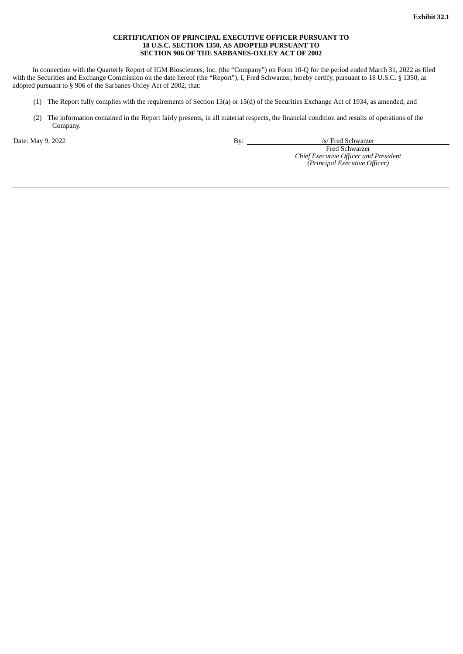## **CERTIFICATION OF PRINCIPAL EXECUTIVE OFFICER PURSUANT TO 18 U.S.C. SECTION 1350, AS ADOPTED PURSUANT TO SECTION 906 OF THE SARBANES-OXLEY ACT OF 2002**

In connection with the Quarterly Report of IGM Biosciences, Inc. (the "Company") on Form 10-Q for the period ended March 31, 2022 as filed with the Securities and Exchange Commission on the date hereof (the "Report"), I, Fred Schwarzer, hereby certify, pursuant to 18 U.S.C. § 1350, as adopted pursuant to § 906 of the Sarbanes-Oxley Act of 2002, that:

- (1) The Report fully complies with the requirements of Section 13(a) or 15(d) of the Securities Exchange Act of 1934, as amended; and
- (2) The information contained in the Report fairly presents, in all material respects, the financial condition and results of operations of the Company.

Date: May 9, 2022 **By:** /s/ Fred Schwarzer

Fred Schwarzer *Chief Executive Officer and President (Principal Executive Officer)*